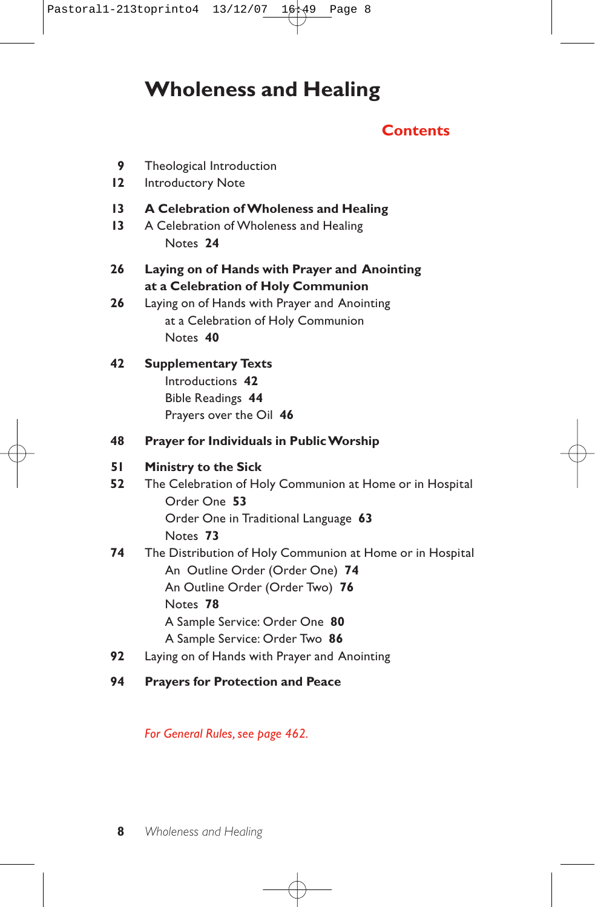# **Wholeness and Healing**

## **Contents**

- **9** Theological Introduction
- **12** Introductory Note
- **13 A Celebration of Wholeness and Healing**
- **13** A Celebration of Wholeness and Healing Notes **24**
- **26 Laying on of Hands with Prayer and Anointing at a Celebration of Holy Communion**
- **26** Laying on of Hands with Prayer and Anointing at a Celebration of Holy Communion Notes **40**

## **42 Supplementary Texts** Introductions **42** Bible Readings **44** Prayers over the Oil **46**

**48 Prayer for Individuals in Public Worship**

### **51 Ministry to the Sick**

- **52** The Celebration of Holy Communion at Home or in Hospital Order One **53** Order One in Traditional Language **63** Notes **73**
- **74** The Distribution of Holy Communion at Home or in Hospital An Outline Order (Order One) **74** An Outline Order (Order Two) **76** Notes **78** A Sample Service: Order One **80** A Sample Service: Order Two **86**
- **92** Laying on of Hands with Prayer and Anointing
- **94 Prayers for Protection and Peace**

*For General Rules, see page 462.*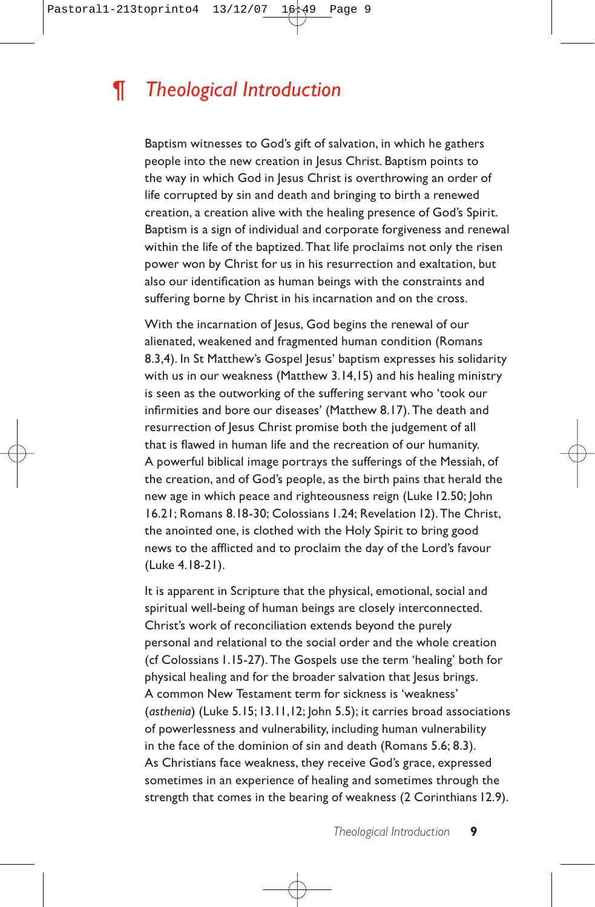# *¶ Theological Introduction*

Baptism witnesses to God's gift of salvation, in which he gathers people into the new creation in Jesus Christ. Baptism points to the way in which God in Jesus Christ is overthrowing an order of life corrupted by sin and death and bringing to birth a renewed creation, a creation alive with the healing presence of God's Spirit. Baptism is a sign of individual and corporate forgiveness and renewal within the life of the baptized. That life proclaims not only the risen power won by Christ for us in his resurrection and exaltation, but also our identification as human beings with the constraints and suffering borne by Christ in his incarnation and on the cross.

With the incarnation of Jesus, God begins the renewal of our alienated, weakened and fragmented human condition (Romans 8.3,4). In St Matthew's Gospel Jesus' baptism expresses his solidarity with us in our weakness (Matthew 3.14,15) and his healing ministry is seen as the outworking of the suffering servant who 'took our infirmities and bore our diseases' (Matthew 8.17). The death and resurrection of Jesus Christ promise both the judgement of all that is flawed in human life and the recreation of our humanity. A powerful biblical image portrays the sufferings of the Messiah, of the creation, and of God's people, as the birth pains that herald the new age in which peace and righteousness reign (Luke 12.50; John 16.21; Romans 8.18-30; Colossians 1.24; Revelation 12). The Christ, the anointed one, is clothed with the Holy Spirit to bring good news to the afflicted and to proclaim the day of the Lord's favour (Luke 4.18-21).

It is apparent in Scripture that the physical, emotional, social and spiritual well-being of human beings are closely interconnected. Christ's work of reconciliation extends beyond the purely personal and relational to the social order and the whole creation (cf Colossians 1.15-27). The Gospels use the term 'healing' both for physical healing and for the broader salvation that Jesus brings. A common New Testament term for sickness is 'weakness' (*asthenia*) (Luke 5.15;13.11,12; John 5.5); it carries broad associations of powerlessness and vulnerability, including human vulnerability in the face of the dominion of sin and death (Romans 5.6; 8.3). As Christians face weakness, they receive God's grace, expressed sometimes in an experience of healing and sometimes through the strength that comes in the bearing of weakness (2 Corinthians 12.9).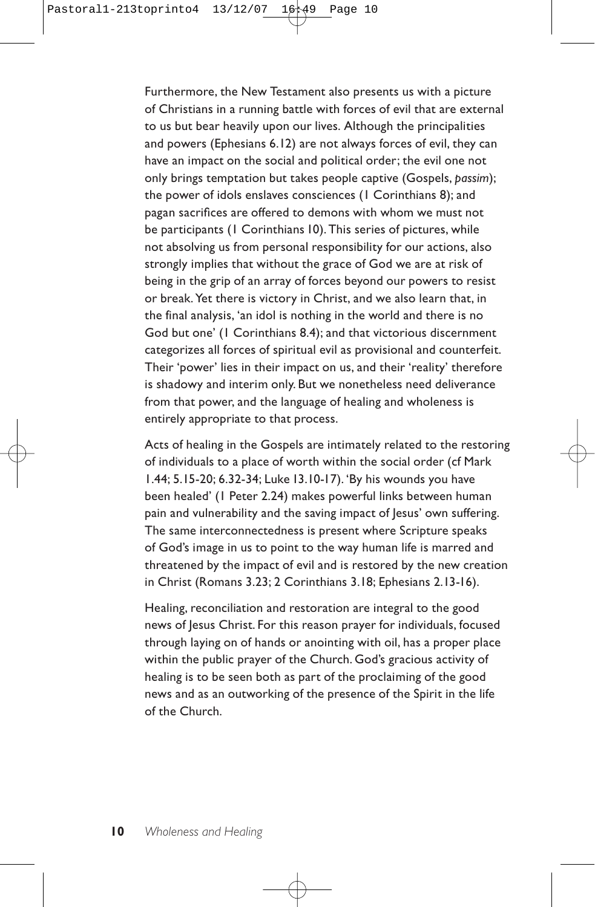Furthermore, the New Testament also presents us with a picture of Christians in a running battle with forces of evil that are external to us but bear heavily upon our lives. Although the principalities and powers (Ephesians 6.12) are not always forces of evil, they can have an impact on the social and political order; the evil one not only brings temptation but takes people captive (Gospels, *passim*); the power of idols enslaves consciences (1 Corinthians 8); and pagan sacrifices are offered to demons with whom we must not be participants (1 Corinthians 10). This series of pictures, while not absolving us from personal responsibility for our actions, also strongly implies that without the grace of God we are at risk of being in the grip of an array of forces beyond our powers to resist or break. Yet there is victory in Christ, and we also learn that, in the final analysis, 'an idol is nothing in the world and there is no God but one' (1 Corinthians 8.4); and that victorious discernment categorizes all forces of spiritual evil as provisional and counterfeit. Their 'power' lies in their impact on us, and their 'reality' therefore is shadowy and interim only. But we nonetheless need deliverance from that power, and the language of healing and wholeness is entirely appropriate to that process.

Acts of healing in the Gospels are intimately related to the restoring of individuals to a place of worth within the social order (cf Mark 1.44; 5.15-20; 6.32-34; Luke 13.10-17). 'By his wounds you have been healed' (1 Peter 2.24) makes powerful links between human pain and vulnerability and the saving impact of Jesus' own suffering. The same interconnectedness is present where Scripture speaks of God's image in us to point to the way human life is marred and threatened by the impact of evil and is restored by the new creation in Christ (Romans 3.23; 2 Corinthians 3.18; Ephesians 2.13-16).

Healing, reconciliation and restoration are integral to the good news of Jesus Christ. For this reason prayer for individuals, focused through laying on of hands or anointing with oil, has a proper place within the public prayer of the Church. God's gracious activity of healing is to be seen both as part of the proclaiming of the good news and as an outworking of the presence of the Spirit in the life of the Church.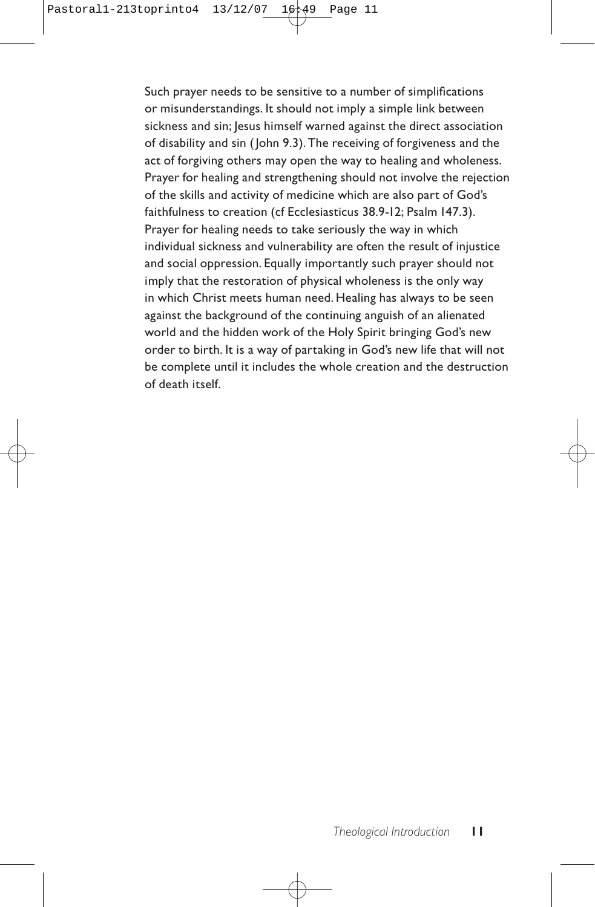Such prayer needs to be sensitive to a number of simplifications or misunderstandings. It should not imply a simple link between sickness and sin; Jesus himself warned against the direct association of disability and sin ( John 9.3). The receiving of forgiveness and the act of forgiving others may open the way to healing and wholeness. Prayer for healing and strengthening should not involve the rejection of the skills and activity of medicine which are also part of God's faithfulness to creation (cf Ecclesiasticus 38.9-12; Psalm 147.3). Prayer for healing needs to take seriously the way in which individual sickness and vulnerability are often the result of injustice and social oppression. Equally importantly such prayer should not imply that the restoration of physical wholeness is the only way in which Christ meets human need. Healing has always to be seen against the background of the continuing anguish of an alienated world and the hidden work of the Holy Spirit bringing God's new order to birth. It is a way of partaking in God's new life that will not be complete until it includes the whole creation and the destruction of death itself.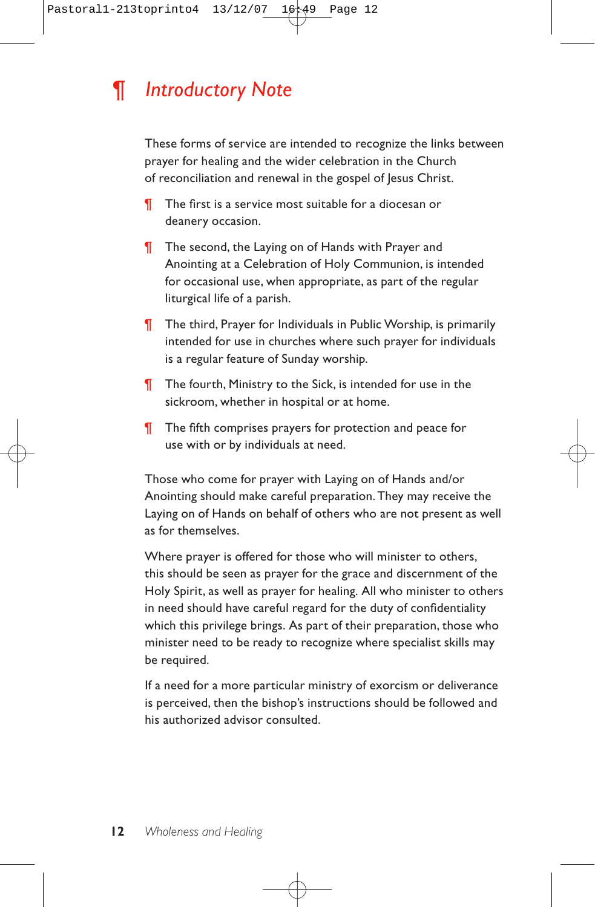# *¶ Introductory Note*

These forms of service are intended to recognize the links between prayer for healing and the wider celebration in the Church of reconciliation and renewal in the gospel of Jesus Christ.

- ¶ The first is a service most suitable for a diocesan or deanery occasion.
- ¶ The second, the Laying on of Hands with Prayer and Anointing at a Celebration of Holy Communion, is intended for occasional use, when appropriate, as part of the regular liturgical life of a parish.
- ¶ The third, Prayer for Individuals in Public Worship, is primarily intended for use in churches where such prayer for individuals is a regular feature of Sunday worship.
- **T** The fourth, Ministry to the Sick, is intended for use in the sickroom, whether in hospital or at home.
- ¶ The fifth comprises prayers for protection and peace for use with or by individuals at need.

Those who come for prayer with Laying on of Hands and/or Anointing should make careful preparation. They may receive the Laying on of Hands on behalf of others who are not present as well as for themselves.

Where prayer is offered for those who will minister to others, this should be seen as prayer for the grace and discernment of the Holy Spirit, as well as prayer for healing. All who minister to others in need should have careful regard for the duty of confidentiality which this privilege brings. As part of their preparation, those who minister need to be ready to recognize where specialist skills may be required.

If a need for a more particular ministry of exorcism or deliverance is perceived, then the bishop's instructions should be followed and his authorized advisor consulted.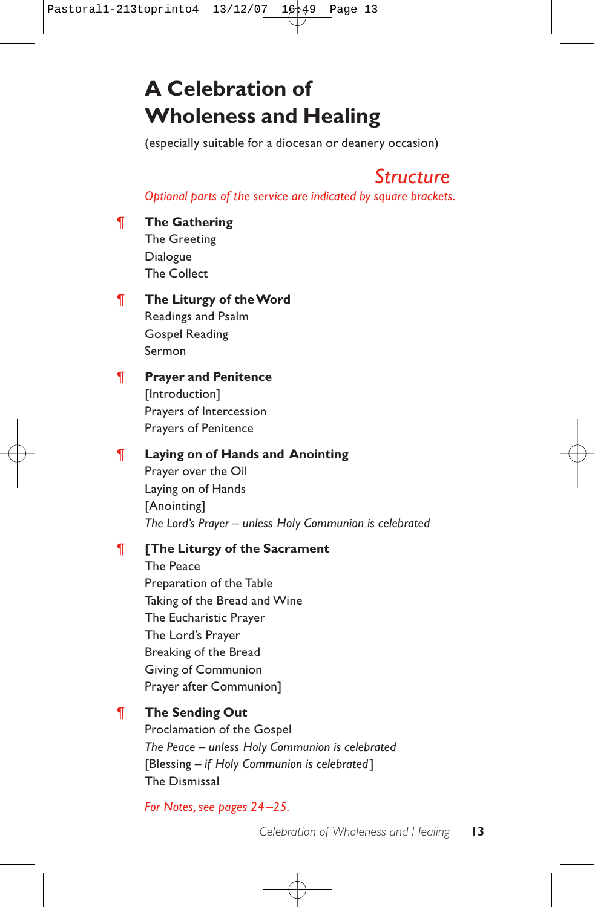# **A Celebration of Wholeness and Healing**

(especially suitable for a diocesan or deanery occasion)

## *Structure*

*Optional parts of the service are indicated by square brackets.*

¶ **The Gathering**

The Greeting Dialogue The Collect

### ¶ **The Liturgy of the Word**

Readings and Psalm Gospel Reading Sermon

## ¶ **Prayer and Penitence**

[Introduction] Prayers of Intercession Prayers of Penitence

## ¶ **Laying on of Hands and Anointing**

Prayer over the Oil Laying on of Hands [Anointing] *The Lord's Prayer – unless Holy Communion is celebrated*

## ¶ **[The Liturgy of the Sacrament**

The Peace Preparation of the Table Taking of the Bread and Wine The Eucharistic Prayer The Lord's Prayer Breaking of the Bread Giving of Communion Prayer after Communion]

## ¶ **The Sending Out**

Proclamation of the Gospel *The Peace – unless Holy Communion is celebrated* [Blessing – *if Holy Communion is celebrated*] The Dismissal

*For Notes, see pages 24 –25.*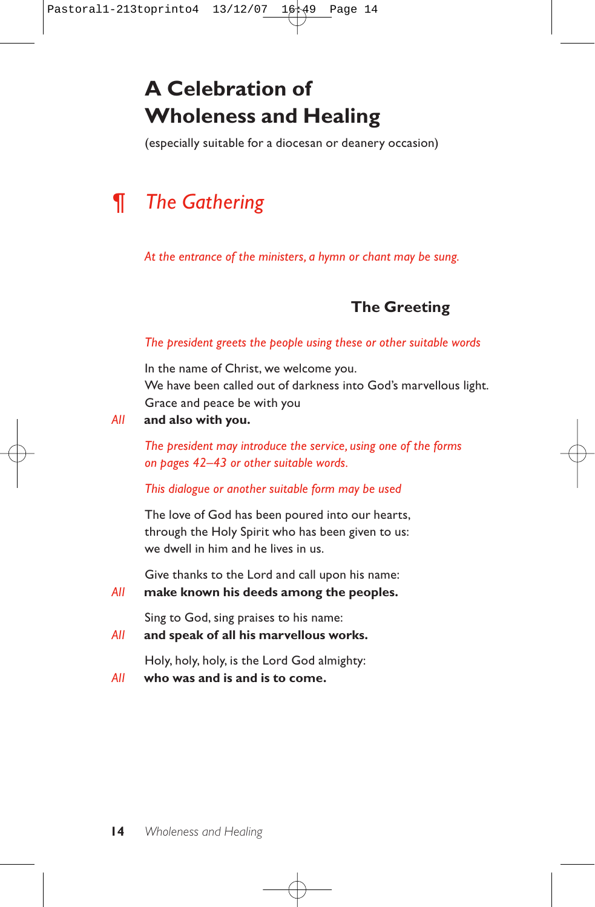# **A Celebration of Wholeness and Healing**

(especially suitable for a diocesan or deanery occasion)

# *¶ The Gathering*

*At the entrance of the ministers, a hymn or chant may be sung.*

## **The Greeting**

### *The president greets the people using these or other suitable words*

In the name of Christ, we welcome you. We have been called out of darkness into God's marvellous light. Grace and peace be with you

#### *All* **and also with you.**

*The president may introduce the service, using one of the forms on pages 42–43 or other suitable words.*

#### *This dialogue or another suitable form may be used*

The love of God has been poured into our hearts, through the Holy Spirit who has been given to us: we dwell in him and he lives in us.

Give thanks to the Lord and call upon his name:

*All* **make known his deeds among the peoples.**

Sing to God, sing praises to his name:

*All* **and speak of all his marvellous works.**

Holy, holy, holy, is the Lord God almighty:

*All* **who was and is and is to come.**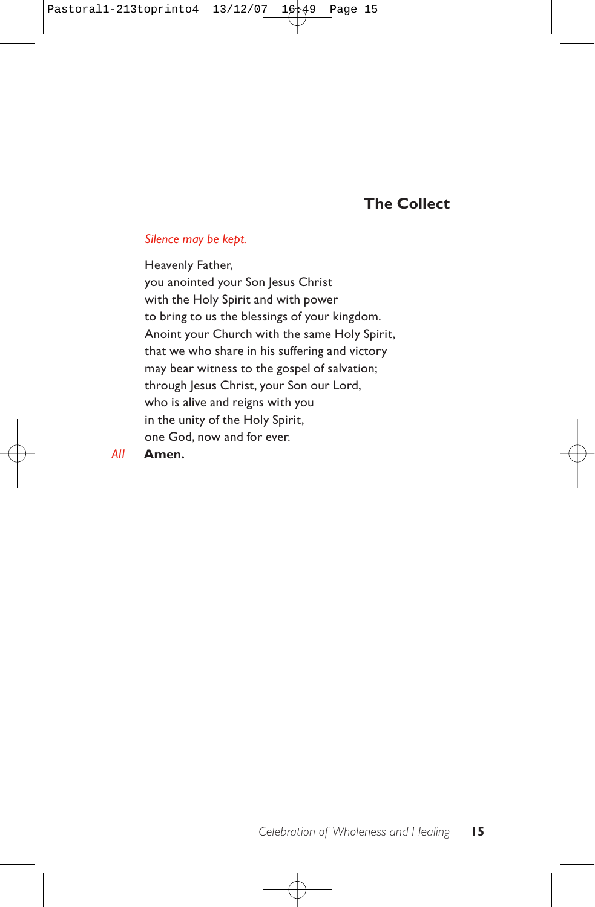## **The Collect**

#### *Silence may be kept.*

Heavenly Father, you anointed your Son Jesus Christ with the Holy Spirit and with power to bring to us the blessings of your kingdom. Anoint your Church with the same Holy Spirit, that we who share in his suffering and victory may bear witness to the gospel of salvation; through Jesus Christ, your Son our Lord, who is alive and reigns with you in the unity of the Holy Spirit, one God, now and for ever. *All* **Amen.**

*Celebration of Wholeness and Healing* **15**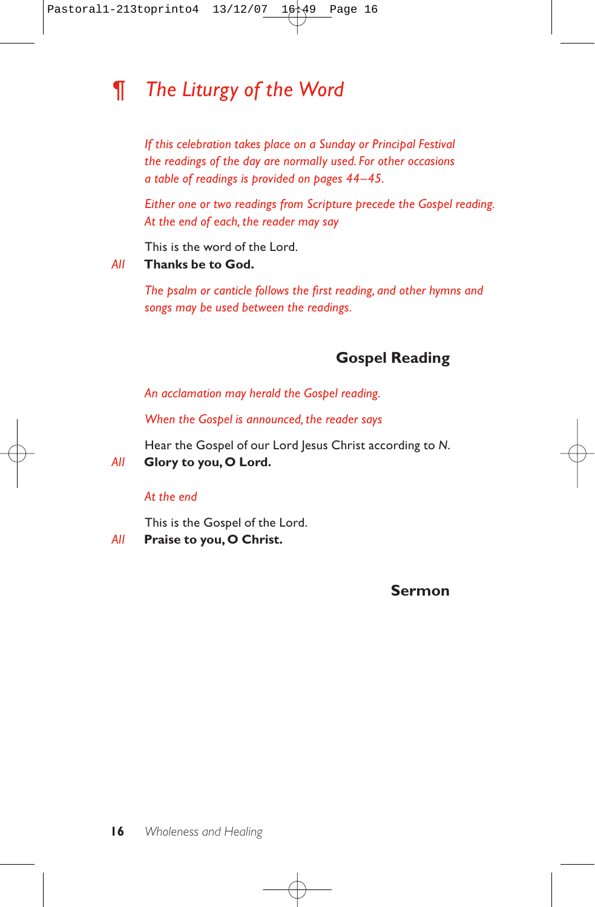# *¶ The Liturgy of the Word*

*If this celebration takes place on a Sunday or Principal Festival the readings of the day are normally used. For other occasions a table of readings is provided on pages 44–45.*

*Either one or two readings from Scripture precede the Gospel reading. At the end of each, the reader may say*

This is the word of the Lord.

### *All* **Thanks be to God.**

*The psalm or canticle follows the first reading, and other hymns and songs may be used between the readings.*

## **Gospel Reading**

*An acclamation may herald the Gospel reading.*

*When the Gospel is announced, the reader says*

Hear the Gospel of our Lord Jesus Christ according to *N*.

*All* **Glory to you, O Lord.**

### *At the end*

This is the Gospel of the Lord.

*All* **Praise to you, O Christ.**

### **Sermon**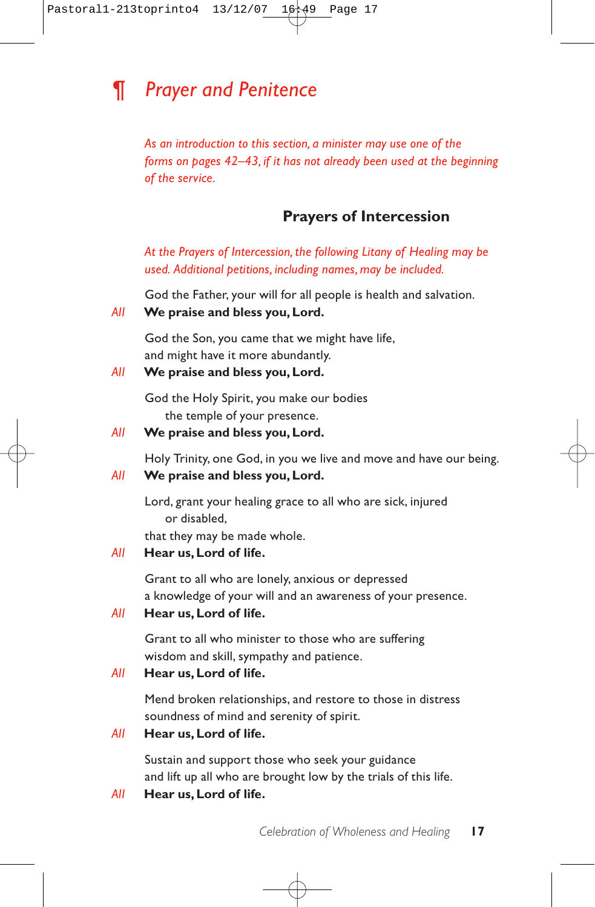# *¶ Prayer and Penitence*

*As an introduction to this section, a minister may use one of the forms on pages 42–43, if it has not already been used at the beginning of the service.*

## **Prayers of Intercession**

*At the Prayers of Intercession, the following Litany of Healing may be used. Additional petitions, including names, may be included.*

God the Father, your will for all people is health and salvation.

### *All* **We praise and bless you, Lord.**

God the Son, you came that we might have life, and might have it more abundantly.

### *All* **We praise and bless you, Lord.**

God the Holy Spirit, you make our bodies the temple of your presence.

## *All* **We praise and bless you, Lord.**

Holy Trinity, one God, in you we live and move and have our being.

## *All* **We praise and bless you, Lord.**

Lord, grant your healing grace to all who are sick, injured or disabled,

that they may be made whole.

## *All* **Hear us, Lord of life.**

Grant to all who are lonely, anxious or depressed a knowledge of your will and an awareness of your presence.

### *All* **Hear us,Lord of life.**

Grant to all who minister to those who are suffering wisdom and skill, sympathy and patience.

## *All* **Hear us, Lord of life.**

Mend broken relationships, and restore to those in distress soundness of mind and serenity of spirit.

### *All* **Hear us, Lord of life.**

Sustain and support those who seek your guidance and lift up all who are brought low by the trials of this life.

## *All* **Hear us,Lord of life.**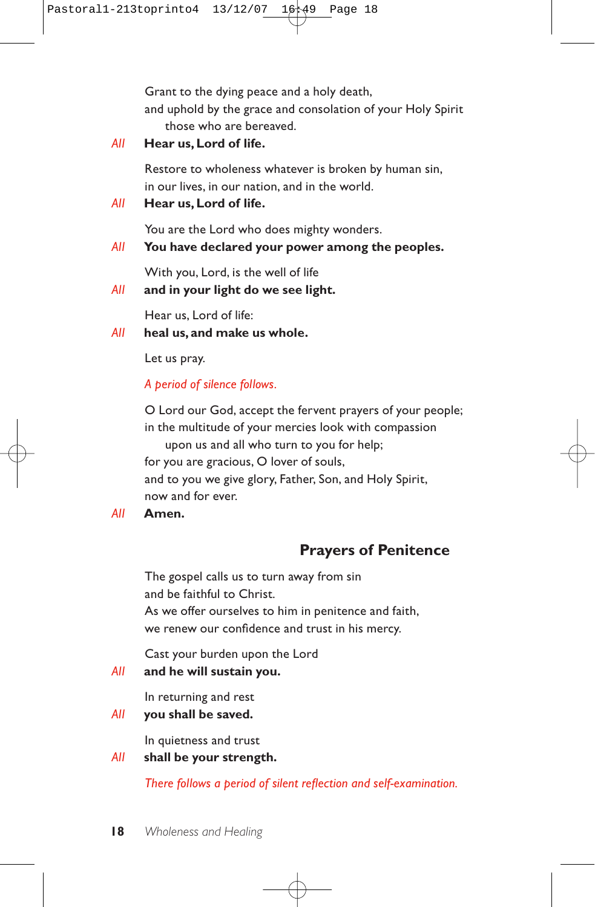Grant to the dying peace and a holy death, and uphold by the grace and consolation of your Holy Spirit those who are bereaved.

*All* **Hear us, Lord of life.**

Restore to wholeness whatever is broken by human sin, in our lives, in our nation, and in the world.

*All* **Hear us, Lord of life.**

You are the Lord who does mighty wonders.

### *All* **You have declared your power among the peoples.**

With you, Lord, is the well of life

### *All* **and in your light do we see light.**

Hear us, Lord of life:

## *All* **heal us, and make us whole.**

Let us pray.

*A period of silence follows.*

O Lord our God, accept the fervent prayers of your people; in the multitude of your mercies look with compassion

upon us and all who turn to you for help; for you are gracious, O lover of souls, and to you we give glory, Father, Son, and Holy Spirit, now and for ever.

*All* **Amen.**

## **Prayers of Penitence**

The gospel calls us to turn away from sin and be faithful to Christ. As we offer ourselves to him in penitence and faith, we renew our confidence and trust in his mercy.

Cast your burden upon the Lord

### *All* **and he will sustain you.**

In returning and rest

*All* **you shall be saved.**

In quietness and trust

### *All* **shall be your strength.**

*There follows a period of silent reflection and self-examination.*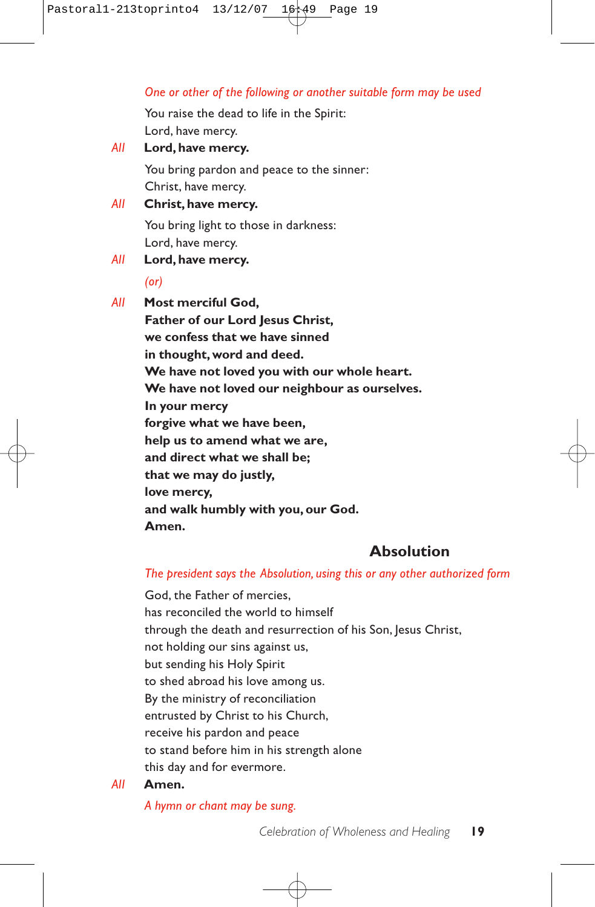### *One or other of the following or another suitable form may be used*

You raise the dead to life in the Spirit: Lord, have mercy.

- *All* **Lord, have mercy.** You bring pardon and peace to the sinner: Christ, have mercy. *All* **Christ, have mercy.**
	- You bring light to those in darkness: Lord, have mercy.

## *All* **Lord, have mercy.**

#### *(or)*

*All* **Most merciful God, Father of our Lord lesus Christ. we confess that we have sinned in thought, word and deed. We have not loved you with our whole heart. We have not loved our neighbour as ourselves. In your mercy forgive what we have been, help us to amend what we are, and direct what we shall be; that we may do justly, love mercy, and walk humbly with you, our God. Amen.**

## **Absolution**

#### *The president says the Absolution, using this or any other authorized form*

God, the Father of mercies, has reconciled the world to himself through the death and resurrection of his Son, Jesus Christ, not holding our sins against us, but sending his Holy Spirit to shed abroad his love among us. By the ministry of reconciliation entrusted by Christ to his Church, receive his pardon and peace to stand before him in his strength alone this day and for evermore.

### *All* **Amen.**

*A hymn or chant may be sung.*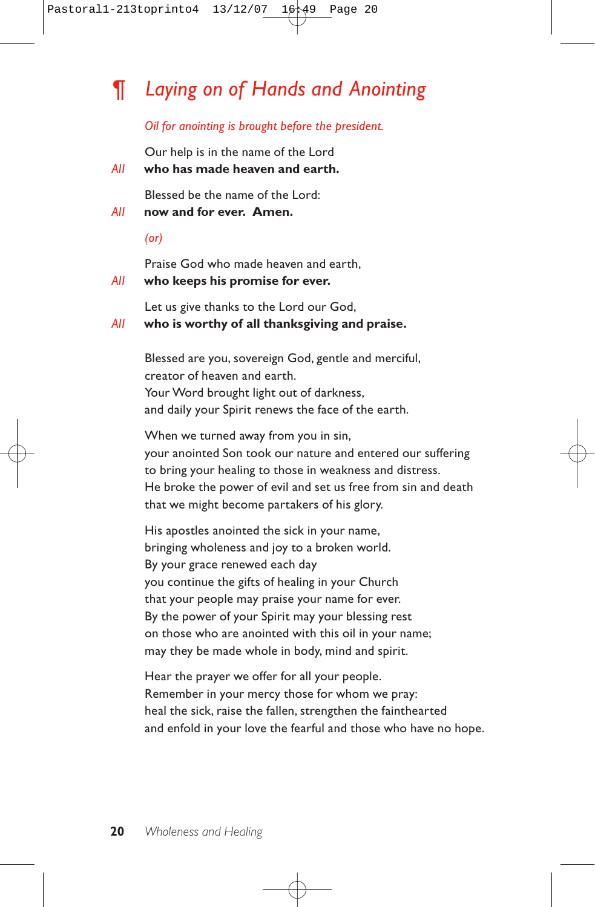# *¶ Laying on of Hands and Anointing*

#### *Oil for anointing is brought before the president.*

Our help is in the name of the Lord

*All* **who has made heaven and earth.**

Blessed be the name of the Lord:

- *All* **now and for ever. Amen.**
	- *(or)*

Praise God who made heaven and earth,

#### *All* **who keeps his promise for ever.**

Let us give thanks to the Lord our God,

## *All* **who is worthy of all thanksgiving and praise.**

Blessed are you, sovereign God, gentle and merciful, creator of heaven and earth. Your Word brought light out of darkness, and daily your Spirit renews the face of the earth.

When we turned away from you in sin, your anointed Son took our nature and entered our suffering to bring your healing to those in weakness and distress. He broke the power of evil and set us free from sin and death that we might become partakers of his glory.

His apostles anointed the sick in your name, bringing wholeness and joy to a broken world. By your grace renewed each day you continue the gifts of healing in your Church that your people may praise your name for ever. By the power of your Spirit may your blessing rest on those who are anointed with this oil in your name; may they be made whole in body, mind and spirit.

Hear the prayer we offer for all your people. Remember in your mercy those for whom we pray: heal the sick, raise the fallen, strengthen the fainthearted and enfold in your love the fearful and those who have no hope.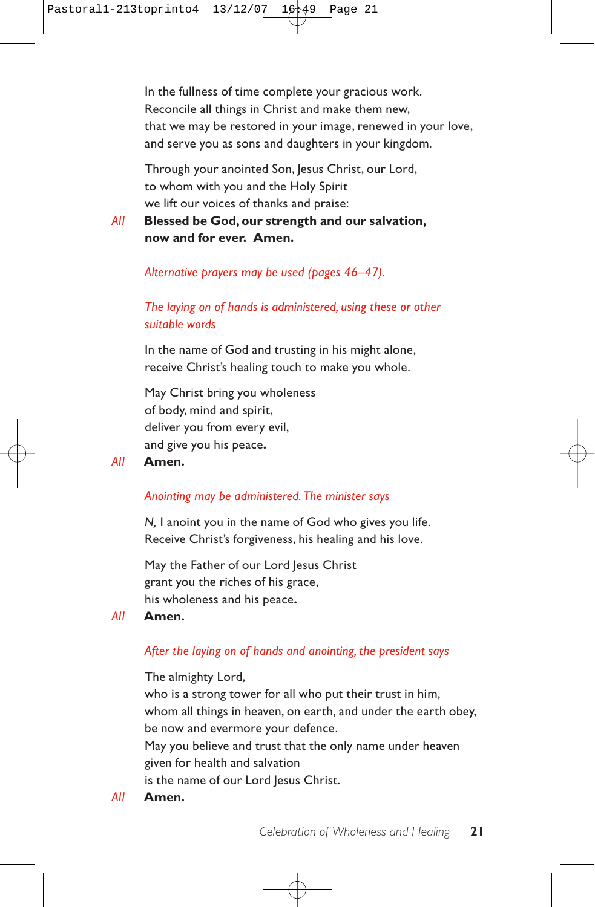In the fullness of time complete your gracious work. Reconcile all things in Christ and make them new, that we may be restored in your image, renewed in your love, and serve you as sons and daughters in your kingdom.

Through your anointed Son, Jesus Christ, our Lord, to whom with you and the Holy Spirit we lift our voices of thanks and praise:

*All* **Blessed be God, our strength and our salvation, now and for ever. Amen.**

### *Alternative prayers may be used (pages 46–47).*

## *The laying on of hands is administered, using these or other suitable words*

In the name of God and trusting in his might alone, receive Christ's healing touch to make you whole.

May Christ bring you wholeness of body, mind and spirit, deliver you from every evil, and give you his peace**.**

### *All* **Amen.**

## *Anointing may be administered. The minister says*

*N,* I anoint you in the name of God who gives you life. Receive Christ's forgiveness, his healing and his love.

May the Father of our Lord Jesus Christ grant you the riches of his grace, his wholeness and his peace**.**

#### *All* **Amen.**

## *After the laying on of hands and anointing, the president says*

The almighty Lord,

who is a strong tower for all who put their trust in him, whom all things in heaven, on earth, and under the earth obey, be now and evermore your defence.

May you believe and trust that the only name under heaven given for health and salvation

is the name of our Lord Jesus Christ.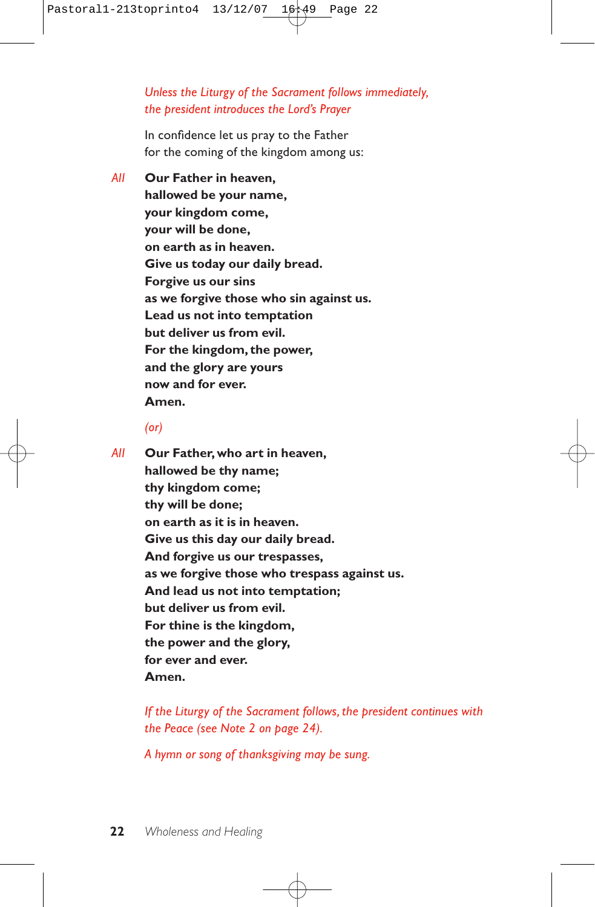*Unless the Liturgy of the Sacrament follows immediately, the president introduces the Lord's Prayer*

In confidence let us pray to the Father for the coming of the kingdom among us:

*All* **Our Father in heaven, hallowed be your name, your kingdom come, your will be done, on earth as in heaven. Give us today our daily bread. Forgive us our sins as we forgive those who sin against us. Lead us not into temptation but deliver us from evil. For the kingdom, the power, and the glory are yours now and for ever. Amen.**

#### *(or)*

*All* **Our Father, who art in heaven, hallowed be thy name; thy kingdom come; thy will be done; on earth as it is in heaven. Give us this day our daily bread. And forgive us our trespasses, as we forgive those who trespass against us. And lead us not into temptation; but deliver us from evil. For thine is the kingdom, the power and the glory, for ever and ever. Amen.**

> *If the Liturgy of the Sacrament follows, the president continues with the Peace (see Note 2 on page 24).*

*A hymn or song of thanksgiving may be sung.*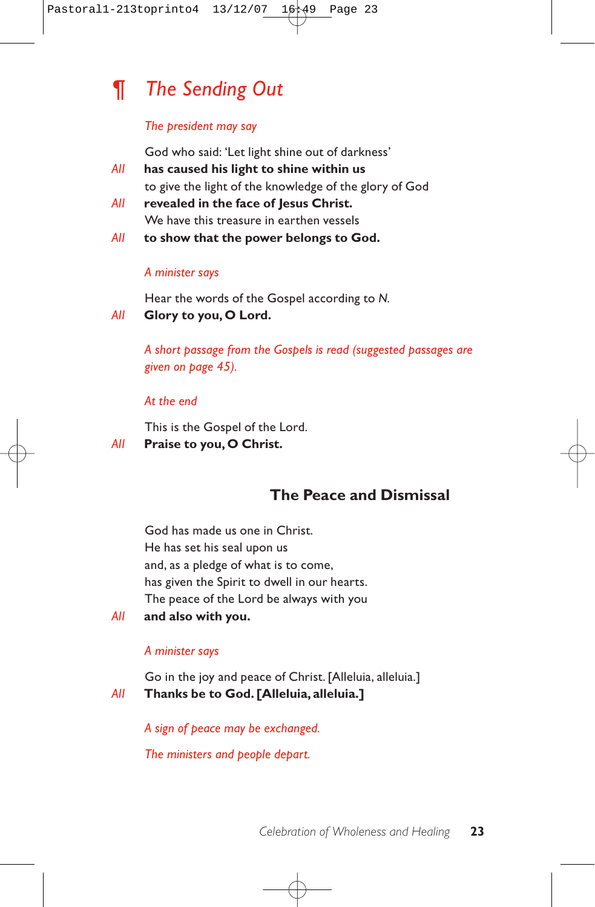

#### *The president may say*

God who said: 'Let light shine out of darkness'

- *All* **has caused his light to shine within us** to give the light of the knowledge of the glory of God
- *All* **revealed in the face of Jesus Christ.** We have this treasure in earthen vessels
- *All* **to show that the power belongs to God.**

#### *A minister says*

Hear the words of the Gospel according to *N.*

*All* **Glory to you, O Lord.**

*A short passage from the Gospels is read (suggested passages are given on page 45).*

#### *At the end*

This is the Gospel of the Lord.

#### *All* **Praise to you, O Christ.**

## **The Peace and Dismissal**

God has made us one in Christ. He has set his seal upon us and, as a pledge of what is to come, has given the Spirit to dwell in our hearts. The peace of the Lord be always with you

*All* **and also with you.**

#### *A minister says*

Go in the joy and peace of Christ. [Alleluia, alleluia.] *All* **Thanks be to God. [Alleluia, alleluia.]**

*A sign of peace may be exchanged.*

*The ministers and people depart.*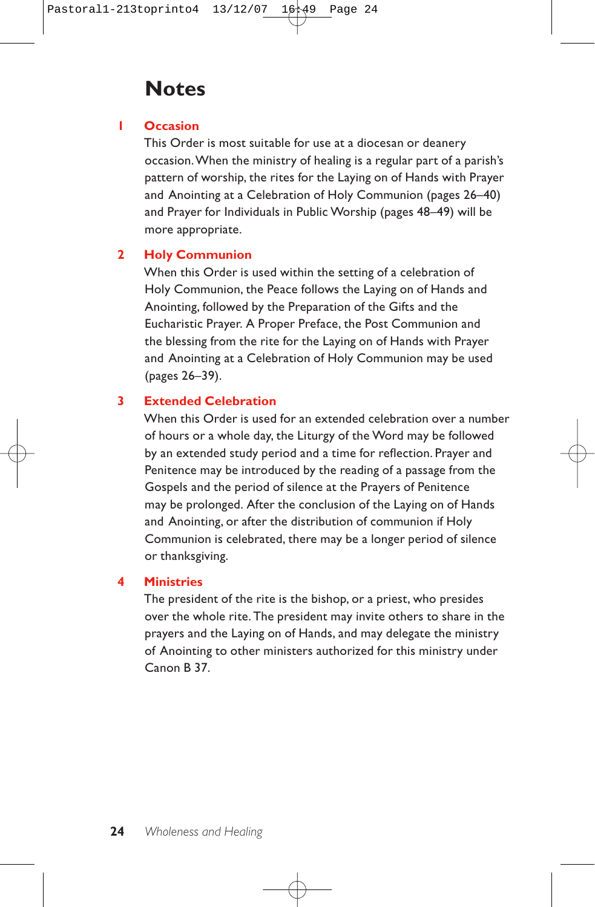## **Notes**

## **1 Occasion**

This Order is most suitable for use at a diocesan or deanery occasion.When the ministry of healing is a regular part of a parish's pattern of worship, the rites for the Laying on of Hands with Prayer and Anointing at a Celebration of Holy Communion (pages 26–40) and Prayer for Individuals in Public Worship (pages 48–49) will be more appropriate.

## **2 Holy Communion**

When this Order is used within the setting of a celebration of Holy Communion, the Peace follows the Laying on of Hands and Anointing, followed by the Preparation of the Gifts and the Eucharistic Prayer. A Proper Preface, the Post Communion and the blessing from the rite for the Laying on of Hands with Prayer and Anointing at a Celebration of Holy Communion may be used (pages 26–39).

## **3 Extended Celebration**

When this Order is used for an extended celebration over a number of hours or a whole day, the Liturgy of the Word may be followed by an extended study period and a time for reflection. Prayer and Penitence may be introduced by the reading of a passage from the Gospels and the period of silence at the Prayers of Penitence may be prolonged. After the conclusion of the Laying on of Hands and Anointing, or after the distribution of communion if Holy Communion is celebrated, there may be a longer period of silence or thanksgiving.

## **4 Ministries**

The president of the rite is the bishop, or a priest, who presides over the whole rite. The president may invite others to share in the prayers and the Laying on of Hands, and may delegate the ministry of Anointing to other ministers authorized for this ministry under Canon B 37.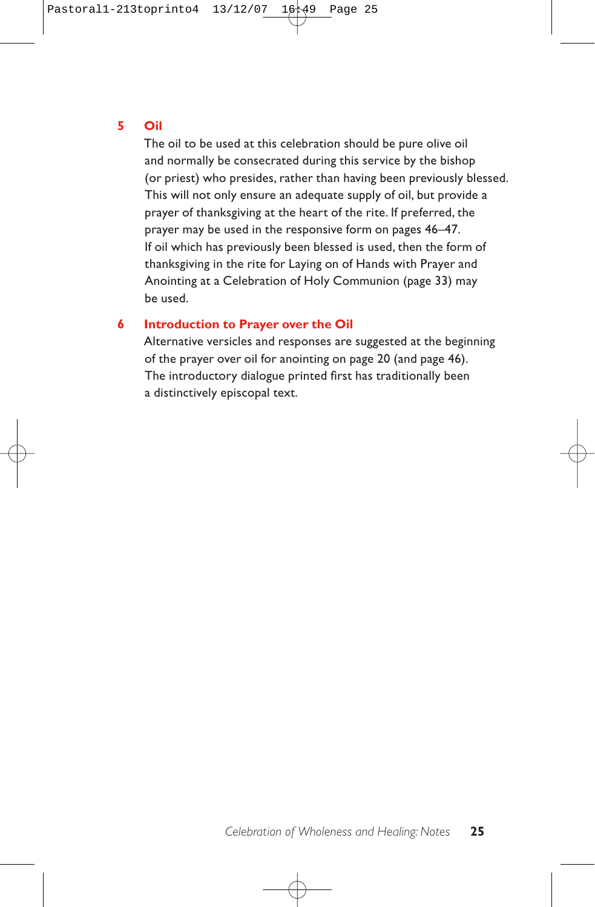### **5 Oil**

The oil to be used at this celebration should be pure olive oil and normally be consecrated during this service by the bishop (or priest) who presides, rather than having been previously blessed. This will not only ensure an adequate supply of oil, but provide a prayer of thanksgiving at the heart of the rite. If preferred, the prayer may be used in the responsive form on pages 46–47. If oil which has previously been blessed is used, then the form of thanksgiving in the rite for Laying on of Hands with Prayer and Anointing at a Celebration of Holy Communion (page 33) may be used.

### **6 Introduction to Prayer over the Oil**

Alternative versicles and responses are suggested at the beginning of the prayer over oil for anointing on page 20 (and page 46). The introductory dialogue printed first has traditionally been a distinctively episcopal text.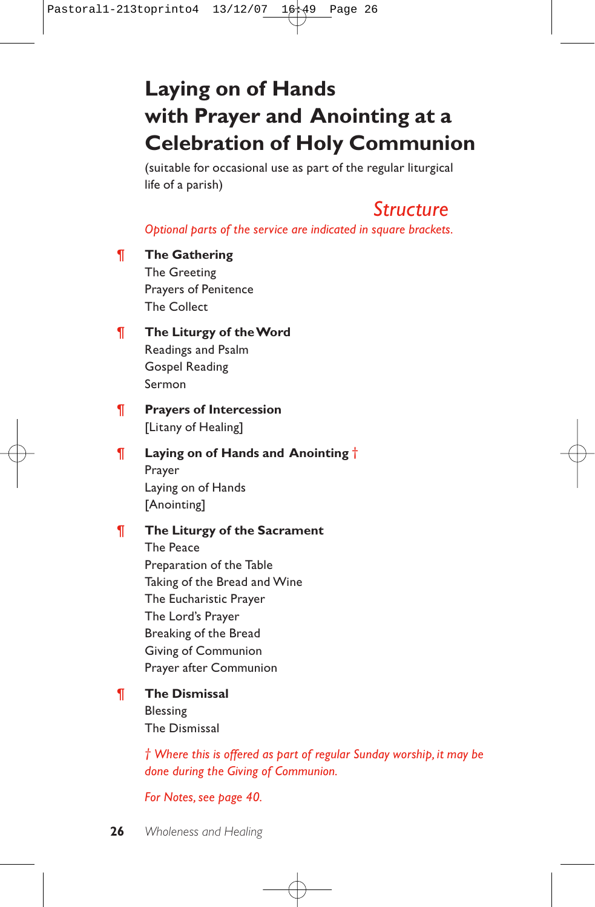# **Laying on of Hands with Prayer and Anointing at a Celebration of Holy Communion**

(suitable for occasional use as part of the regular liturgical life of a parish)

# *Structure*

*Optional parts of the service are indicated in square brackets.*

## ¶ **The Gathering**

The Greeting Prayers of Penitence The Collect

## ¶ **The Liturgy of the Word**

Readings and Psalm Gospel Reading Sermon

## ¶ **Prayers of Intercession** [Litany of Healing]

## ¶ **Laying on of Hands and Anointing** † Prayer Laying on of Hands [Anointing]

## ¶ **The Liturgy of the Sacrament**

The Peace Preparation of the Table Taking of the Bread and Wine The Eucharistic Prayer The Lord's Prayer Breaking of the Bread Giving of Communion Prayer after Communion

### ¶ **The Dismissal** Blessing

The Dismissal

*† Where this is offered as part of regular Sunday worship, it may be done during the Giving of Communion.*

## *For Notes, see page 40.*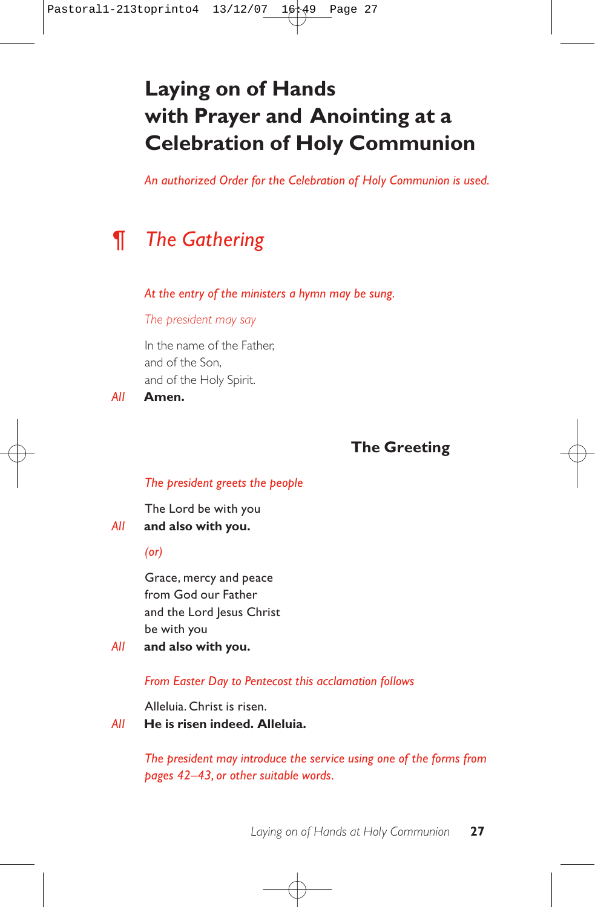# **Laying on of Hands with Prayer and Anointing at a Celebration of Holy Communion**

*An authorized Order for the Celebration of Holy Communion is used.*

# *¶ The Gathering*

*At the entry of the ministers a hymn may be sung.*

*The president may say*

In the name of the Father, and of the Son, and of the Holy Spirit.

*All* **Amen.**

## **The Greeting**

#### *The president greets the people*

The Lord be with you *All* **and also with you.**

*(or)*

Grace, mercy and peace from God our Father and the Lord Jesus Christ be with you

*All* **and also with you.**

*From Easter Day to Pentecost this acclamation follows*

Alleluia. Christ is risen.

*All* **He is risen indeed. Alleluia.**

*The president may introduce the service using one of the forms from pages 42–43, or other suitable words.*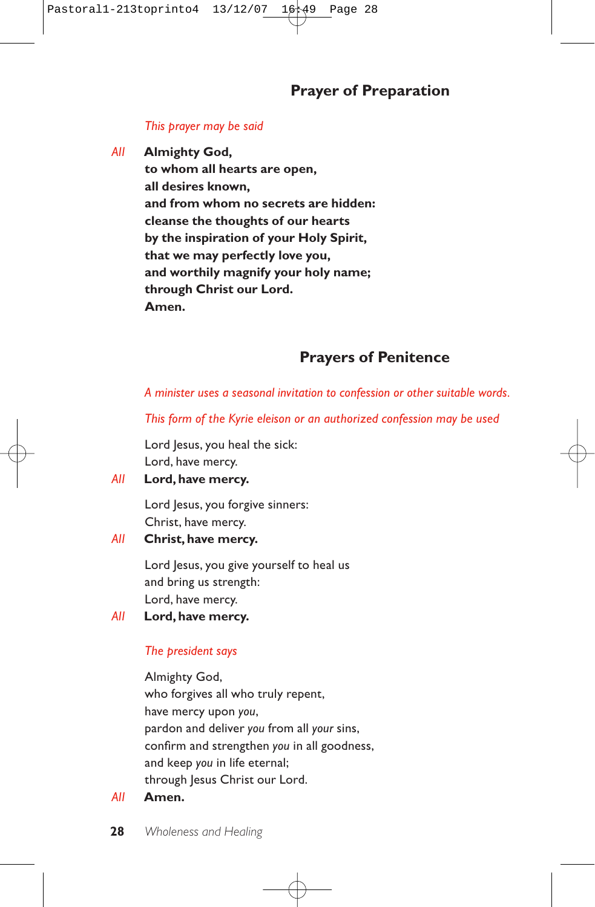### *This prayer may be said*

*All* **Almighty God,**

**to whom all hearts are open, all desires known, and from whom no secrets are hidden: cleanse the thoughts of our hearts by the inspiration of your Holy Spirit, that we may perfectly love you, and worthily magnify your holy name; through Christ our Lord. Amen.**

## **Prayers of Penitence**

*A minister uses a seasonal invitation to confession or other suitable words.*

*This form of the Kyrie eleison or an authorized confession may be used* 

Lord Jesus, you heal the sick: Lord, have mercy.

### *All* **Lord, have mercy.**

Lord Jesus, you forgive sinners: Christ, have mercy.

### *All* **Christ, have mercy.**

Lord Jesus, you give yourself to heal us and bring us strength: Lord, have mercy.

### *All* **Lord, have mercy.**

### *The president says*

Almighty God, who forgives all who truly repent, have mercy upon *you*, pardon and deliver *you* from all *your* sins, confirm and strengthen *you* in all goodness, and keep *you* in life eternal; through Jesus Christ our Lord.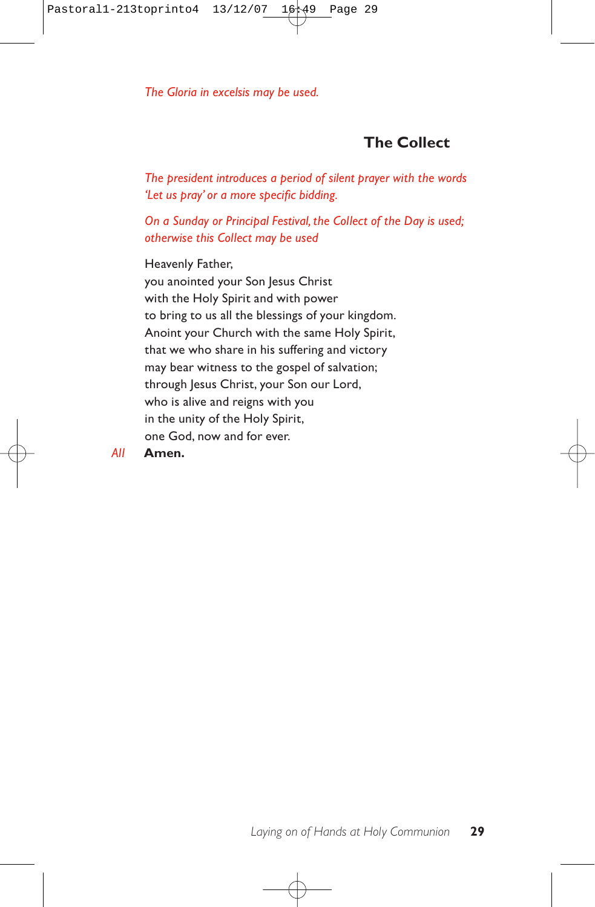*The Gloria in excelsis may be used.*

## **The Collect**

*The president introduces a period of silent prayer with the words 'Let us pray' or a more specific bidding.*

*On a Sunday or Principal Festival, the Collect of the Day is used; otherwise this Collect may be used*

Heavenly Father, you anointed your Son Jesus Christ with the Holy Spirit and with power to bring to us all the blessings of your kingdom. Anoint your Church with the same Holy Spirit, that we who share in his suffering and victory may bear witness to the gospel of salvation; through Jesus Christ, your Son our Lord, who is alive and reigns with you in the unity of the Holy Spirit, one God, now and for ever.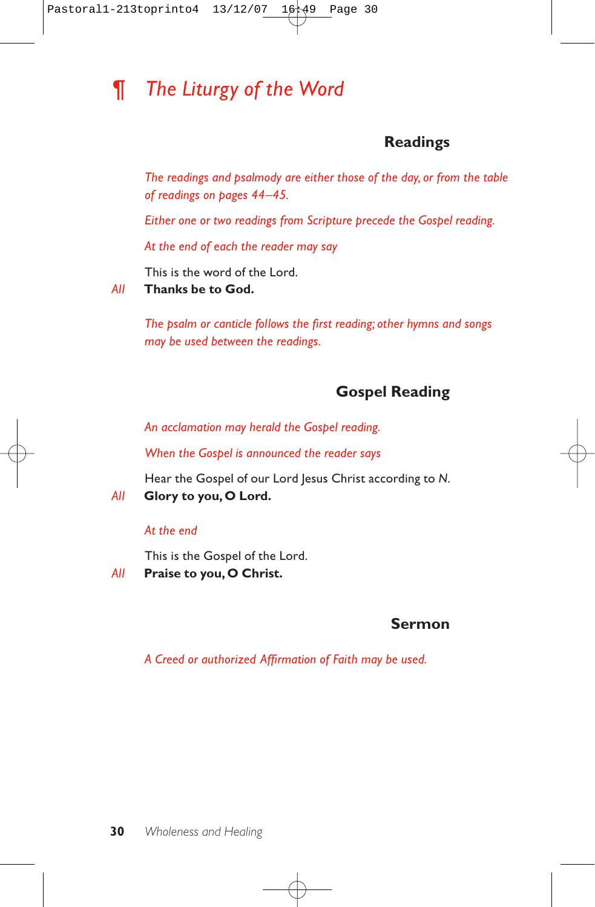# *¶ The Liturgy of the Word*

## **Readings**

*The readings and psalmody are either those of the day, or from the table of readings on pages 44–45.*

*Either one or two readings from Scripture precede the Gospel reading.*

*At the end of each the reader may say*

This is the word of the Lord.

*All* **Thanks be to God.**

*The psalm or canticle follows the first reading; other hymns and songs may be used between the readings.*

## **Gospel Reading**

*An acclamation may herald the Gospel reading.*

*When the Gospel is announced the reader says*

Hear the Gospel of our Lord Jesus Christ according to *N*.

*All* **Glory to you, O Lord.**

### *At the end*

This is the Gospel of the Lord.

*All* **Praise to you, O Christ.**

## **Sermon**

*A Creed or authorized Affirmation of Faith may be used.*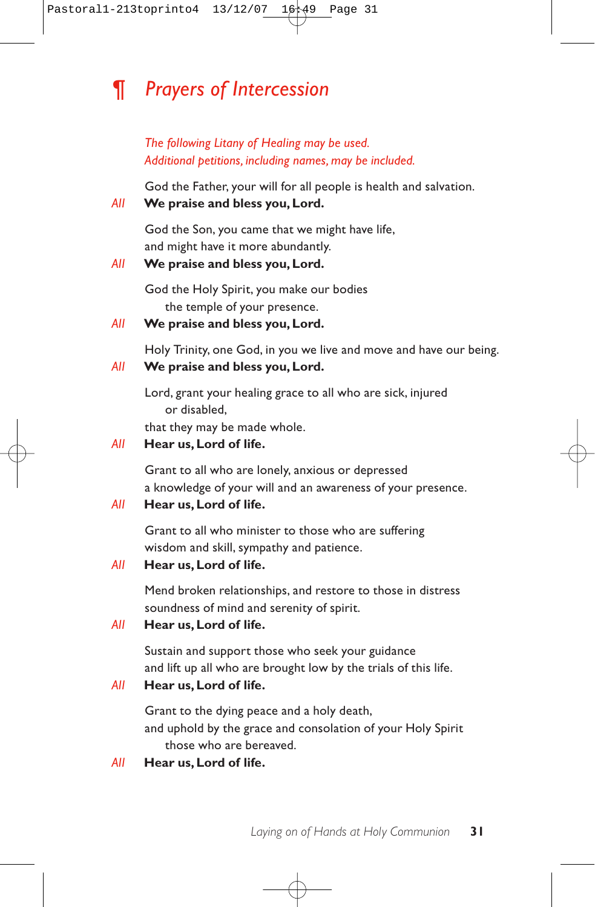# *¶ Prayers of Intercession*

*The following Litany of Healing may be used. Additional petitions, including names, may be included.*

God the Father, your will for all people is health and salvation.

## *All* **We praise and bless you, Lord.**

God the Son, you came that we might have life, and might have it more abundantly.

## *All* **We praise and bless you, Lord.**

God the Holy Spirit, you make our bodies the temple of your presence.

## *All* **We praise and bless you, Lord.**

Holy Trinity, one God, in you we live and move and have our being.

### *All* **We praise and bless you, Lord.**

Lord, grant your healing grace to all who are sick, injured or disabled,

that they may be made whole.

### *All* **Hear us, Lord of life.**

Grant to all who are lonely, anxious or depressed a knowledge of your will and an awareness of your presence.

#### *All* **Hear us, Lord of life.**

Grant to all who minister to those who are suffering wisdom and skill, sympathy and patience.

### *All* **Hear us, Lord of life.**

Mend broken relationships, and restore to those in distress soundness of mind and serenity of spirit.

## *All* **Hear us, Lord of life.**

Sustain and support those who seek your guidance and lift up all who are brought low by the trials of this life.

### *All* **Hear us, Lord of life.**

Grant to the dying peace and a holy death, and uphold by the grace and consolation of your Holy Spirit those who are bereaved.

#### *All* **Hear us,Lord of life.**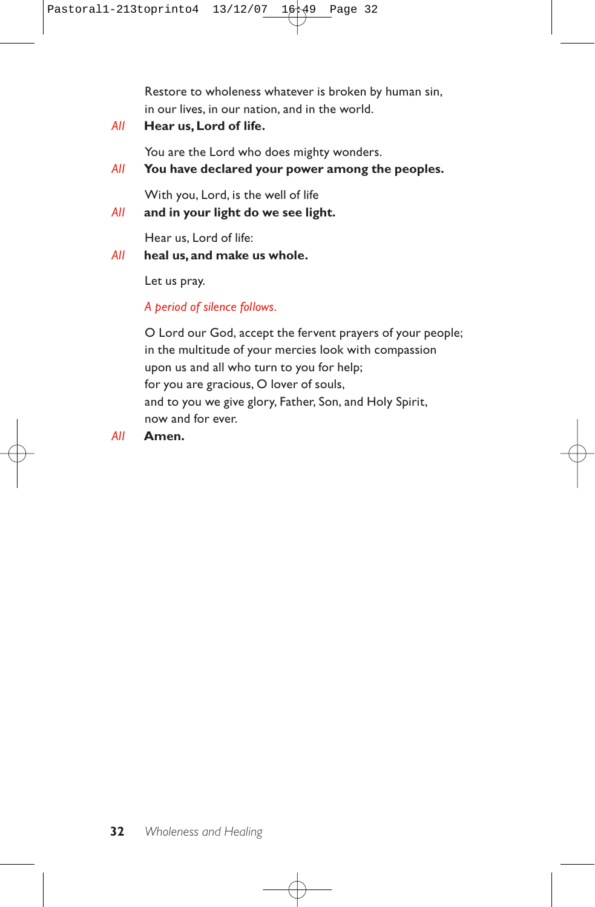Restore to wholeness whatever is broken by human sin, in our lives, in our nation, and in the world.

*All* **Hear us, Lord of life.**

You are the Lord who does mighty wonders.

*All* **You have declared your power among the peoples.**

With you, Lord, is the well of life

*All* **and in your light do we see light.**

Hear us, Lord of life:

*All* **heal us, and make us whole.**

Let us pray.

*A period of silence follows.*

O Lord our God, accept the fervent prayers of your people; in the multitude of your mercies look with compassion upon us and all who turn to you for help; for you are gracious, O lover of souls, and to you we give glory, Father, Son, and Holy Spirit, now and for ever.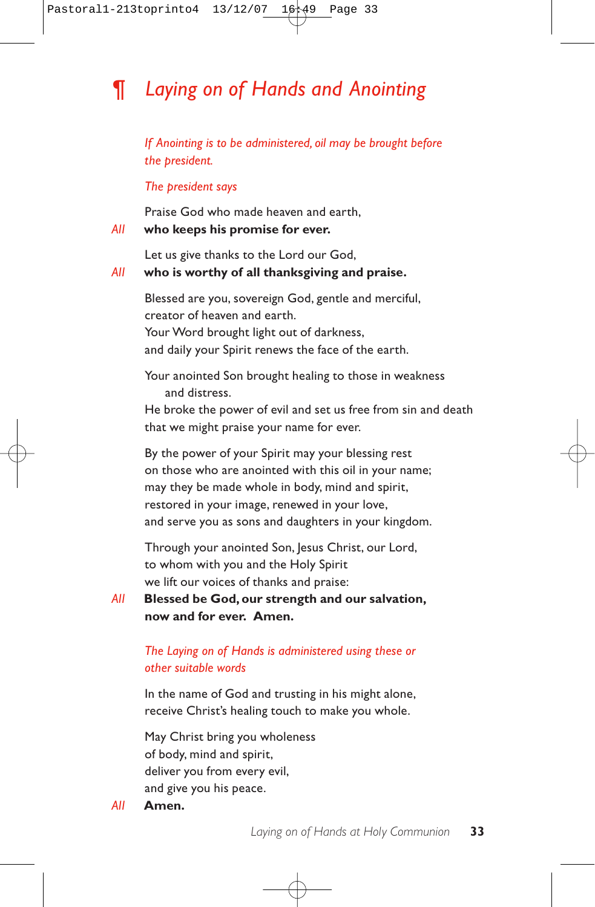# *¶ Laying on of Hands and Anointing*

*If Anointing is to be administered, oil may be brought before the president.*

*The president says*

Praise God who made heaven and earth, *All* **who keeps his promise for ever.**

Let us give thanks to the Lord our God, *All* **who is worthy of all thanksgiving and praise.**

> Blessed are you, sovereign God, gentle and merciful, creator of heaven and earth. Your Word brought light out of darkness, and daily your Spirit renews the face of the earth.

Your anointed Son brought healing to those in weakness and distress.

He broke the power of evil and set us free from sin and death that we might praise your name for ever.

By the power of your Spirit may your blessing rest on those who are anointed with this oil in your name; may they be made whole in body, mind and spirit, restored in your image, renewed in your love, and serve you as sons and daughters in your kingdom.

Through your anointed Son, Jesus Christ, our Lord, to whom with you and the Holy Spirit we lift our voices of thanks and praise:

*All* **Blessed be God, our strength and our salvation, now and for ever. Amen.**

### *The Laying on of Hands is administered using these or other suitable words*

In the name of God and trusting in his might alone, receive Christ's healing touch to make you whole.

May Christ bring you wholeness of body, mind and spirit, deliver you from every evil, and give you his peace.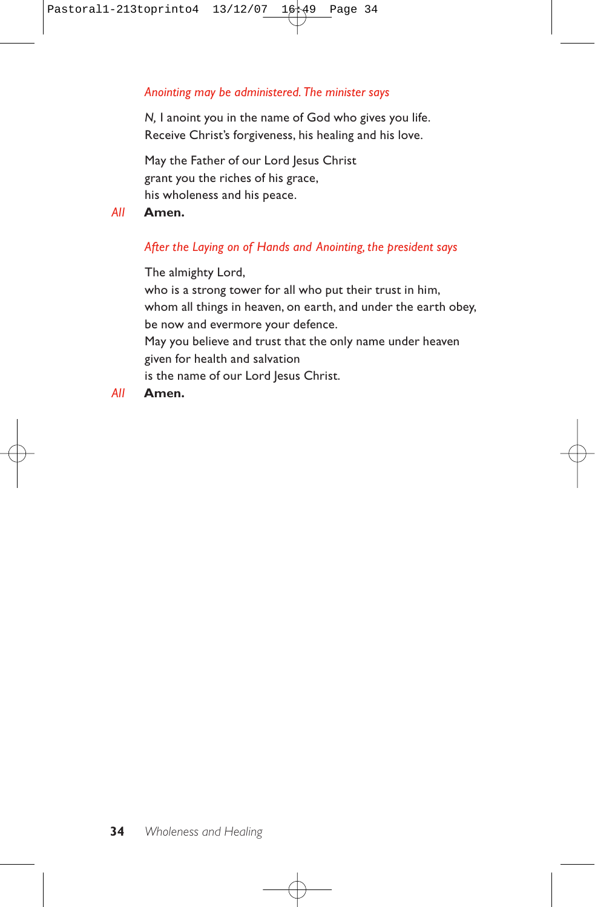### *Anointing may be administered. The minister says*

*N,* I anoint you in the name of God who gives you life. Receive Christ's forgiveness, his healing and his love.

May the Father of our Lord Jesus Christ grant you the riches of his grace, his wholeness and his peace.

### *All* **Amen.**

## *After the Laying on of Hands and Anointing, the president says*

The almighty Lord,

who is a strong tower for all who put their trust in him, whom all things in heaven, on earth, and under the earth obey, be now and evermore your defence. May you believe and trust that the only name under heaven given for health and salvation is the name of our Lord Jesus Christ.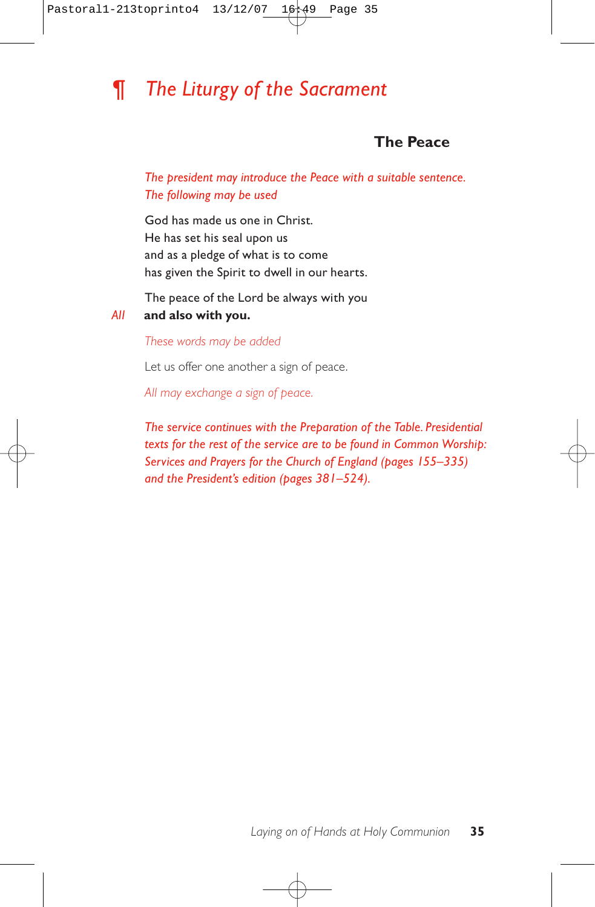# *¶ The Liturgy of the Sacrament*

## **The Peace**

*The president may introduce the Peace with a suitable sentence. The following may be used*

God has made us one in Christ. He has set his seal upon us and as a pledge of what is to come has given the Spirit to dwell in our hearts.

The peace of the Lord be always with you

#### *All* **and also with you.**

*These words may be added*

Let us offer one another a sign of peace.

*All may exchange a sign of peace.*

*The service continues with the Preparation of the Table. Presidential texts for the rest of the service are to be found in Common Worship: Services and Prayers for the Church of England (pages 155–335) and the President's edition (pages 381–524).*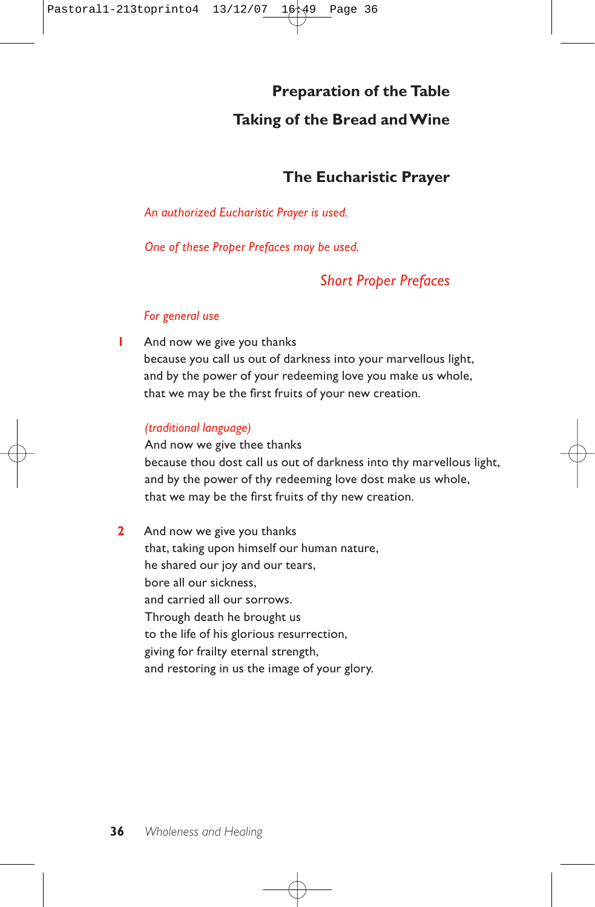# **Preparation of the Table Taking of the Bread and Wine**

## **The Eucharistic Prayer**

## *An authorized Eucharistic Prayer is used.*

*One of these Proper Prefaces may be used.*

## *Short Proper Prefaces*

## *For general use*

**1** And now we give you thanks because you call us out of darkness into your marvellous light, and by the power of your redeeming love you make us whole, that we may be the first fruits of your new creation.

## *(traditional language)*

And now we give thee thanks because thou dost call us out of darkness into thy marvellous light, and by the power of thy redeeming love dost make us whole, that we may be the first fruits of thy new creation.

**2** And now we give you thanks that, taking upon himself our human nature, he shared our joy and our tears, bore all our sickness, and carried all our sorrows. Through death he brought us to the life of his glorious resurrection, giving for frailty eternal strength, and restoring in us the image of your glory.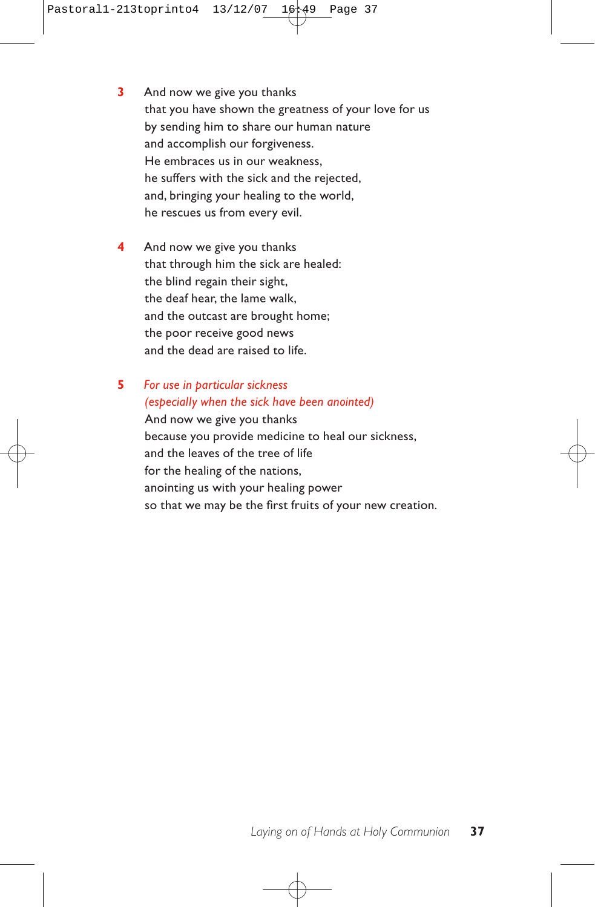- **3** And now we give you thanks that you have shown the greatness of your love for us by sending him to share our human nature and accomplish our forgiveness. He embraces us in our weakness, he suffers with the sick and the rejected, and, bringing your healing to the world, he rescues us from every evil.
- **4** And now we give you thanks that through him the sick are healed: the blind regain their sight, the deaf hear, the lame walk, and the outcast are brought home; the poor receive good news and the dead are raised to life.

## **5** *For use in particular sickness (especially when the sick have been anointed)*  And now we give you thanks

because you provide medicine to heal our sickness, and the leaves of the tree of life for the healing of the nations, anointing us with your healing power so that we may be the first fruits of your new creation.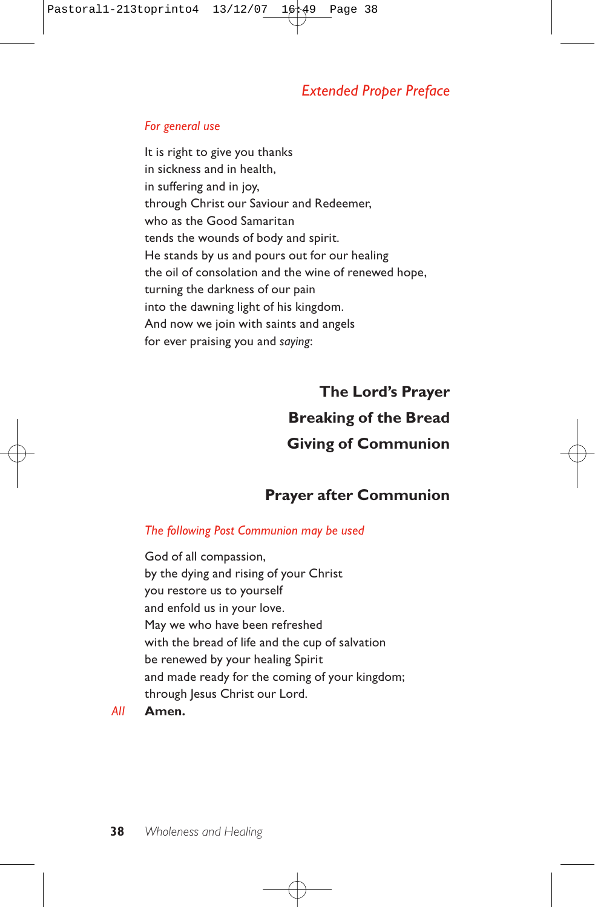## *Extended Proper Preface*

#### *For general use*

It is right to give you thanks in sickness and in health, in suffering and in joy, through Christ our Saviour and Redeemer, who as the Good Samaritan tends the wounds of body and spirit. He stands by us and pours out for our healing the oil of consolation and the wine of renewed hope, turning the darkness of our pain into the dawning light of his kingdom. And now we join with saints and angels for ever praising you and *saying*:

> **The Lord's Prayer Breaking of the Bread Giving of Communion**

## **Prayer after Communion**

#### *The following Post Communion may be used*

God of all compassion, by the dying and rising of your Christ you restore us to yourself and enfold us in your love. May we who have been refreshed with the bread of life and the cup of salvation be renewed by your healing Spirit and made ready for the coming of your kingdom; through Jesus Christ our Lord.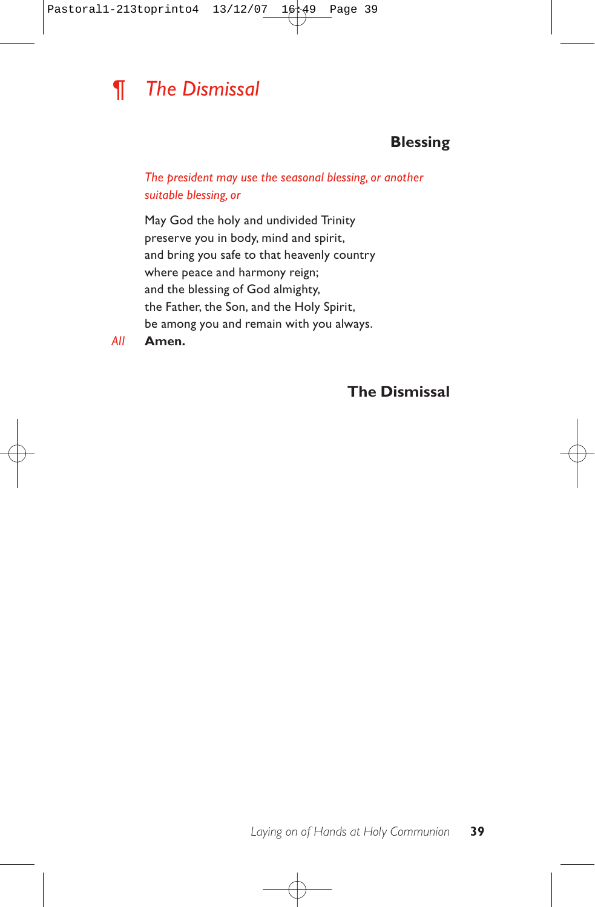

## **Blessing**

*The president may use the seasonal blessing, or another suitable blessing, or*

May God the holy and undivided Trinity preserve you in body, mind and spirit, and bring you safe to that heavenly country where peace and harmony reign; and the blessing of God almighty, the Father, the Son, and the Holy Spirit, be among you and remain with you always.

*All* **Amen.**

**The Dismissal**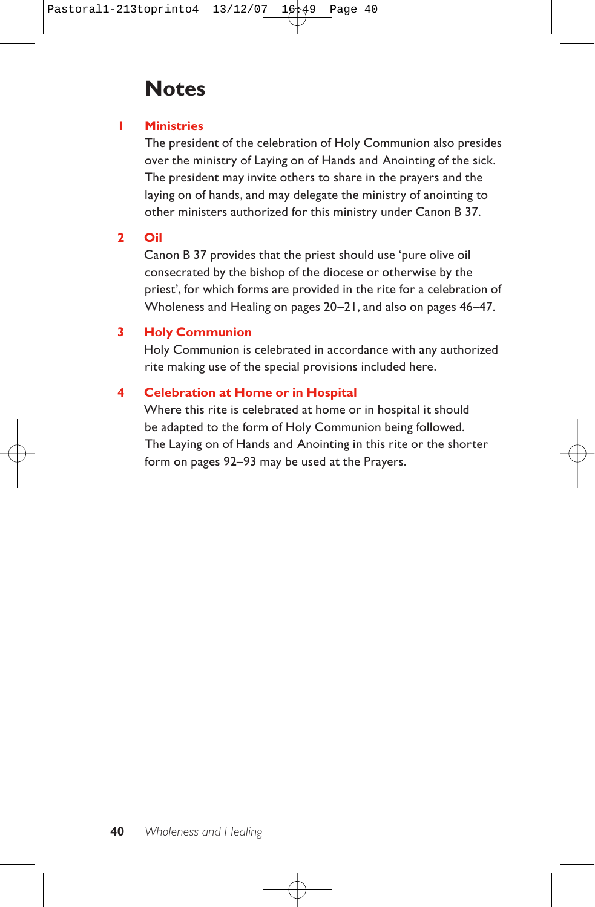## **Notes**

## **1 Ministries**

The president of the celebration of Holy Communion also presides over the ministry of Laying on of Hands and Anointing of the sick. The president may invite others to share in the prayers and the laying on of hands, and may delegate the ministry of anointing to other ministers authorized for this ministry under Canon B 37.

## **2 Oil**

Canon B 37 provides that the priest should use 'pure olive oil consecrated by the bishop of the diocese or otherwise by the priest', for which forms are provided in the rite for a celebration of Wholeness and Healing on pages 20–21, and also on pages 46–47.

## **3 Holy Communion**

Holy Communion is celebrated in accordance with any authorized rite making use of the special provisions included here.

## **4 Celebration at Home or in Hospital**

Where this rite is celebrated at home or in hospital it should be adapted to the form of Holy Communion being followed. The Laying on of Hands and Anointing in this rite or the shorter form on pages 92–93 may be used at the Prayers.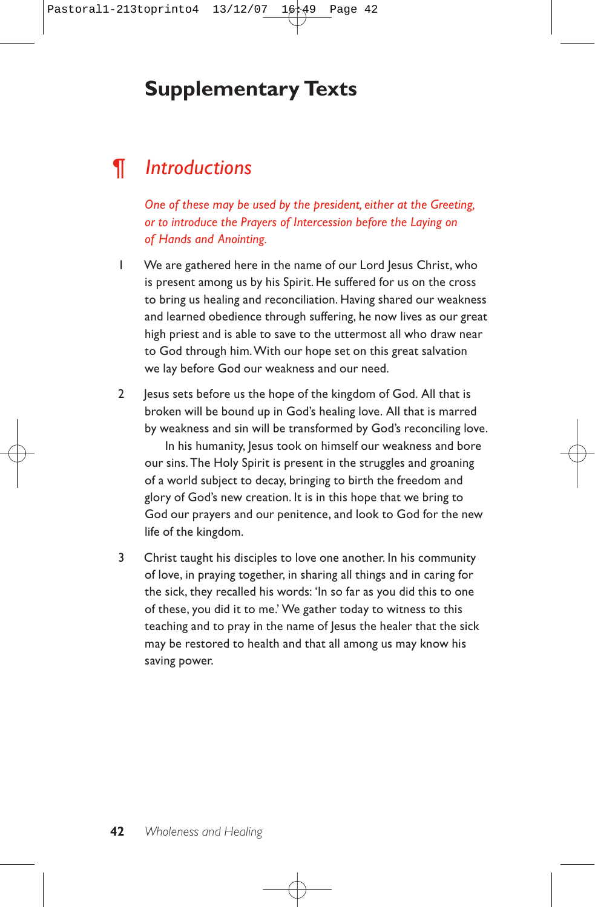# **Supplementary Texts**

# *¶ Introductions*

*One of these may be used by the president, either at the Greeting, or to introduce the Prayers of Intercession before the Laying on of Hands and Anointing.*

- 1 We are gathered here in the name of our Lord Jesus Christ, who is present among us by his Spirit. He suffered for us on the cross to bring us healing and reconciliation. Having shared our weakness and learned obedience through suffering, he now lives as our great high priest and is able to save to the uttermost all who draw near to God through him.With our hope set on this great salvation we lay before God our weakness and our need.
- 2 Jesus sets before us the hope of the kingdom of God. All that is broken will be bound up in God's healing love. All that is marred by weakness and sin will be transformed by God's reconciling love.

In his humanity, Jesus took on himself our weakness and bore our sins. The Holy Spirit is present in the struggles and groaning of a world subject to decay, bringing to birth the freedom and glory of God's new creation. It is in this hope that we bring to God our prayers and our penitence, and look to God for the new life of the kingdom.

3 Christ taught his disciples to love one another. In his community of love, in praying together, in sharing all things and in caring for the sick, they recalled his words: 'In so far as you did this to one of these, you did it to me.' We gather today to witness to this teaching and to pray in the name of Jesus the healer that the sick may be restored to health and that all among us may know his saving power.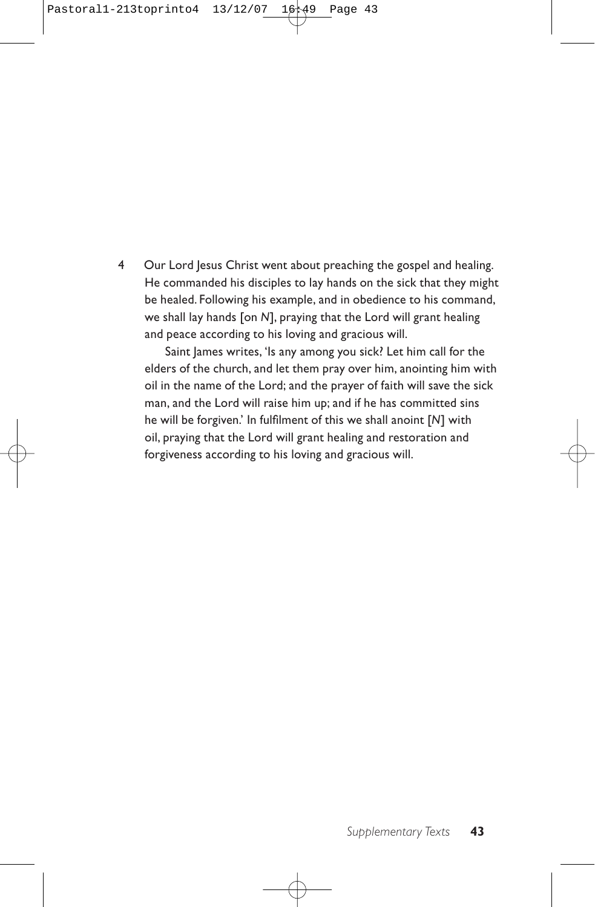4 Our Lord Jesus Christ went about preaching the gospel and healing. He commanded his disciples to lay hands on the sick that they might be healed. Following his example, and in obedience to his command, we shall lay hands [on *N*], praying that the Lord will grant healing and peace according to his loving and gracious will.

Saint James writes, 'Is any among you sick? Let him call for the elders of the church, and let them pray over him, anointing him with oil in the name of the Lord; and the prayer of faith will save the sick man, and the Lord will raise him up; and if he has committed sins he will be forgiven.' In fulfilment of this we shall anoint [*N*] with oil, praying that the Lord will grant healing and restoration and forgiveness according to his loving and gracious will.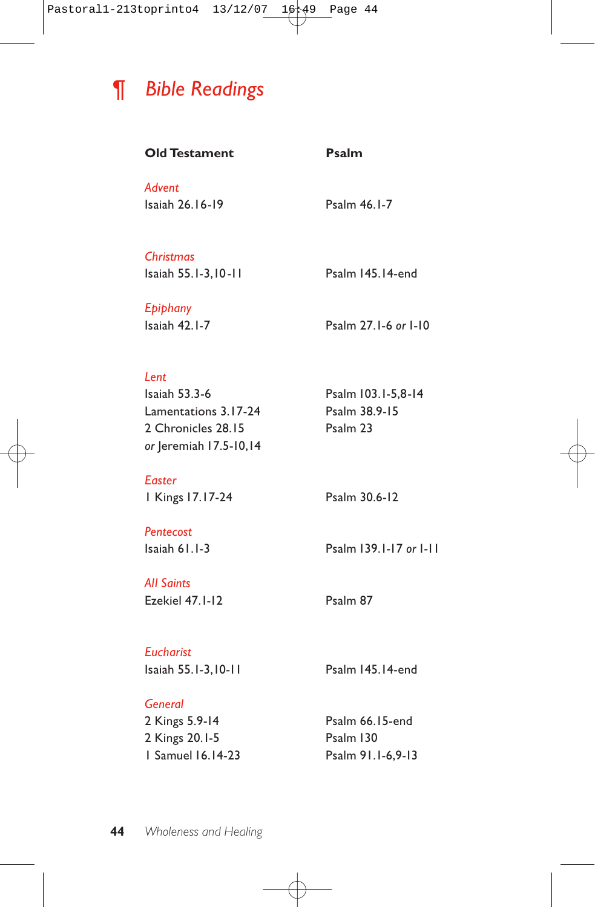

| <b>Old Testament</b>                                                                          | Psalm                                             |
|-----------------------------------------------------------------------------------------------|---------------------------------------------------|
| Advent<br>Isaiah 26.16-19                                                                     | Psalm 46.1-7                                      |
| <b>Christmas</b><br>Isaiah 55.1-3,10-11                                                       | Psalm 145.14-end                                  |
| Epiphany<br>Isaiah 42.1-7                                                                     | Psalm 27.1-6 or 1-10                              |
| Lent<br>Isaiah 53.3-6<br>Lamentations 3.17-24<br>2 Chronicles 28.15<br>or Jeremiah 17.5-10,14 | Psalm 103.1-5,8-14<br>Psalm 38.9-15<br>Psalm 23   |
| <b>Easter</b><br>  Kings 17.17-24                                                             | Psalm 30.6-12                                     |
| Pentecost<br>Isaiah 61.1-3                                                                    | Psalm 139.1-17 or 1-11                            |
| <b>All Saints</b><br>Ezekiel 47.1-12                                                          | Psalm 87                                          |
| <b>Eucharist</b><br>Isaiah 55.1-3,10-11                                                       | Psalm 145.14-end                                  |
| General<br>2 Kings 5.9-14<br>2 Kings 20.1-5<br><b>1 Samuel 16, 14-23</b>                      | Psalm 66.15-end<br>Psalm 130<br>Psalm 91.1-6,9-13 |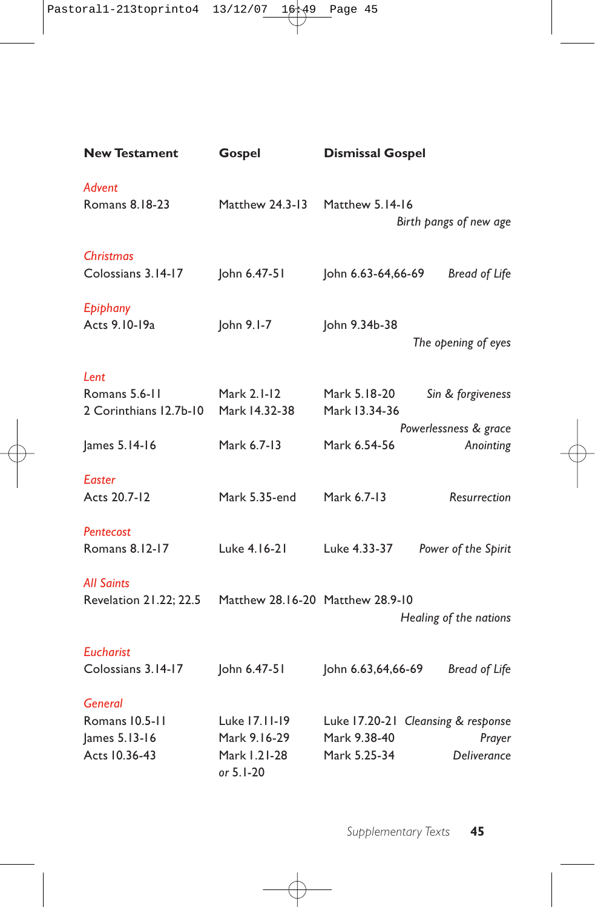| <b>New Testament</b>                                               | Gospel                                                     | <b>Dismissal Gospel</b>                                                                            |
|--------------------------------------------------------------------|------------------------------------------------------------|----------------------------------------------------------------------------------------------------|
| Advent<br>Romans 8.18-23                                           | Matthew 24.3-13                                            | Matthew 5.14-16<br>Birth pangs of new age                                                          |
| <b>Christmas</b><br>Colossians 3.14-17                             | John 6.47-51                                               | John 6.63-64,66-69<br><b>Bread of Life</b>                                                         |
| Epiphany<br>Acts 9.10-19a                                          | John 9.1-7                                                 | John 9.34b-38<br>The opening of eyes                                                               |
| Lent<br>Romans 5.6-11<br>2 Corinthians 12.7b-10                    | Mark 2.1-12<br>Mark 14.32-38                               | Mark 5.18-20<br>Sin & forgiveness<br>Mark 13.34-36                                                 |
| James 5.14-16                                                      | Mark 6.7-13                                                | Powerlessness & grace<br>Anointing<br>Mark 6.54-56                                                 |
| Easter<br>Acts 20.7-12                                             | Mark 5.35-end                                              | Mark 6.7-13<br>Resurrection                                                                        |
| Pentecost<br>Romans 8.12-17                                        | Luke 4.16-21                                               | Luke 4.33-37<br>Power of the Spirit                                                                |
| <b>All Saints</b><br>Revelation 21.22; 22.5                        | Matthew 28.16-20 Matthew 28.9-10                           | Healing of the nations                                                                             |
| <b>Eucharist</b><br>Colossians 3.14-17                             | John 6.47-51                                               | John 6.63,64,66-69<br><b>Bread of Life</b>                                                         |
| <b>General</b><br>Romans 10.5-11<br>James 5.13-16<br>Acts 10.36-43 | Luke 17.11-19<br>Mark 9.16-29<br>Mark 1.21-28<br>or 5.1-20 | Luke 17.20-21 Cleansing & response<br>Mark 9.38-40<br>Prayer<br>Mark 5.25-34<br><b>Deliverance</b> |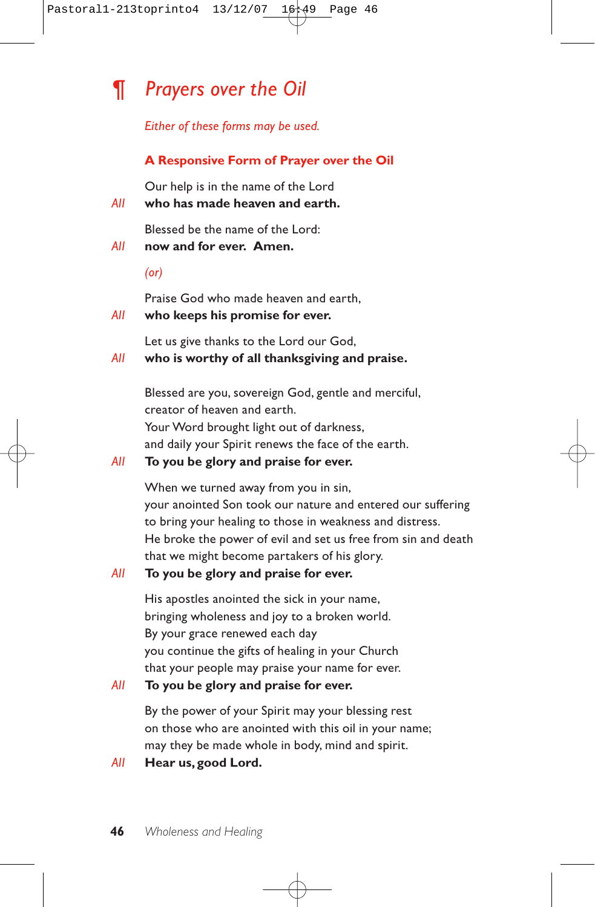# *¶ Prayers over the Oil*

*Either of these forms may be used.*

## **A Responsive Form of Prayer over the Oil**

Our help is in the name of the Lord

*All* **who has made heaven and earth.**

Blessed be the name of the Lord:

*All* **now and for ever. Amen.**

*(or)*

Praise God who made heaven and earth,

### *All* **who keeps his promise for ever.**

Let us give thanks to the Lord our God,

## *All* **who is worthy of all thanksgiving and praise.**

Blessed are you, sovereign God, gentle and merciful, creator of heaven and earth. Your Word brought light out of darkness, and daily your Spirit renews the face of the earth.

### *All* **To you be glory and praise for ever.**

When we turned away from you in sin, your anointed Son took our nature and entered our suffering to bring your healing to those in weakness and distress. He broke the power of evil and set us free from sin and death that we might become partakers of his glory.

## *All* **To you be glory and praise for ever.**

His apostles anointed the sick in your name, bringing wholeness and joy to a broken world. By your grace renewed each day you continue the gifts of healing in your Church that your people may praise your name for ever.

### *All* **To you be glory and praise for ever.**

By the power of your Spirit may your blessing rest on those who are anointed with this oil in your name; may they be made whole in body, mind and spirit.

*All* **Hear us, good Lord.**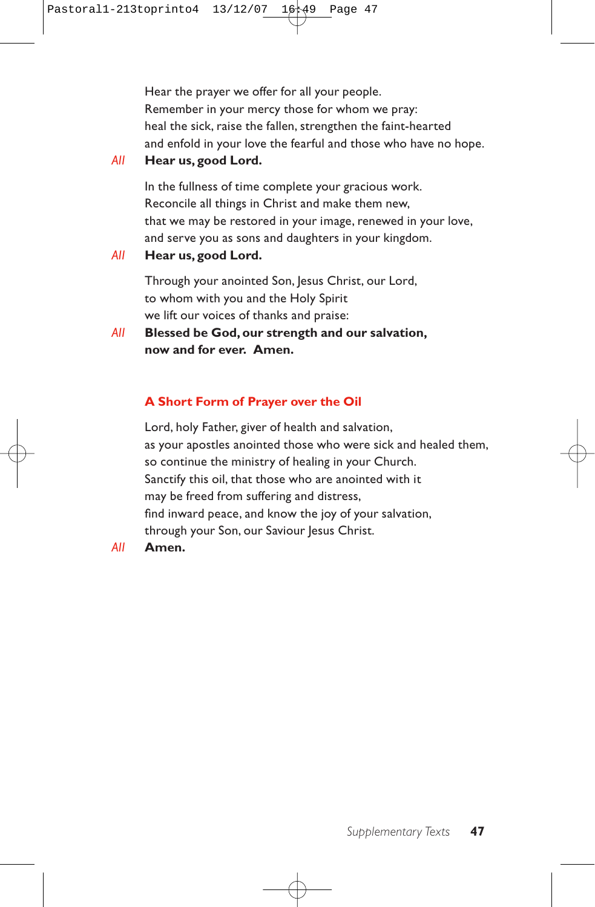Hear the prayer we offer for all your people. Remember in your mercy those for whom we pray: heal the sick, raise the fallen, strengthen the faint-hearted and enfold in your love the fearful and those who have no hope.

*All* **Hear us, good Lord.**

In the fullness of time complete your gracious work. Reconcile all things in Christ and make them new, that we may be restored in your image, renewed in your love, and serve you as sons and daughters in your kingdom.

*All* **Hear us, good Lord.**

Through your anointed Son, Jesus Christ, our Lord, to whom with you and the Holy Spirit we lift our voices of thanks and praise:

*All* **Blessed be God, our strength and our salvation, now and for ever. Amen.**

## **A Short Form of Prayer over the Oil**

Lord, holy Father, giver of health and salvation, as your apostles anointed those who were sick and healed them, so continue the ministry of healing in your Church. Sanctify this oil, that those who are anointed with it may be freed from suffering and distress, find inward peace, and know the joy of your salvation, through your Son, our Saviour Jesus Christ.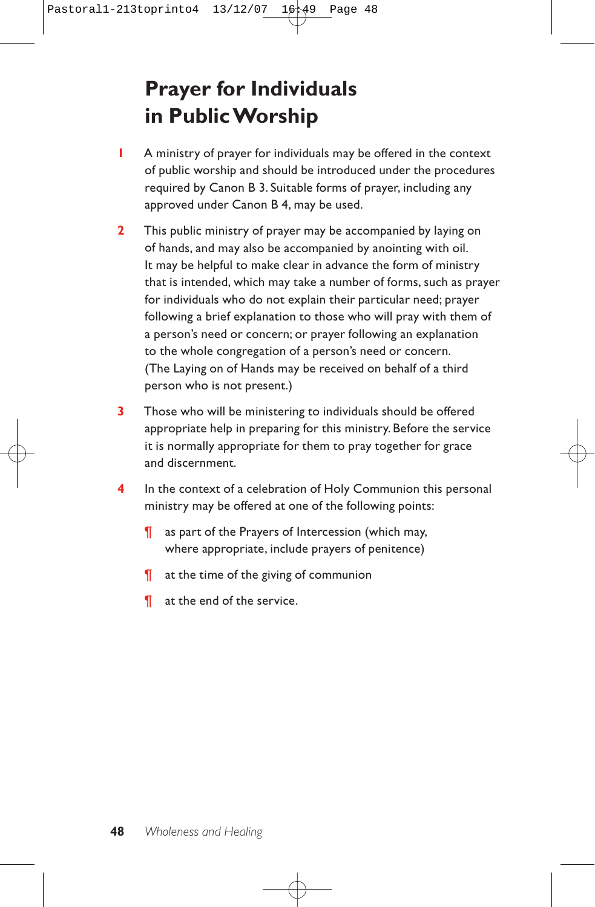# **Prayer for Individuals in Public Worship**

- **1** A ministry of prayer for individuals may be offered in the context of public worship and should be introduced under the procedures required by Canon B 3. Suitable forms of prayer, including any approved under Canon B 4, may be used.
- **2** This public ministry of prayer may be accompanied by laying on of hands, and may also be accompanied by anointing with oil. It may be helpful to make clear in advance the form of ministry that is intended, which may take a number of forms, such as prayer for individuals who do not explain their particular need; prayer following a brief explanation to those who will pray with them of a person's need or concern; or prayer following an explanation to the whole congregation of a person's need or concern. (The Laying on of Hands may be received on behalf of a third person who is not present.)
- **3** Those who will be ministering to individuals should be offered appropriate help in preparing for this ministry. Before the service it is normally appropriate for them to pray together for grace and discernment.
- **4** In the context of a celebration of Holy Communion this personal ministry may be offered at one of the following points:
	- ¶ as part of the Prayers of Intercession (which may, where appropriate, include prayers of penitence)
	- ¶ at the time of the giving of communion
	- ¶ at the end of the service.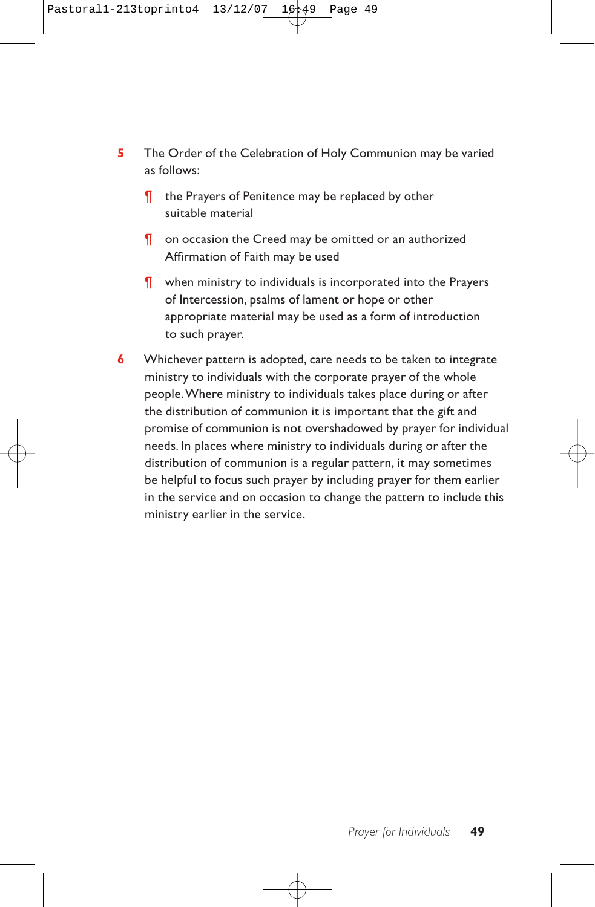- **5** The Order of the Celebration of Holy Communion may be varied as follows:
	- ¶ the Prayers of Penitence may be replaced by other suitable material
	- ¶ on occasion the Creed may be omitted or an authorized Affirmation of Faith may be used
	- ¶ when ministry to individuals is incorporated into the Prayers of Intercession, psalms of lament or hope or other appropriate material may be used as a form of introduction to such prayer.
- **6** Whichever pattern is adopted, care needs to be taken to integrate ministry to individuals with the corporate prayer of the whole people.Where ministry to individuals takes place during or after the distribution of communion it is important that the gift and promise of communion is not overshadowed by prayer for individual needs. In places where ministry to individuals during or after the distribution of communion is a regular pattern, it may sometimes be helpful to focus such prayer by including prayer for them earlier in the service and on occasion to change the pattern to include this ministry earlier in the service.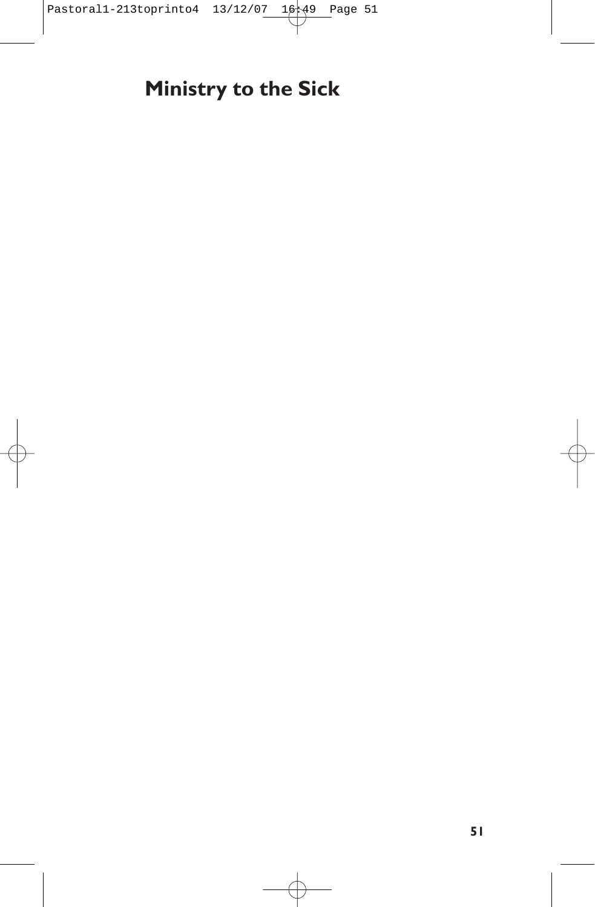# **Ministry to the Sick**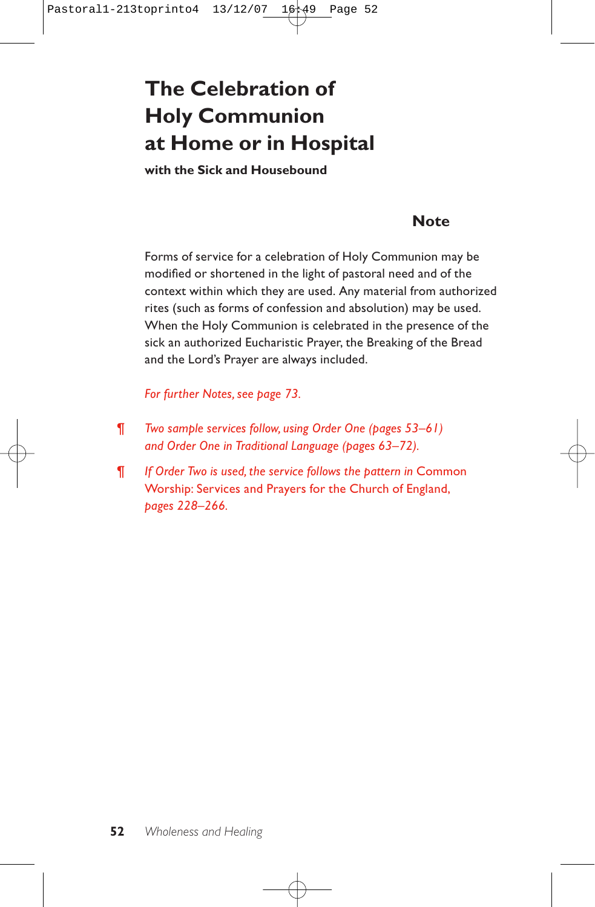# **The Celebration of Holy Communion at Home or in Hospital**

**with the Sick and Housebound**

## **Note**

Forms of service for a celebration of Holy Communion may be modified or shortened in the light of pastoral need and of the context within which they are used. Any material from authorized rites (such as forms of confession and absolution) may be used. When the Holy Communion is celebrated in the presence of the sick an authorized Eucharistic Prayer, the Breaking of the Bread and the Lord's Prayer are always included.

*For further Notes, see page 73.*

- ¶ *Two sample services follow, using Order One (pages 53–61) and Order One in Traditional Language (pages 63–72).*
- ¶ *If Order Two is used, the service follows the pattern in* Common Worship: Services and Prayers for the Church of England, *pages 228–266.*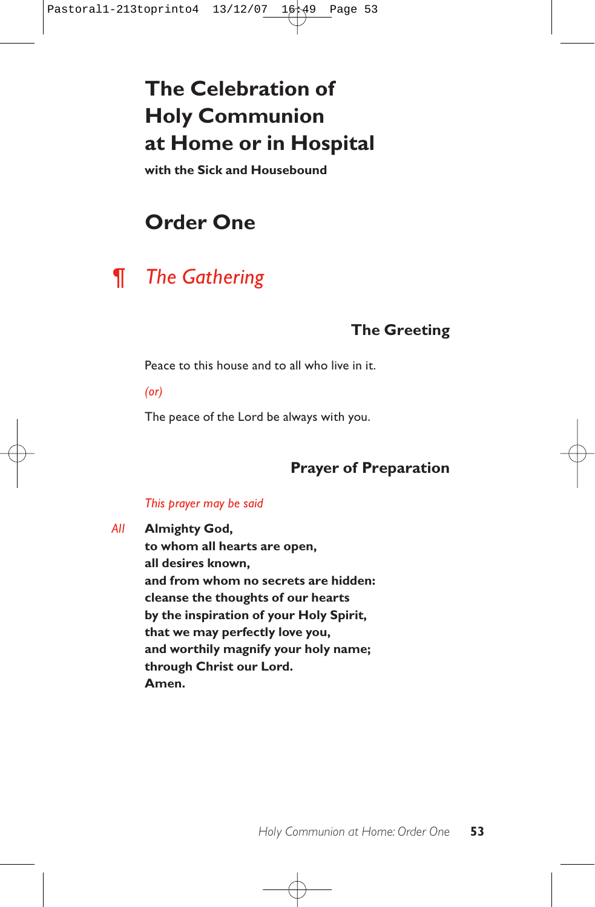# **The Celebration of Holy Communion at Home or in Hospital**

**with the Sick and Housebound**

# **Order One**

# *¶ The Gathering*

# **The Greeting**

Peace to this house and to all who live in it.

*(or)*

The peace of the Lord be always with you.

# **Prayer of Preparation**

## *This prayer may be said*

*All* **Almighty God,**

**to whom all hearts are open, all desires known, and from whom no secrets are hidden: cleanse the thoughts of our hearts by the inspiration of your Holy Spirit, that we may perfectly love you, and worthily magnify your holy name; through Christ our Lord. Amen.**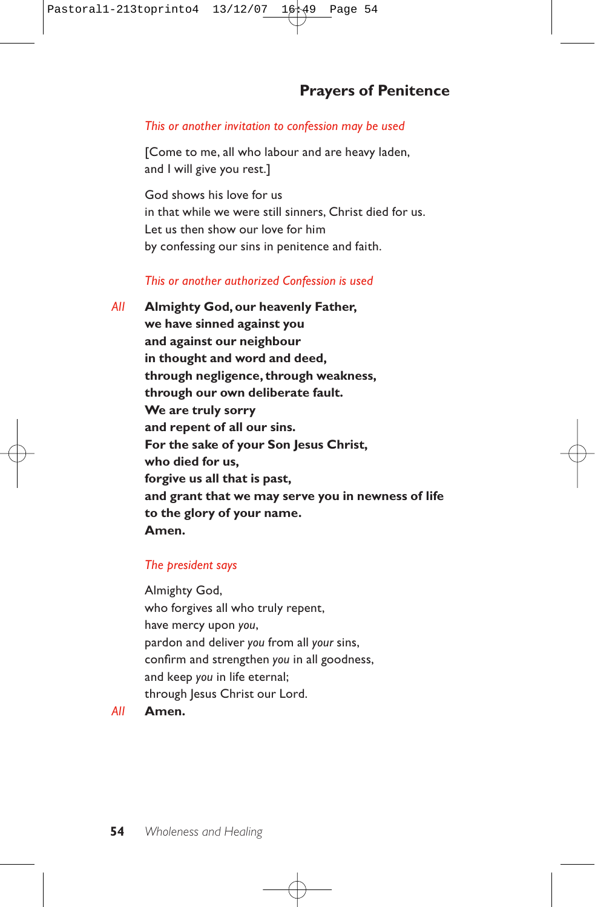## **Prayers of Penitence**

#### *This or another invitation to confession may be used*

[Come to me, all who labour and are heavy laden, and I will give you rest.]

God shows his love for us in that while we were still sinners, Christ died for us. Let us then show our love for him by confessing our sins in penitence and faith.

### *This or another authorized Confession is used*

*All* **Almighty God, our heavenly Father, we have sinned against you and against our neighbour in thought and word and deed, through negligence, through weakness, through our own deliberate fault. We are truly sorry and repent of all our sins. For the sake of your Son Jesus Christ, who died for us, forgive us all that is past, and grant that we may serve you in newness of life to the glory of your name. Amen.**

#### *The president says*

Almighty God, who forgives all who truly repent, have mercy upon *you*, pardon and deliver *you* from all *your* sins, confirm and strengthen *you* in all goodness, and keep *you* in life eternal; through Jesus Christ our Lord.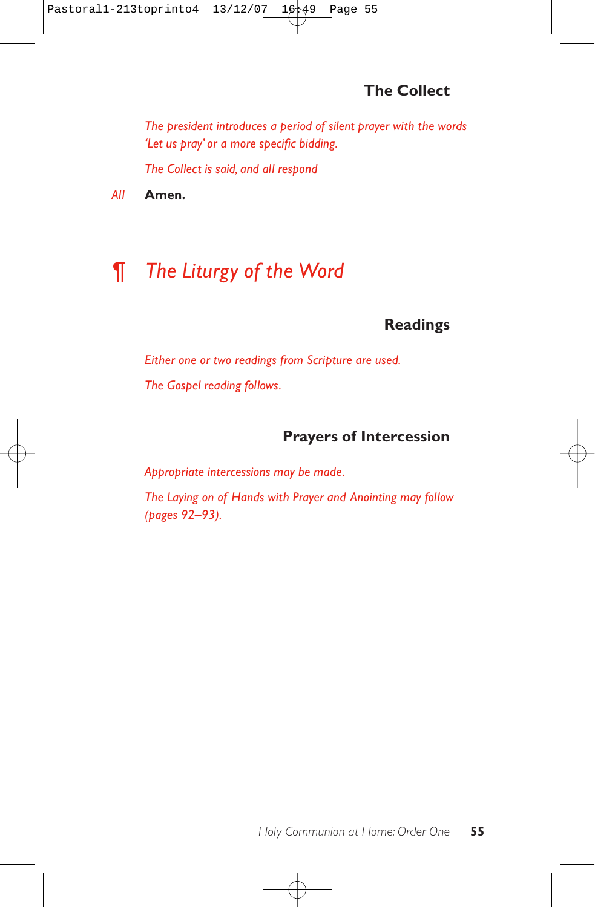# **The Collect**

*The president introduces a period of silent prayer with the words 'Let us pray' or a more specific bidding.*

*The Collect is said, and all respond* 

*All* **Amen.**

# *¶ The Liturgy of the Word*

## **Readings**

*Either one or two readings from Scripture are used. The Gospel reading follows.*

## **Prayers of Intercession**

*Appropriate intercessions may be made.*

*The Laying on of Hands with Prayer and Anointing may follow (pages 92–93).*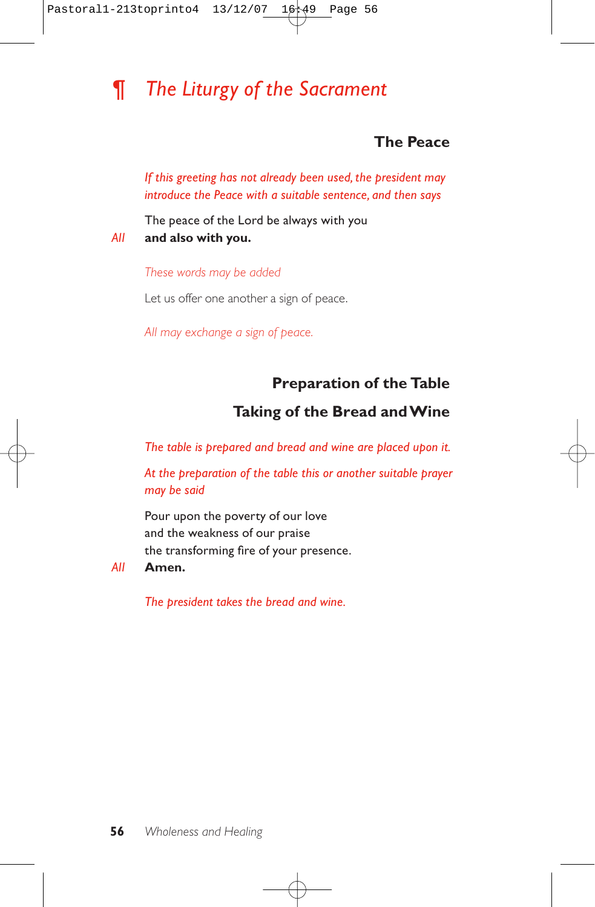# *¶ The Liturgy of the Sacrament*

## **The Peace**

*If this greeting has not already been used, the president may introduce the Peace with a suitable sentence, and then says*

The peace of the Lord be always with you *All* **and also with you.**

*These words may be added*

Let us offer one another a sign of peace.

*All may exchange a sign of peace.*

## **Preparation of the Table**

## **Taking of the Bread and Wine**

*The table is prepared and bread and wine are placed upon it.*

*At the preparation of the table this or another suitable prayer may be said*

Pour upon the poverty of our love and the weakness of our praise the transforming fire of your presence.

#### *All* **Amen.**

*The president takes the bread and wine.*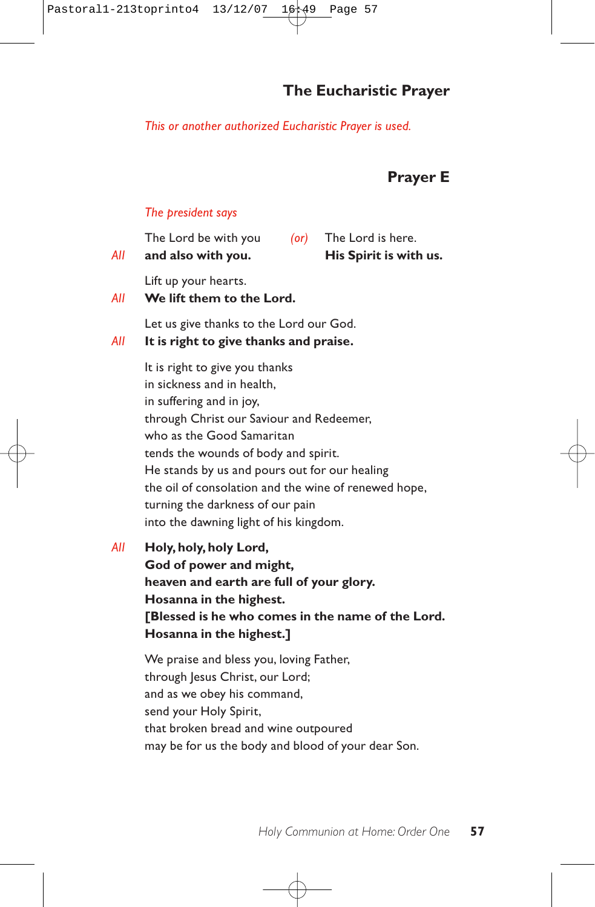## **The Eucharistic Prayer**

#### *This or another authorized Eucharistic Prayer is used.*

## **Prayer E**

#### *The president says*

| All | The Lord be with you<br>and also with you.                                                                                                                                                                                                                                                                                                                                                       | ( | The Lord is here.<br>His Spirit is with us. |  |  |
|-----|--------------------------------------------------------------------------------------------------------------------------------------------------------------------------------------------------------------------------------------------------------------------------------------------------------------------------------------------------------------------------------------------------|---|---------------------------------------------|--|--|
| All | Lift up your hearts.<br>We lift them to the Lord.                                                                                                                                                                                                                                                                                                                                                |   |                                             |  |  |
| All | Let us give thanks to the Lord our God.<br>It is right to give thanks and praise.                                                                                                                                                                                                                                                                                                                |   |                                             |  |  |
|     | It is right to give you thanks<br>in sickness and in health.<br>in suffering and in joy,<br>through Christ our Saviour and Redeemer,<br>who as the Good Samaritan<br>tends the wounds of body and spirit.<br>He stands by us and pours out for our healing<br>the oil of consolation and the wine of renewed hope,<br>turning the darkness of our pain<br>into the dawning light of his kingdom. |   |                                             |  |  |
|     | .                                                                                                                                                                                                                                                                                                                                                                                                |   |                                             |  |  |

*All* **Holy, holy, holy Lord, God of power and might, heaven and earth are full of your glory. Hosanna in the highest. [Blessed is he who comes in the name of the Lord. Hosanna in the highest.]**

We praise and bless you, loving Father, through Jesus Christ, our Lord; and as we obey his command, send your Holy Spirit, that broken bread and wine outpoured may be for us the body and blood of your dear Son.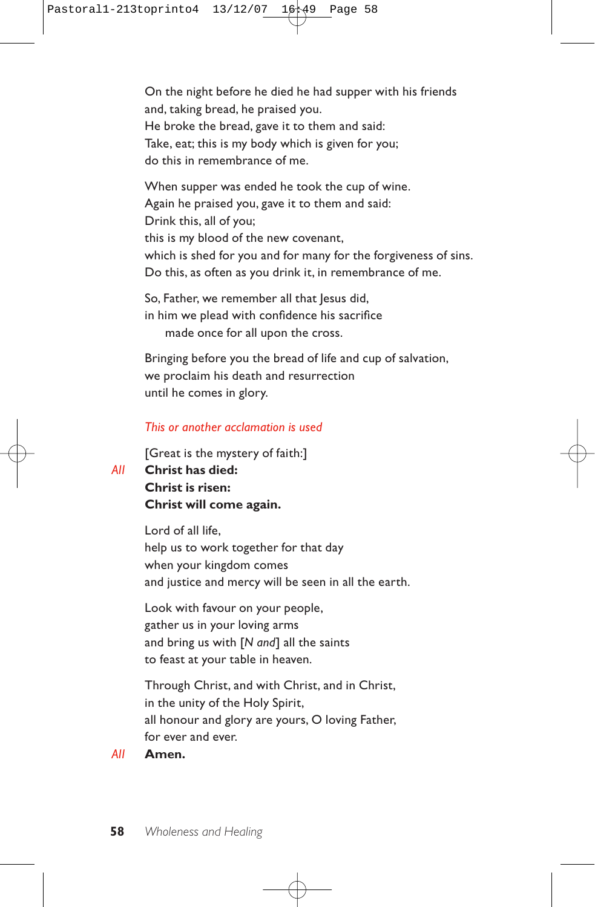On the night before he died he had supper with his friends and, taking bread, he praised you. He broke the bread, gave it to them and said: Take, eat; this is my body which is given for you; do this in remembrance of me.

When supper was ended he took the cup of wine. Again he praised you, gave it to them and said: Drink this, all of you; this is my blood of the new covenant, which is shed for you and for many for the forgiveness of sins. Do this, as often as you drink it, in remembrance of me.

So, Father, we remember all that Jesus did, in him we plead with confidence his sacrifice made once for all upon the cross.

Bringing before you the bread of life and cup of salvation, we proclaim his death and resurrection until he comes in glory.

#### *This or another acclamation is used*

[Great is the mystery of faith:]

*All* **Christ has died:**

**Christ is risen: Christ will come again.**

Lord of all life, help us to work together for that day when your kingdom comes and justice and mercy will be seen in all the earth.

Look with favour on your people, gather us in your loving arms and bring us with [*N and*] all the saints to feast at your table in heaven.

Through Christ, and with Christ, and in Christ, in the unity of the Holy Spirit, all honour and glory are yours, O loving Father, for ever and ever.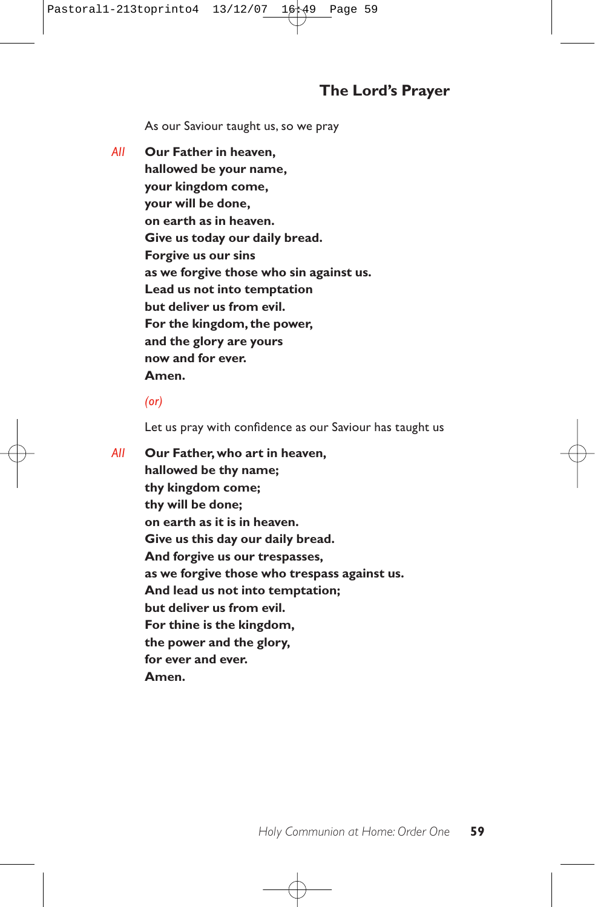As our Saviour taught us, so we pray

*All* **Our Father in heaven, hallowed be your name, your kingdom come, your will be done, on earth as in heaven. Give us today our daily bread. Forgive us our sins as we forgive those who sin against us. Lead us not into temptation but deliver us from evil. For the kingdom, the power, and the glory are yours now and for ever. Amen.**

#### *(or)*

Let us pray with confidence as our Saviour has taught us

*All* **Our Father, who art in heaven, hallowed be thy name; thy kingdom come; thy will be done; on earth as it is in heaven. Give us this day our daily bread. And forgive us our trespasses, as we forgive those who trespass against us. And lead us not into temptation; but deliver us from evil. For thine is the kingdom, the power and the glory, for ever and ever. Amen.**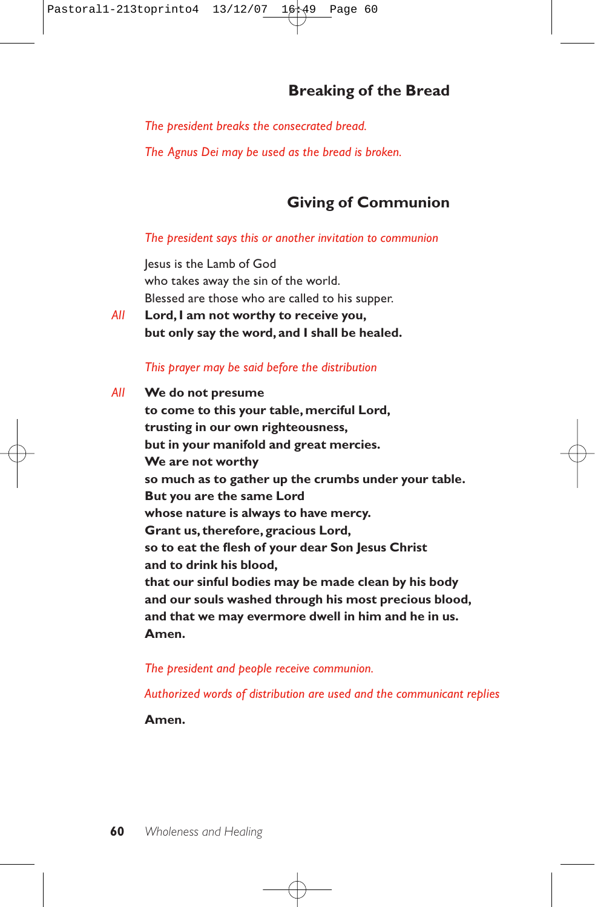# **Breaking of the Bread**

*The president breaks the consecrated bread.*

*The Agnus Dei may be used as the bread is broken.*

## **Giving of Communion**

#### *The president says this or another invitation to communion*

Jesus is the Lamb of God who takes away the sin of the world. Blessed are those who are called to his supper.

*All* **Lord, I am not worthy to receive you, but only say the word, and I shall be healed.**

#### *This prayer may be said before the distribution*

*All* **We do not presume to come to this your table, merciful Lord, trusting in our own righteousness, but in your manifold and great mercies. We are not worthy so much as to gather up the crumbs under your table. But you are the same Lord whose nature is always to have mercy. Grant us, therefore, gracious Lord, so to eat the flesh of your dear Son Jesus Christ and to drink his blood, that our sinful bodies may be made clean by his body and our souls washed through his most precious blood, and that we may evermore dwell in him and he in us. Amen.**

*The president and people receive communion.*

*Authorized words of distribution are used and the communicant replies* 

**Amen.**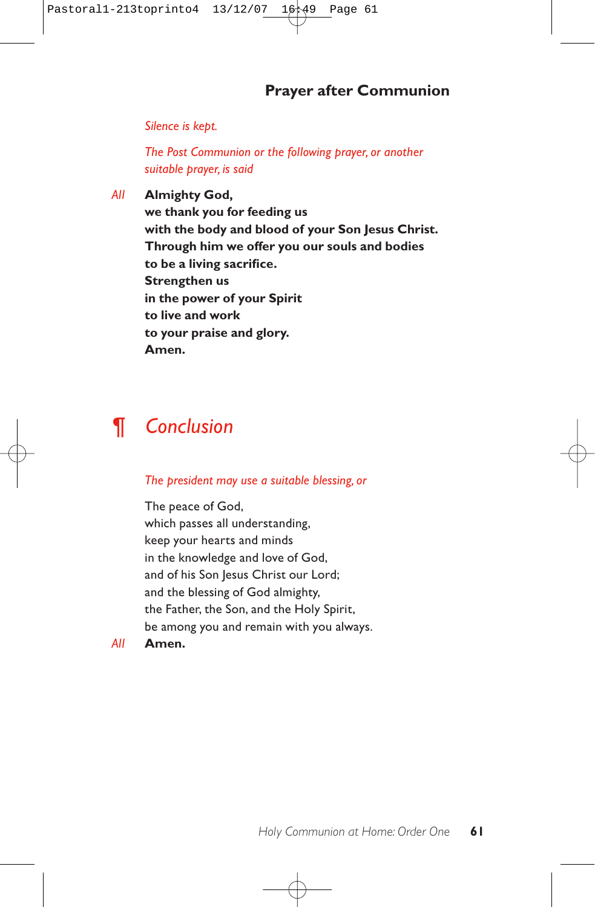## **Prayer after Communion**

*Silence is kept.*

*The Post Communion or the following prayer, or another suitable prayer, is said*

*All* **Almighty God, we thank you for feeding us with the body and blood of your Son Jesus Christ. Through him we offer you our souls and bodies to be a living sacrifice. Strengthen us in the power of your Spirit to live and work to your praise and glory. Amen.**

# *¶ Conclusion*

#### *The president may use a suitable blessing, or*

The peace of God, which passes all understanding, keep your hearts and minds in the knowledge and love of God, and of his Son Jesus Christ our Lord; and the blessing of God almighty, the Father, the Son, and the Holy Spirit, be among you and remain with you always.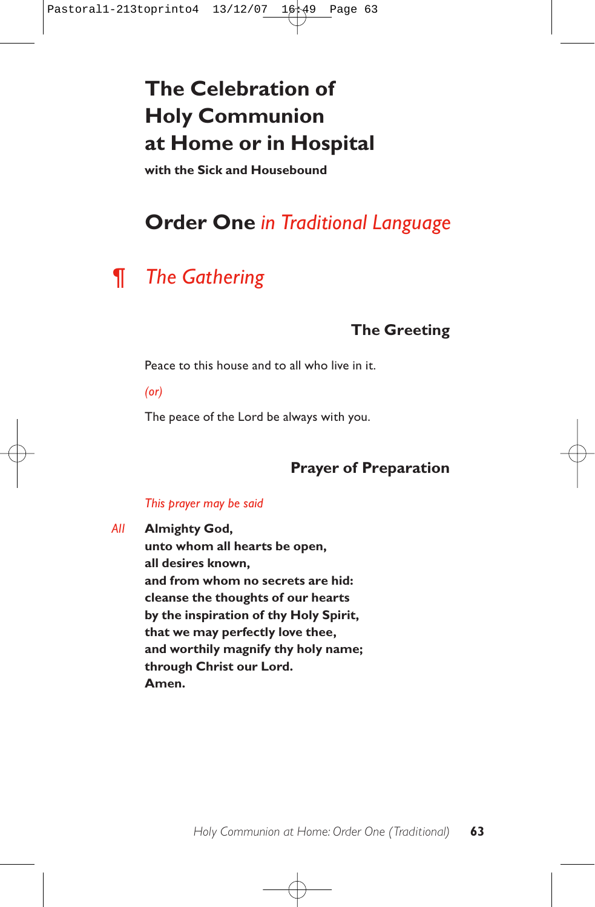# **The Celebration of Holy Communion at Home or in Hospital**

**with the Sick and Housebound**

# **Order One** *in Traditional Language*

# *¶ The Gathering*

# **The Greeting**

Peace to this house and to all who live in it.

*(or)*

The peace of the Lord be always with you.

## **Prayer of Preparation**

#### *This prayer may be said*

*All* **Almighty God,**

**unto whom all hearts be open, all desires known, and from whom no secrets are hid: cleanse the thoughts of our hearts by the inspiration of thy Holy Spirit, that we may perfectly love thee, and worthily magnify thy holy name; through Christ our Lord. Amen.**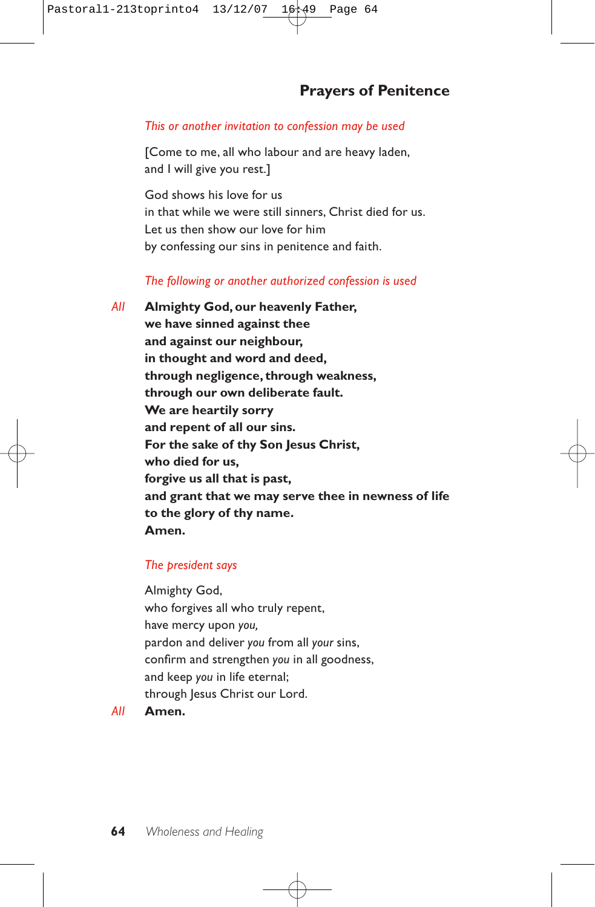## **Prayers of Penitence**

#### *This or another invitation to confession may be used*

[Come to me, all who labour and are heavy laden, and I will give you rest.]

God shows his love for us in that while we were still sinners, Christ died for us. Let us then show our love for him by confessing our sins in penitence and faith.

### *The following or another authorized confession is used*

*All* **Almighty God, our heavenly Father, we have sinned against thee and against our neighbour, in thought and word and deed, through negligence, through weakness, through our own deliberate fault. We are heartily sorry and repent of all our sins. For the sake of thy Son Jesus Christ, who died for us, forgive us all that is past, and grant that we may serve thee in newness of life to the glory of thy name. Amen.**

### *The president says*

Almighty God, who forgives all who truly repent, have mercy upon *you,* pardon and deliver *you* from all *your* sins, confirm and strengthen *you* in all goodness, and keep *you* in life eternal; through Jesus Christ our Lord.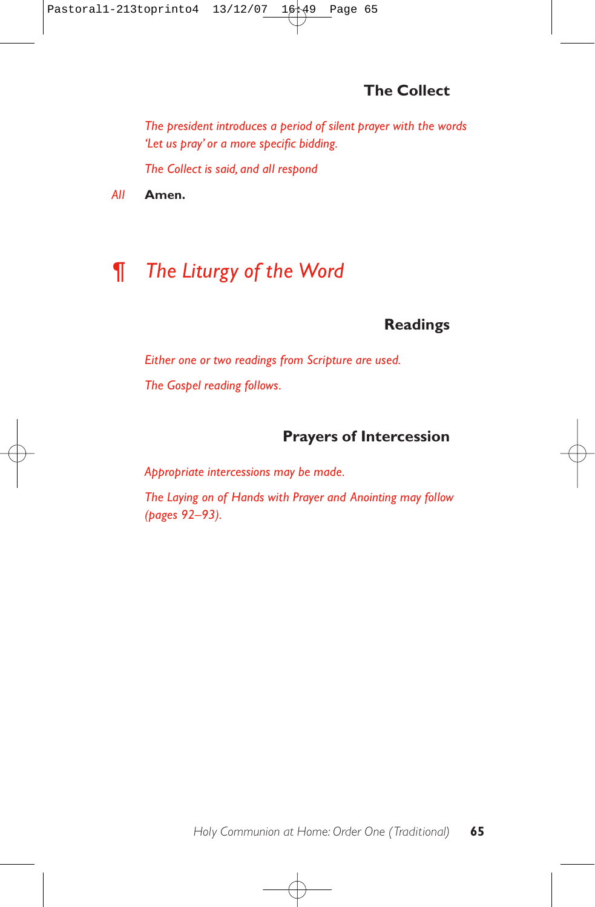# **The Collect**

*The president introduces a period of silent prayer with the words 'Let us pray' or a more specific bidding.*

*The Collect is said, and all respond* 

*All* **Amen.**

# *¶ The Liturgy of the Word*

## **Readings**

*Either one or two readings from Scripture are used. The Gospel reading follows.*

## **Prayers of Intercession**

*Appropriate intercessions may be made.*

*The Laying on of Hands with Prayer and Anointing may follow (pages 92–93).*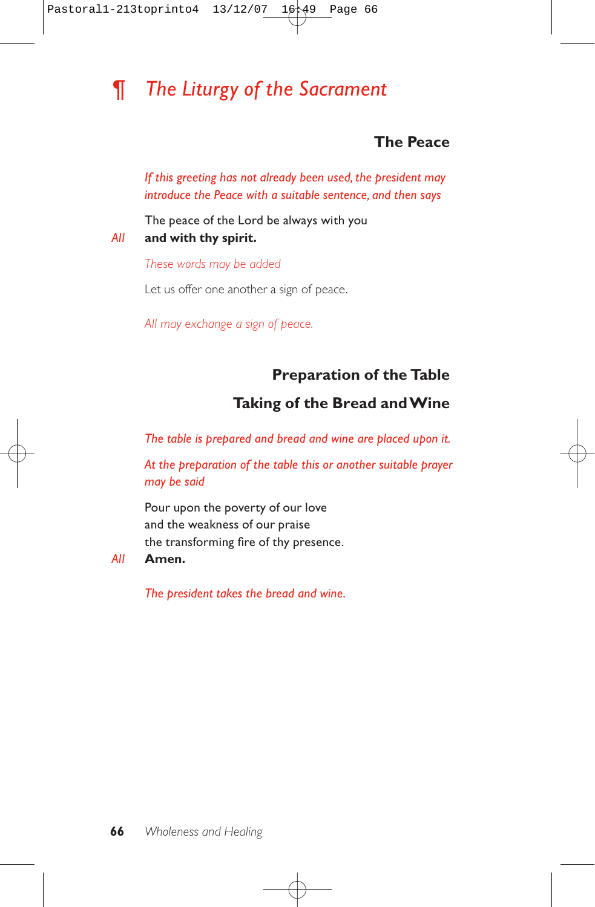# *¶ The Liturgy of the Sacrament*

## **The Peace**

*If this greeting has not already been used, the president may introduce the Peace with a suitable sentence, and then says*

The peace of the Lord be always with you *All* **and with thy spirit.**

*These words may be added*

Let us offer one another a sign of peace.

*All may exchange a sign of peace.*

## **Preparation of the Table**

## **Taking of the Bread and Wine**

*The table is prepared and bread and wine are placed upon it.*

*At the preparation of the table this or another suitable prayer may be said*

Pour upon the poverty of our love and the weakness of our praise the transforming fire of thy presence.

#### *All* **Amen.**

*The president takes the bread and wine.*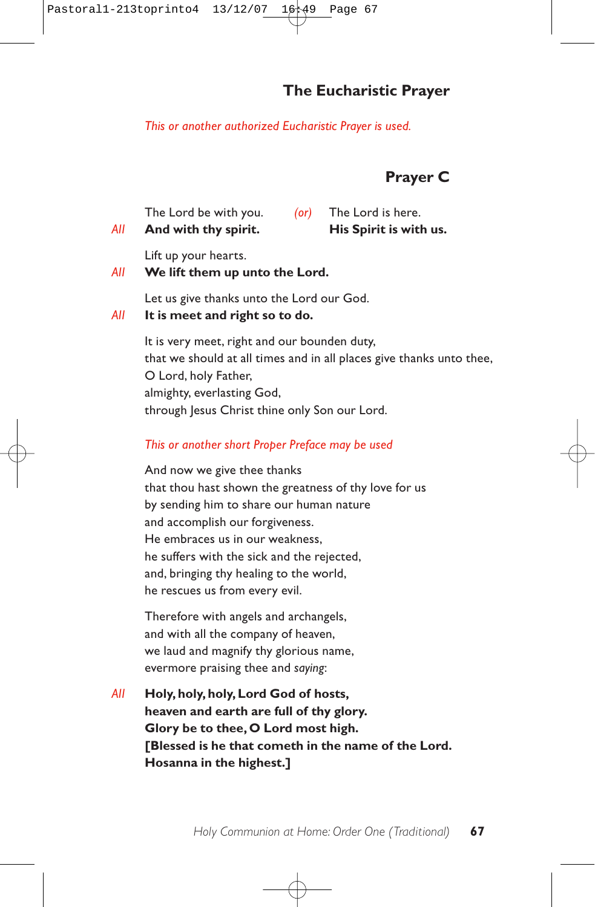## **The Eucharistic Prayer**

*This or another authorized Eucharistic Prayer is used.*

## **Prayer C**

| All | And with thy spirit.  |   | His Spirit is with us. |
|-----|-----------------------|---|------------------------|
|     | The Lord be with you. | ( | The Lord is here.      |

Lift up your hearts.

#### *All* **We lift them up unto the Lord.**

Let us give thanks unto the Lord our God.

#### *All* **It is meet and right so to do.**

It is very meet, right and our bounden duty, that we should at all times and in all places give thanks unto thee, O Lord, holy Father, almighty, everlasting God, through Jesus Christ thine only Son our Lord.

#### *This or another short Proper Preface may be used*

And now we give thee thanks that thou hast shown the greatness of thy love for us by sending him to share our human nature and accomplish our forgiveness. He embraces us in our weakness, he suffers with the sick and the rejected, and, bringing thy healing to the world, he rescues us from every evil.

Therefore with angels and archangels, and with all the company of heaven, we laud and magnify thy glorious name, evermore praising thee and *saying*:

*All* **Holy, holy, holy, Lord God of hosts, heaven and earth are full of thy glory. Glory be to thee, O Lord most high. [Blessed is he that cometh in the name of the Lord. Hosanna in the highest.]**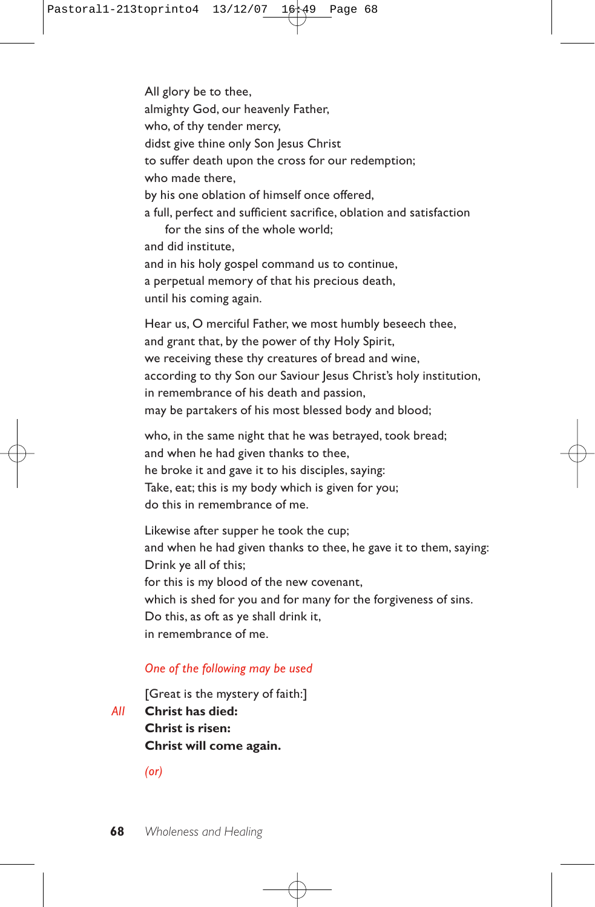All glory be to thee, almighty God, our heavenly Father, who, of thy tender mercy, didst give thine only Son Jesus Christ to suffer death upon the cross for our redemption; who made there, by his one oblation of himself once offered, a full, perfect and sufficient sacrifice, oblation and satisfaction for the sins of the whole world; and did institute, and in his holy gospel command us to continue, a perpetual memory of that his precious death, until his coming again.

Hear us, O merciful Father, we most humbly beseech thee, and grant that, by the power of thy Holy Spirit, we receiving these thy creatures of bread and wine, according to thy Son our Saviour Jesus Christ's holy institution, in remembrance of his death and passion, may be partakers of his most blessed body and blood;

who, in the same night that he was betrayed, took bread; and when he had given thanks to thee, he broke it and gave it to his disciples, saying: Take, eat; this is my body which is given for you; do this in remembrance of me.

Likewise after supper he took the cup; and when he had given thanks to thee, he gave it to them, saying: Drink ye all of this; for this is my blood of the new covenant, which is shed for you and for many for the forgiveness of sins. Do this, as oft as ye shall drink it, in remembrance of me.

#### *One of the following may be used*

[Great is the mystery of faith:] *All* **Christ has died: Christ is risen:**

**Christ will come again.**

*(or)*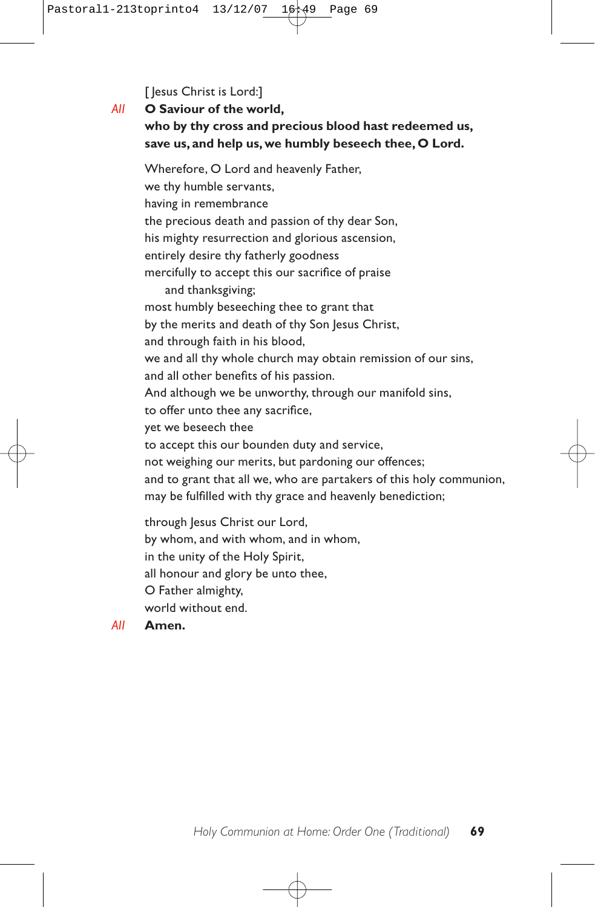[ Jesus Christ is Lord:]

## *All* **O Saviour of the world, who by thy cross and precious blood hast redeemed us, save us, and help us, we humbly beseech thee, O Lord.**

Wherefore, O Lord and heavenly Father, we thy humble servants, having in remembrance the precious death and passion of thy dear Son, his mighty resurrection and glorious ascension, entirely desire thy fatherly goodness mercifully to accept this our sacrifice of praise and thanksgiving; most humbly beseeching thee to grant that by the merits and death of thy Son Jesus Christ, and through faith in his blood, we and all thy whole church may obtain remission of our sins, and all other benefits of his passion. And although we be unworthy, through our manifold sins, to offer unto thee any sacrifice, yet we beseech thee to accept this our bounden duty and service, not weighing our merits, but pardoning our offences; and to grant that all we, who are partakers of this holy communion, may be fulfilled with thy grace and heavenly benediction; through Jesus Christ our Lord,

by whom, and with whom, and in whom, in the unity of the Holy Spirit, all honour and glory be unto thee, O Father almighty, world without end.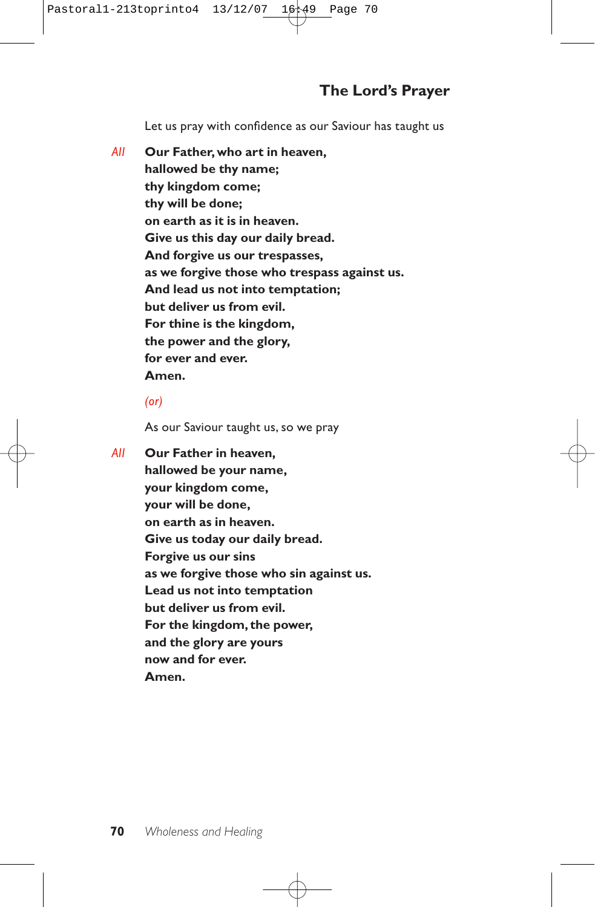## **The Lord's Prayer**

Let us pray with confidence as our Saviour has taught us

*All* **Our Father, who art in heaven, hallowed be thy name; thy kingdom come; thy will be done; on earth as it is in heaven. Give us this day our daily bread. And forgive us our trespasses, as we forgive those who trespass against us. And lead us not into temptation; but deliver us from evil. For thine is the kingdom, the power and the glory, for ever and ever. Amen.**

### *(or)*

As our Saviour taught us, so we pray

*All* **Our Father in heaven, hallowed be your name, your kingdom come, your will be done, on earth as in heaven. Give us today our daily bread. Forgive us our sins as we forgive those who sin against us. Lead us not into temptation but deliver us from evil. For the kingdom, the power, and the glory are yours now and for ever. Amen.**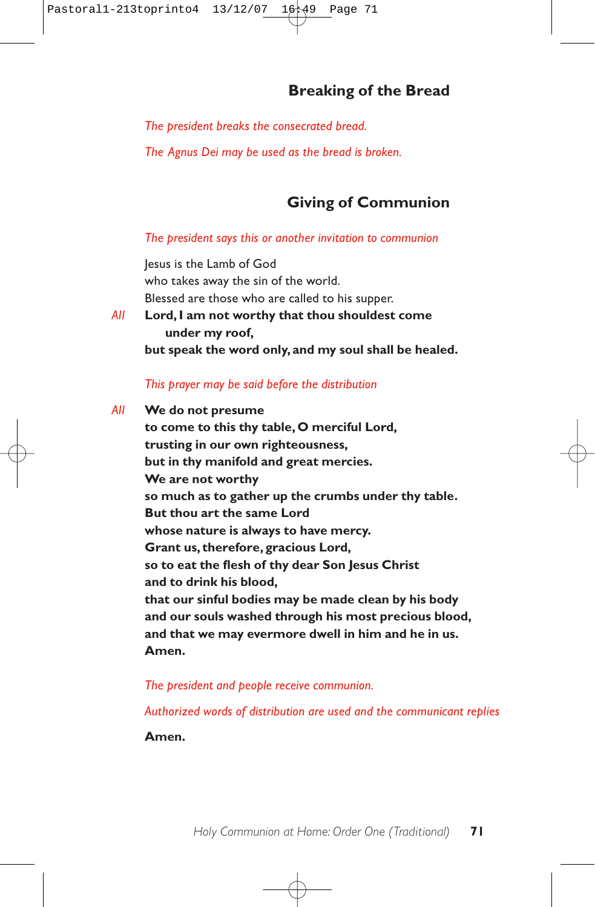## **Breaking of the Bread**

*The president breaks the consecrated bread.*

*The Agnus Dei may be used as the bread is broken.*

## **Giving of Communion**

#### *The president says this or another invitation to communion*

Jesus is the Lamb of God who takes away the sin of the world. Blessed are those who are called to his supper. *All* **Lord, I am not worthy that thou shouldest come under my roof, but speak the word only, and my soul shall be healed.**

#### *This prayer may be said before the distribution*

*All* **We do not presume to come to this thy table, O merciful Lord, trusting in our own righteousness, but in thy manifold and great mercies. We are not worthy so much as to gather up the crumbs under thy table. But thou art the same Lord whose nature is always to have mercy. Grant us, therefore, gracious Lord, so to eat the flesh of thy dear Son Jesus Christ and to drink his blood, that our sinful bodies may be made clean by his body and our souls washed through his most precious blood, and that we may evermore dwell in him and he in us. Amen.**

#### *The president and people receive communion.*

*Authorized words of distribution are used and the communicant replies* 

**Amen.**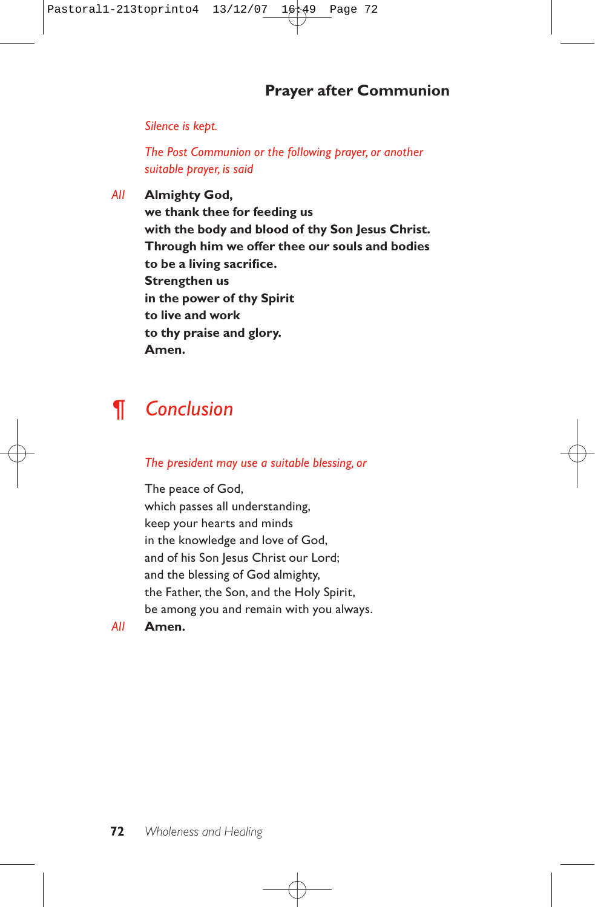## **Prayer after Communion**

*Silence is kept.*

*The Post Communion or the following prayer, or another suitable prayer, is said*

*All* **Almighty God,**

**we thank thee for feeding us with the body and blood of thy Son Jesus Christ. Through him we offer thee our souls and bodies to be a living sacrifice. Strengthen us in the power of thy Spirit to live and work to thy praise and glory. Amen.**

# *¶ Conclusion*

*The president may use a suitable blessing, or*

The peace of God, which passes all understanding, keep your hearts and minds in the knowledge and love of God, and of his Son Jesus Christ our Lord; and the blessing of God almighty, the Father, the Son, and the Holy Spirit, be among you and remain with you always.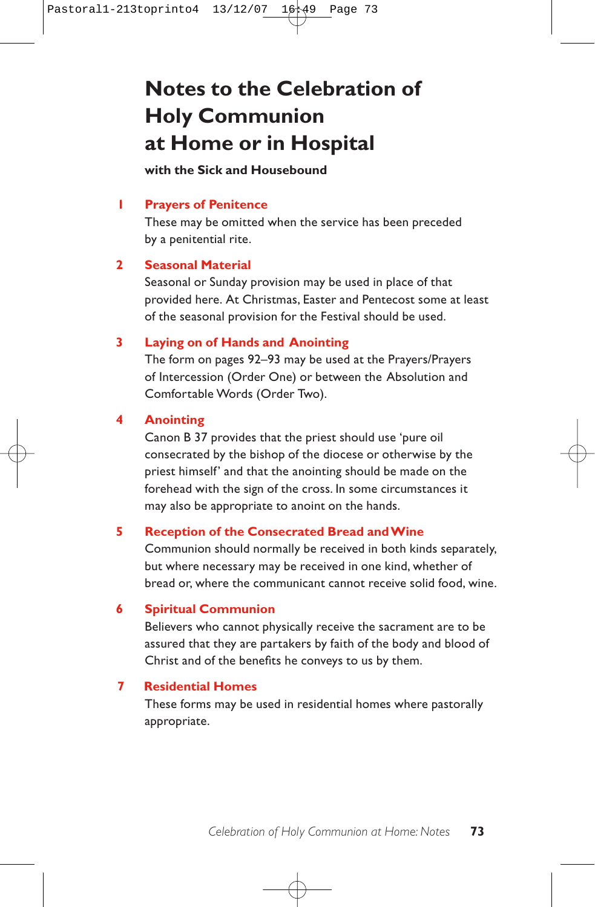# **Notes to the Celebration of Holy Communion at Home or in Hospital**

### **with the Sick and Housebound**

### **1 Prayers of Penitence**

These may be omitted when the service has been preceded by a penitential rite.

#### **2 Seasonal Material**

Seasonal or Sunday provision may be used in place of that provided here. At Christmas, Easter and Pentecost some at least of the seasonal provision for the Festival should be used.

### **3 Laying on of Hands and Anointing**

The form on pages 92–93 may be used at the Prayers/Prayers of Intercession (Order One) or between the Absolution and Comfortable Words (Order Two).

#### **4 Anointing**

Canon B 37 provides that the priest should use 'pure oil consecrated by the bishop of the diocese or otherwise by the priest himself' and that the anointing should be made on the forehead with the sign of the cross. In some circumstances it may also be appropriate to anoint on the hands.

#### **5 Reception of the Consecrated Bread and Wine**

Communion should normally be received in both kinds separately, but where necessary may be received in one kind, whether of bread or, where the communicant cannot receive solid food, wine.

#### **6 Spiritual Communion**

Believers who cannot physically receive the sacrament are to be assured that they are partakers by faith of the body and blood of Christ and of the benefits he conveys to us by them.

#### **7 Residential Homes**

These forms may be used in residential homes where pastorally appropriate.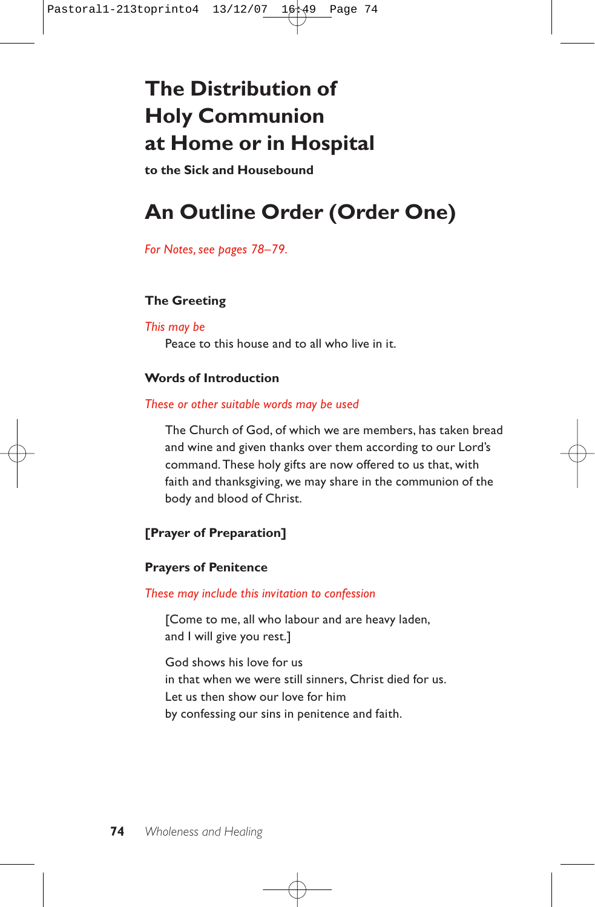# **The Distribution of Holy Communion at Home or in Hospital**

**to the Sick and Housebound**

# **An Outline Order (Order One)**

*For Notes, see pages 78–79.*

## **The Greeting**

### *This may be*

Peace to this house and to all who live in it.

## **Words of Introduction**

### *These or other suitable words may be used*

The Church of God, of which we are members, has taken bread and wine and given thanks over them according to our Lord's command. These holy gifts are now offered to us that, with faith and thanksgiving, we may share in the communion of the body and blood of Christ.

## **[Prayer of Preparation]**

## **Prayers of Penitence**

*These may include this invitation to confession*

[Come to me, all who labour and are heavy laden, and I will give you rest.]

God shows his love for us in that when we were still sinners, Christ died for us. Let us then show our love for him by confessing our sins in penitence and faith.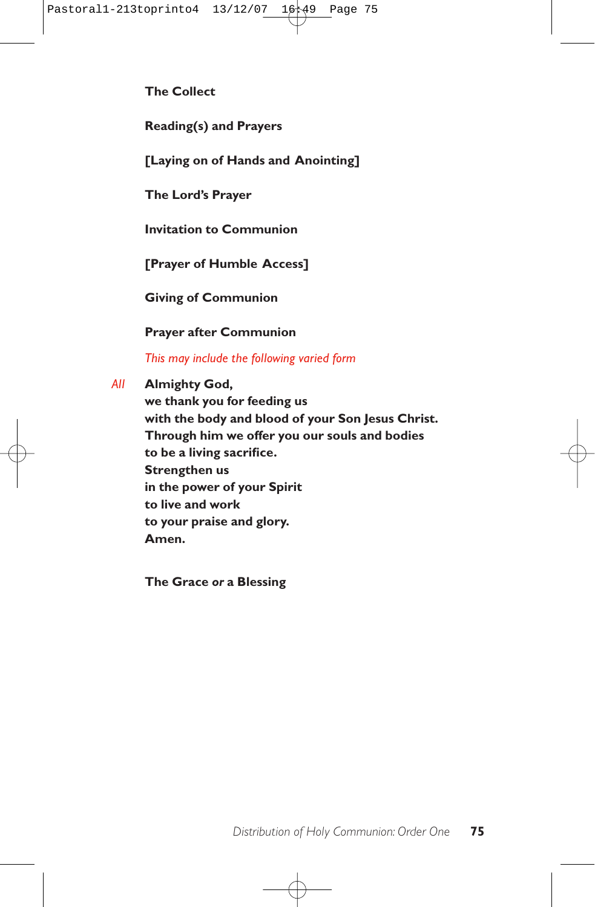**The Collect**

**Reading(s) and Prayers**

**[Laying on of Hands and Anointing]**

**The Lord's Prayer**

**Invitation to Communion**

**[Prayer of Humble Access]**

**Giving of Communion**

**Prayer after Communion** 

*This may include the following varied form*

*All* **Almighty God,**

**we thank you for feeding us with the body and blood of your Son Jesus Christ. Through him we offer you our souls and bodies to be a living sacrifice. Strengthen us in the power of your Spirit to live and work to your praise and glory. Amen.**

**The Grace** *or* **a Blessing**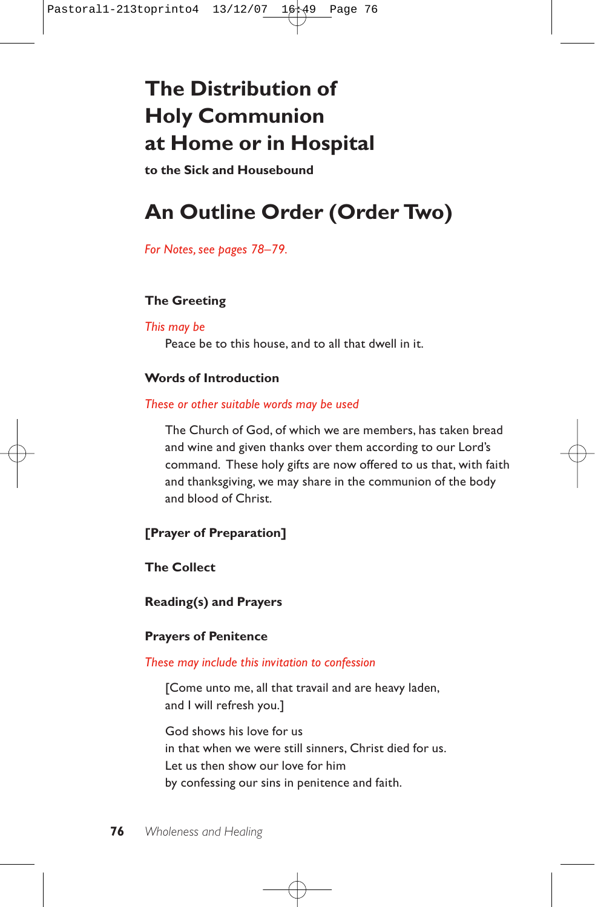# **The Distribution of Holy Communion at Home or in Hospital**

**to the Sick and Housebound**

# **An Outline Order (Order Two)**

*For Notes, see pages 78–79.*

## **The Greeting**

### *This may be*

Peace be to this house, and to all that dwell in it.

## **Words of Introduction**

### *These or other suitable words may be used*

The Church of God, of which we are members, has taken bread and wine and given thanks over them according to our Lord's command. These holy gifts are now offered to us that, with faith and thanksgiving, we may share in the communion of the body and blood of Christ.

## **[Prayer of Preparation]**

### **The Collect**

**Reading(s) and Prayers**

### **Prayers of Penitence**

### *These may include this invitation to confession*

[Come unto me, all that travail and are heavy laden, and I will refresh you.]

God shows his love for us in that when we were still sinners, Christ died for us. Let us then show our love for him by confessing our sins in penitence and faith.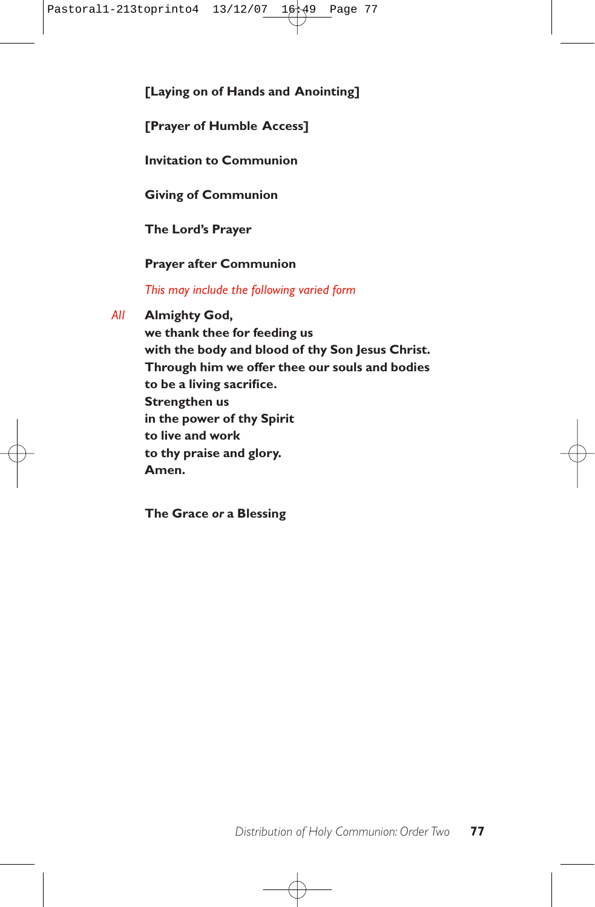**[Laying on of Hands and Anointing]**

**[Prayer of Humble Access]**

**Invitation to Communion**

**Giving of Communion**

**The Lord's Prayer**

## **Prayer after Communion**

*This may include the following varied form*

*All* **Almighty God,**

**we thank thee for feeding us with the body and blood of thy Son Jesus Christ. Through him we offer thee our souls and bodies to be a living sacrifice. Strengthen us in the power of thy Spirit to live and work to thy praise and glory. Amen.**

**The Grace** *or* **a Blessing**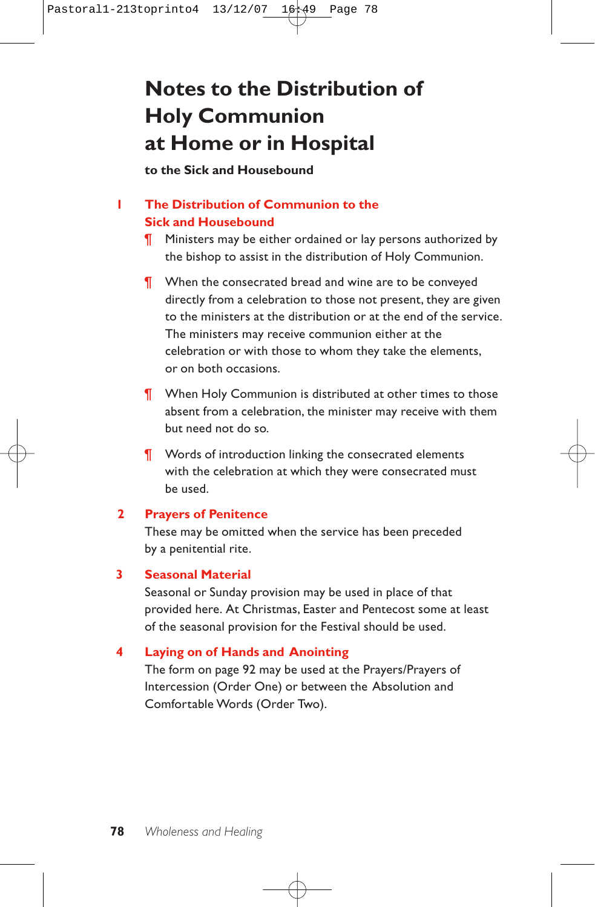# **Notes to the Distribution of Holy Communion at Home or in Hospital**

**to the Sick and Housebound**

## **1 The Distribution of Communion to the Sick and Housebound**

- **Ministers may be either ordained or lay persons authorized by** the bishop to assist in the distribution of Holy Communion.
- ¶ When the consecrated bread and wine are to be conveyed directly from a celebration to those not present, they are given to the ministers at the distribution or at the end of the service. The ministers may receive communion either at the celebration or with those to whom they take the elements, or on both occasions.
- **T** When Holy Communion is distributed at other times to those absent from a celebration, the minister may receive with them but need not do so.
- **T** Words of introduction linking the consecrated elements with the celebration at which they were consecrated must be used.

### **2 Prayers of Penitence**

These may be omitted when the service has been preceded by a penitential rite.

### **3 Seasonal Material**

Seasonal or Sunday provision may be used in place of that provided here. At Christmas, Easter and Pentecost some at least of the seasonal provision for the Festival should be used.

### **4 Laying on of Hands and Anointing**

The form on page 92 may be used at the Prayers/Prayers of Intercession (Order One) or between the Absolution and Comfortable Words (Order Two).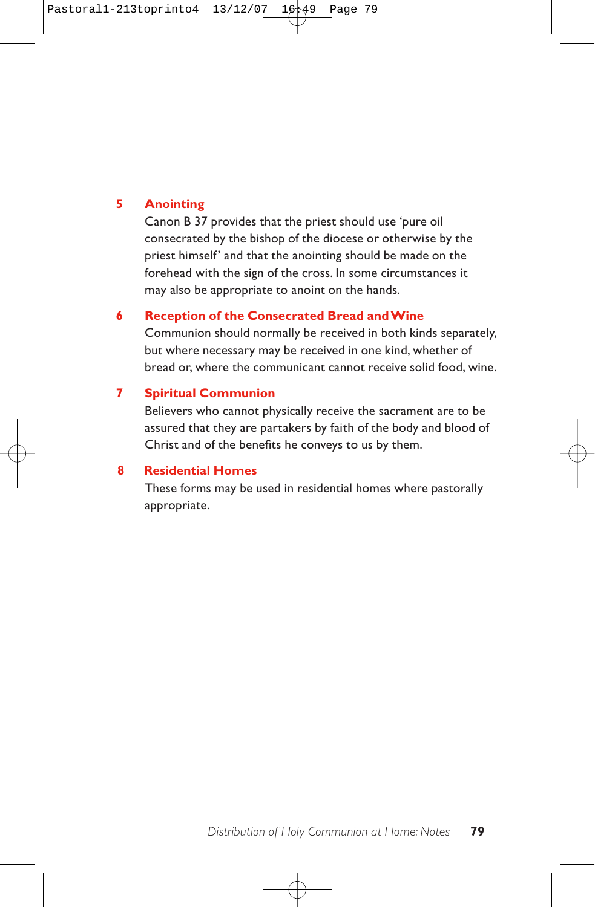### **5 Anointing**

Canon B 37 provides that the priest should use 'pure oil consecrated by the bishop of the diocese or otherwise by the priest himself' and that the anointing should be made on the forehead with the sign of the cross. In some circumstances it may also be appropriate to anoint on the hands.

### **6 Reception of the Consecrated Bread and Wine**

Communion should normally be received in both kinds separately, but where necessary may be received in one kind, whether of bread or, where the communicant cannot receive solid food, wine.

### **7 Spiritual Communion**

Believers who cannot physically receive the sacrament are to be assured that they are partakers by faith of the body and blood of Christ and of the benefits he conveys to us by them.

### **8 Residential Homes**

These forms may be used in residential homes where pastorally appropriate.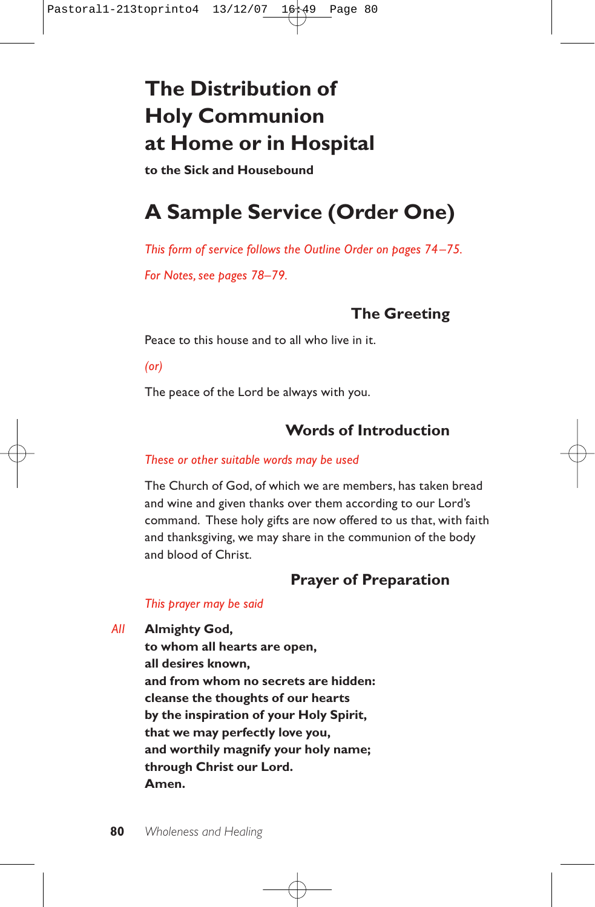# **The Distribution of Holy Communion at Home or in Hospital**

**to the Sick and Housebound**

# **A Sample Service (Order One)**

*This form of service follows the Outline Order on pages 74–75. For Notes, see pages 78–79.*

# **The Greeting**

Peace to this house and to all who live in it.

*(or)*

The peace of the Lord be always with you.

# **Words of Introduction**

## *These or other suitable words may be used*

The Church of God, of which we are members, has taken bread and wine and given thanks over them according to our Lord's command. These holy gifts are now offered to us that, with faith and thanksgiving, we may share in the communion of the body and blood of Christ.

# **Prayer of Preparation**

## *This prayer may be said*

*All* **Almighty God,**

**to whom all hearts are open, all desires known, and from whom no secrets are hidden: cleanse the thoughts of our hearts by the inspiration of your Holy Spirit, that we may perfectly love you, and worthily magnify your holy name; through Christ our Lord. Amen.**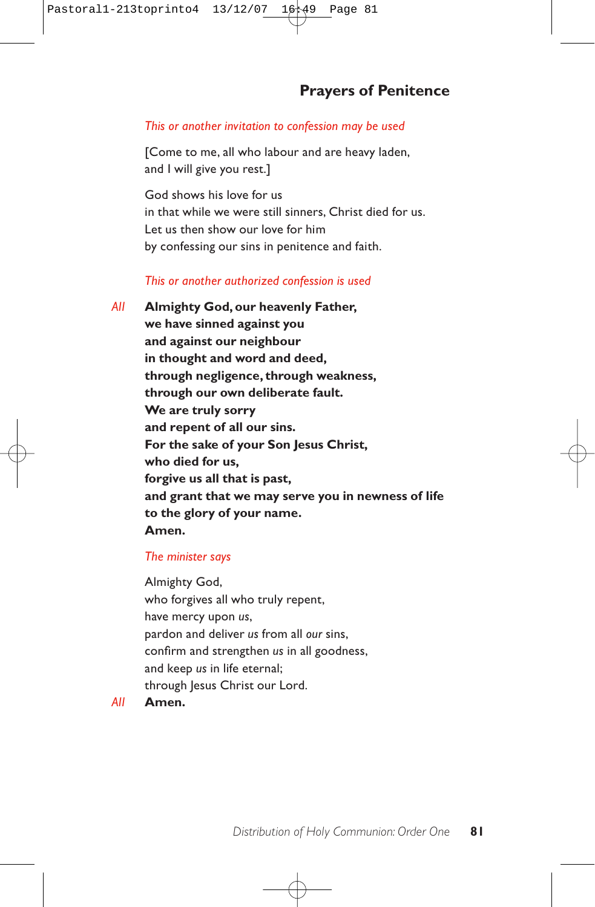# **Prayers of Penitence**

#### *This or another invitation to confession may be used*

[Come to me, all who labour and are heavy laden, and I will give you rest.]

God shows his love for us in that while we were still sinners, Christ died for us. Let us then show our love for him by confessing our sins in penitence and faith.

#### *This or another authorized confession is used*

*All* **Almighty God, our heavenly Father, we have sinned against you and against our neighbour in thought and word and deed, through negligence, through weakness, through our own deliberate fault. We are truly sorry and repent of all our sins. For the sake of your Son Jesus Christ, who died for us, forgive us all that is past, and grant that we may serve you in newness of life to the glory of your name. Amen.**

#### *The minister says*

Almighty God, who forgives all who truly repent, have mercy upon *us*, pardon and deliver *us* from all *our* sins, confirm and strengthen *us* in all goodness, and keep *us* in life eternal; through Jesus Christ our Lord.

*All* **Amen.**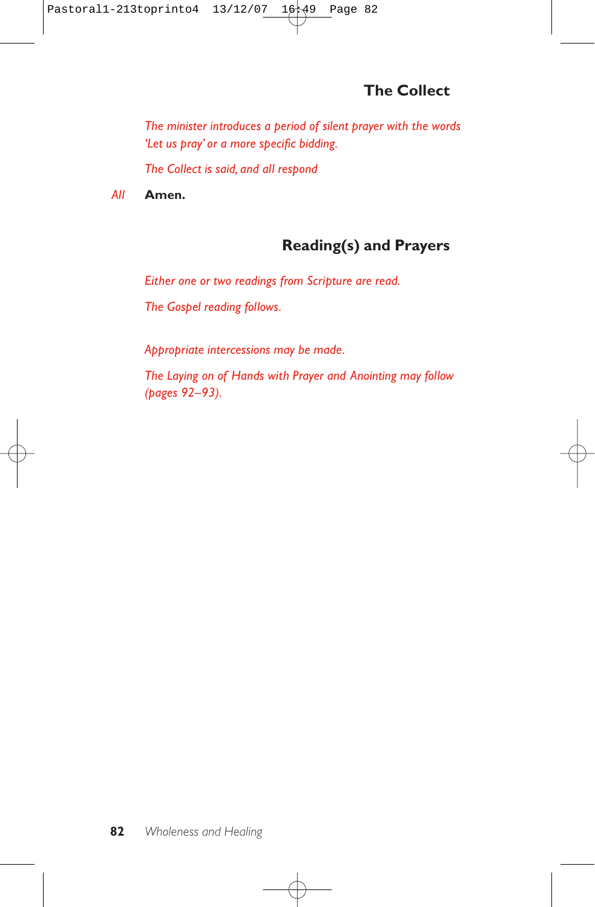*The minister introduces a period of silent prayer with the words 'Let us pray' or a more specific bidding.*

*The Collect is said, and all respond* 

*All* **Amen.**

# **Reading(s) and Prayers**

*Either one or two readings from Scripture are read.*

*The Gospel reading follows.*

*Appropriate intercessions may be made.*

*The Laying on of Hands with Prayer and Anointing may follow (pages 92–93).*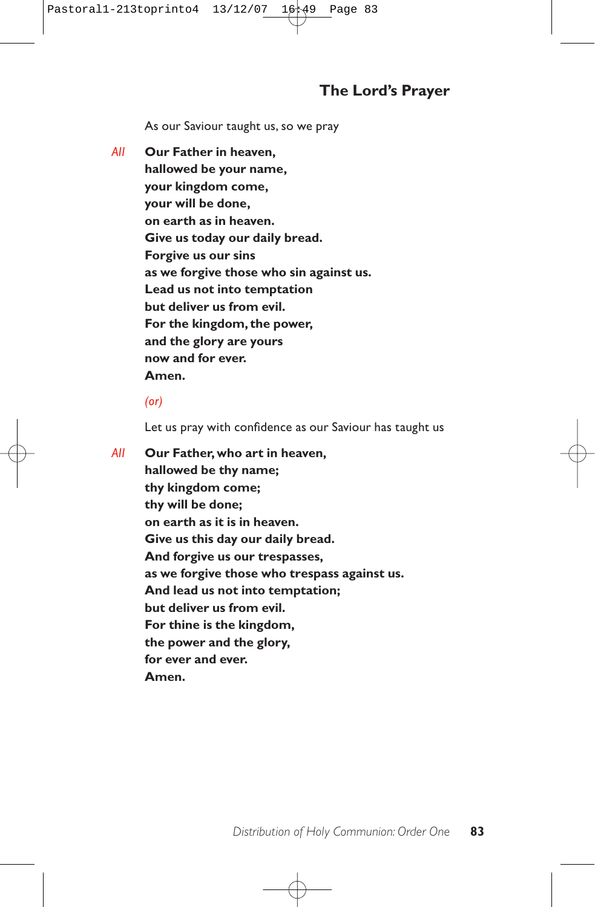As our Saviour taught us, so we pray

*All* **Our Father in heaven, hallowed be your name, your kingdom come, your will be done, on earth as in heaven. Give us today our daily bread. Forgive us our sins as we forgive those who sin against us. Lead us not into temptation but deliver us from evil. For the kingdom, the power, and the glory are yours now and for ever. Amen.**

## *(or)*

Let us pray with confidence as our Saviour has taught us

*All* **Our Father, who art in heaven, hallowed be thy name; thy kingdom come; thy will be done; on earth as it is in heaven. Give us this day our daily bread. And forgive us our trespasses, as we forgive those who trespass against us. And lead us not into temptation; but deliver us from evil. For thine is the kingdom, the power and the glory, for ever and ever. Amen.**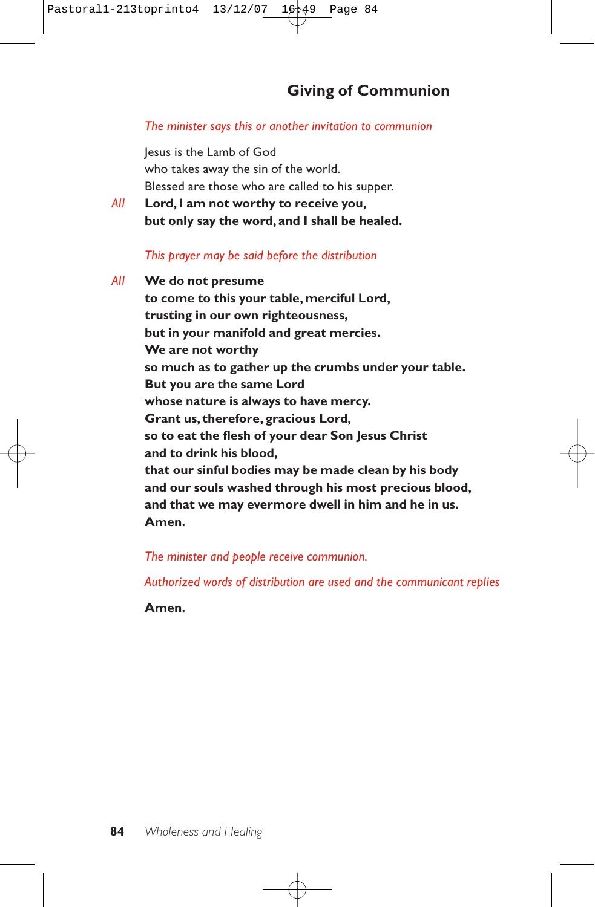## *The minister says this or another invitation to communion*

Jesus is the Lamb of God who takes away the sin of the world. Blessed are those who are called to his supper.

*All* **Lord, I am not worthy to receive you, but only say the word, and I shall be healed.**

# *This prayer may be said before the distribution*

*All* **We do not presume to come to this your table, merciful Lord, trusting in our own righteousness, but in your manifold and great mercies. We are not worthy so much as to gather up the crumbs under your table. But you are the same Lord whose nature is always to have mercy. Grant us, therefore, gracious Lord, so to eat the flesh of your dear Son Jesus Christ and to drink his blood, that our sinful bodies may be made clean by his body and our souls washed through his most precious blood, and that we may evermore dwell in him and he in us. Amen.**

*The minister and people receive communion.*

*Authorized words of distribution are used and the communicant replies* 

**Amen.**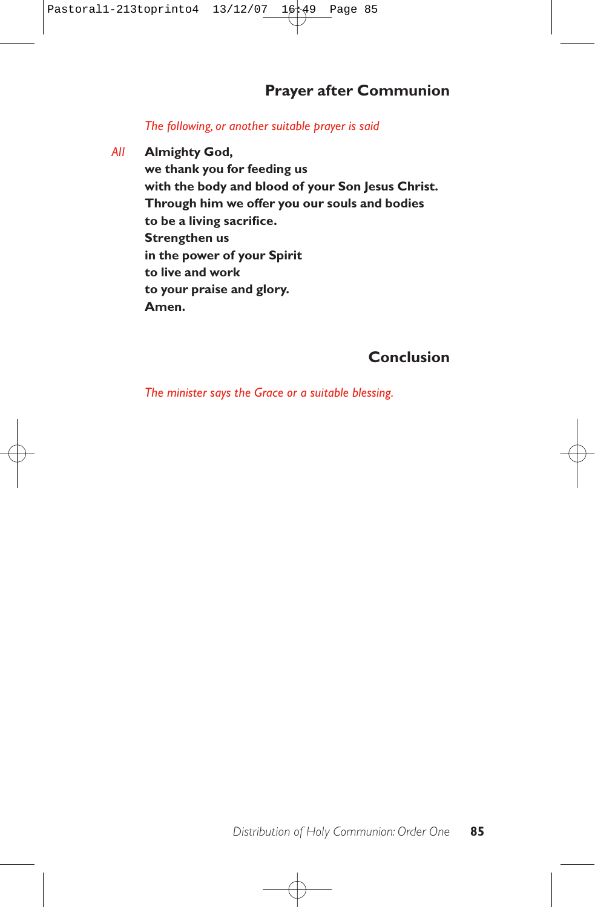# **Prayer after Communion**

## *The following, or another suitable prayer is said*

*All* **Almighty God,**

**we thank you for feeding us with the body and blood of your Son Jesus Christ. Through him we offer you our souls and bodies to be a living sacrifice. Strengthen us in the power of your Spirit to live and work to your praise and glory. Amen.**

# **Conclusion**

*The minister says the Grace or a suitable blessing.*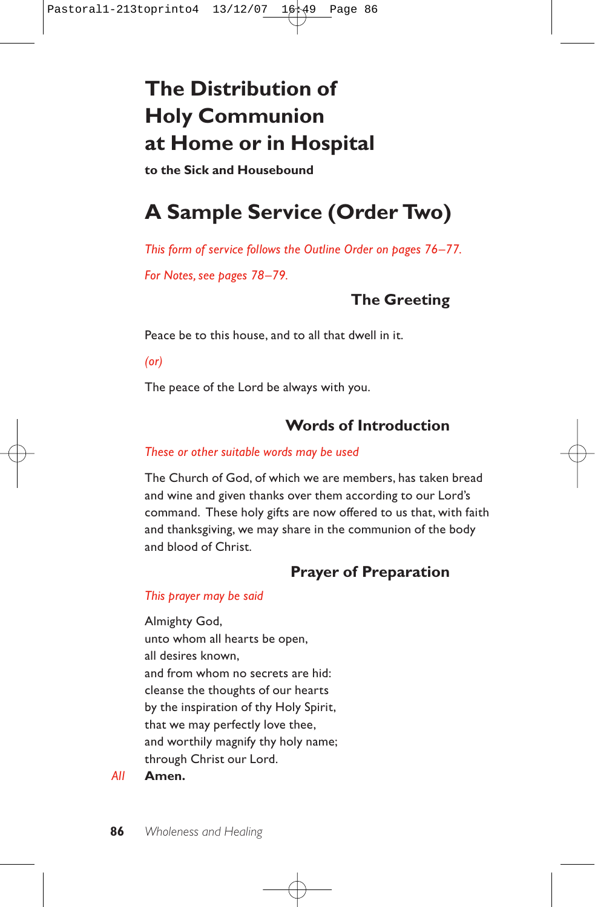# **The Distribution of Holy Communion at Home or in Hospital**

**to the Sick and Housebound**

# **A Sample Service (Order Two)**

*This form of service follows the Outline Order on pages 76–77.*

*For Notes, see pages 78–79.*

# **The Greeting**

Peace be to this house, and to all that dwell in it.

*(or)*

The peace of the Lord be always with you.

# **Words of Introduction**

## *These or other suitable words may be used*

The Church of God, of which we are members, has taken bread and wine and given thanks over them according to our Lord's command. These holy gifts are now offered to us that, with faith and thanksgiving, we may share in the communion of the body and blood of Christ.

# **Prayer of Preparation**

# *This prayer may be said*

Almighty God, unto whom all hearts be open, all desires known, and from whom no secrets are hid: cleanse the thoughts of our hearts by the inspiration of thy Holy Spirit, that we may perfectly love thee, and worthily magnify thy holy name; through Christ our Lord.

# *All* **Amen.**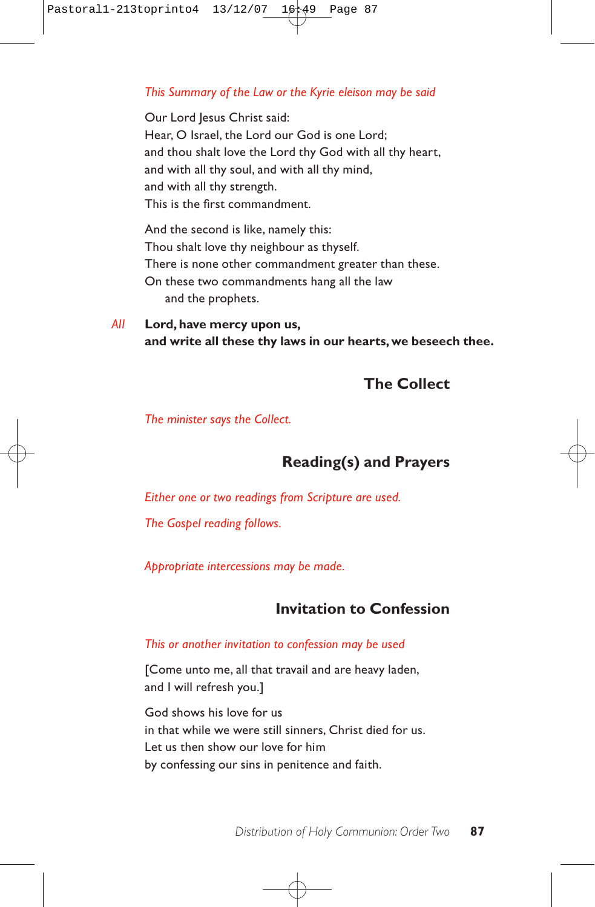## *This Summary of the Law or the Kyrie eleison may be said*

Our Lord Jesus Christ said: Hear, O Israel, the Lord our God is one Lord; and thou shalt love the Lord thy God with all thy heart, and with all thy soul, and with all thy mind, and with all thy strength. This is the first commandment.

And the second is like, namely this: Thou shalt love thy neighbour as thyself. There is none other commandment greater than these. On these two commandments hang all the law and the prophets.

*All* **Lord, have mercy upon us, and write all these thy laws in our hearts, we beseech thee.**

# **The Collect**

*The minister says the Collect.*

# **Reading(s) and Prayers**

*Either one or two readings from Scripture are used.*

*The Gospel reading follows.*

*Appropriate intercessions may be made.*

# **Invitation to Confession**

## *This or another invitation to confession may be used*

[Come unto me, all that travail and are heavy laden, and I will refresh you.]

God shows his love for us in that while we were still sinners, Christ died for us. Let us then show our love for him by confessing our sins in penitence and faith.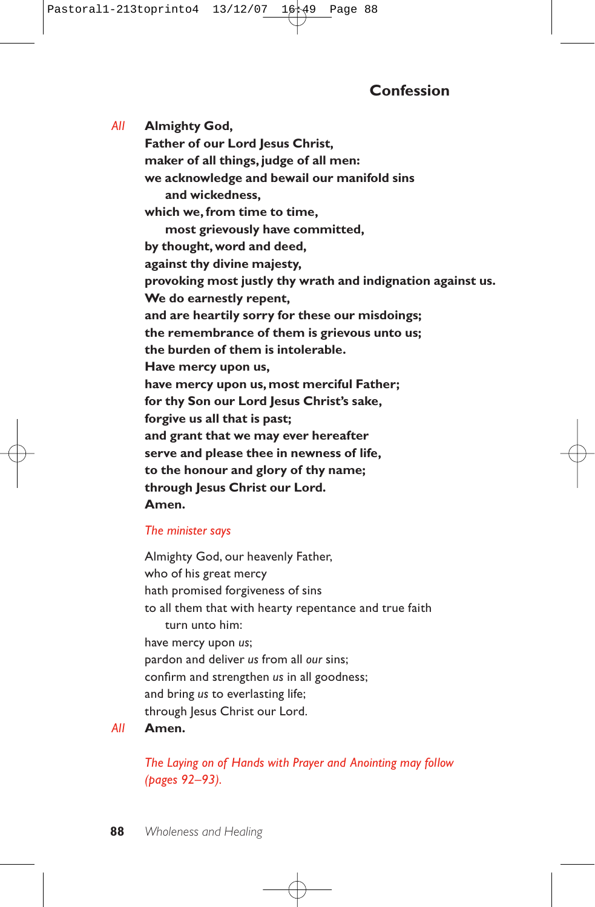*All* **Almighty God, Father of our Lord Jesus Christ. maker of all things, judge of all men: we acknowledge and bewail our manifold sins and wickedness, which we, from time to time, most grievously have committed, by thought, word and deed, against thy divine majesty, provoking most justly thy wrath and indignation against us. We do earnestly repent, and are heartily sorry for these our misdoings; the remembrance of them is grievous unto us; the burden of them is intolerable. Have mercy upon us, have mercy upon us, most merciful Father; for thy Son our Lord Jesus Christ's sake, forgive us all that is past; and grant that we may ever hereafter serve and please thee in newness of life, to the honour and glory of thy name; through Jesus Christ our Lord. Amen.**

# *The minister says*

Almighty God, our heavenly Father, who of his great mercy hath promised forgiveness of sins to all them that with hearty repentance and true faith turn unto him: have mercy upon *us*; pardon and deliver *us* from all *our* sins; confirm and strengthen *us* in all goodness; and bring *us* to everlasting life; through Jesus Christ our Lord.

## *All* **Amen.**

*The Laying on of Hands with Prayer and Anointing may follow (pages 92–93).*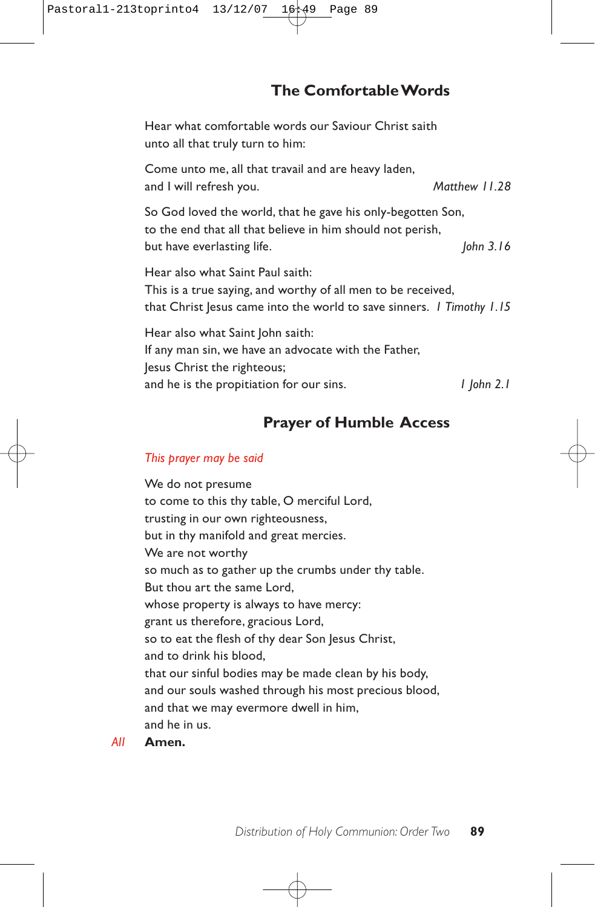# **The Comfortable Words**

Hear what comfortable words our Saviour Christ saith unto all that truly turn to him:

Come unto me, all that travail and are heavy laden, and I will refresh you. *Matthew 11.28*

So God loved the world, that he gave his only-begotten Son, to the end that all that believe in him should not perish, but have everlasting life. *John 3.16 John 3.16* 

Hear also what Saint Paul saith: This is a true saying, and worthy of all men to be received, that Christ Jesus came into the world to save sinners. *1 Timothy 1.15*

Hear also what Saint John saith: If any man sin, we have an advocate with the Father, Jesus Christ the righteous; and he is the propitiation for our sins. *1 John 2.1*

# **Prayer of Humble Access**

#### *This prayer may be said*

We do not presume to come to this thy table, O merciful Lord, trusting in our own righteousness, but in thy manifold and great mercies. We are not worthy so much as to gather up the crumbs under thy table. But thou art the same Lord, whose property is always to have mercy: grant us therefore, gracious Lord, so to eat the flesh of thy dear Son Jesus Christ, and to drink his blood, that our sinful bodies may be made clean by his body, and our souls washed through his most precious blood, and that we may evermore dwell in him, and he in us.

*All* **Amen.**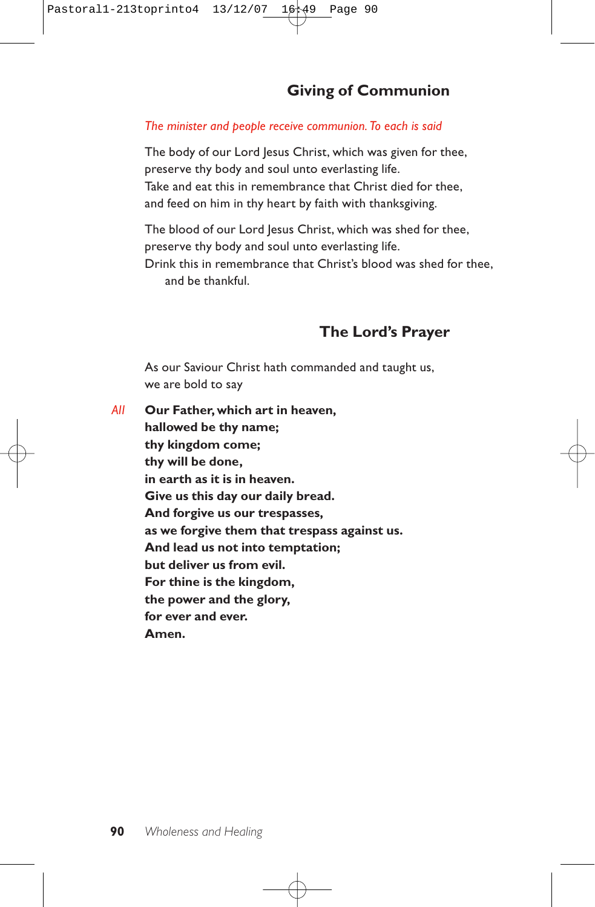# **Giving of Communion**

# *The minister and people receive communion. To each is said*

The body of our Lord Jesus Christ, which was given for thee, preserve thy body and soul unto everlasting life. Take and eat this in remembrance that Christ died for thee, and feed on him in thy heart by faith with thanksgiving.

The blood of our Lord Jesus Christ, which was shed for thee, preserve thy body and soul unto everlasting life. Drink this in remembrance that Christ's blood was shed for thee, and be thankful.

# **The Lord's Prayer**

As our Saviour Christ hath commanded and taught us, we are bold to say

*All* **Our Father, which art in heaven, hallowed be thy name; thy kingdom come; thy will be done, in earth as it is in heaven. Give us this day our daily bread. And forgive us our trespasses, as we forgive them that trespass against us. And lead us not into temptation; but deliver us from evil. For thine is the kingdom, the power and the glory, for ever and ever. Amen.**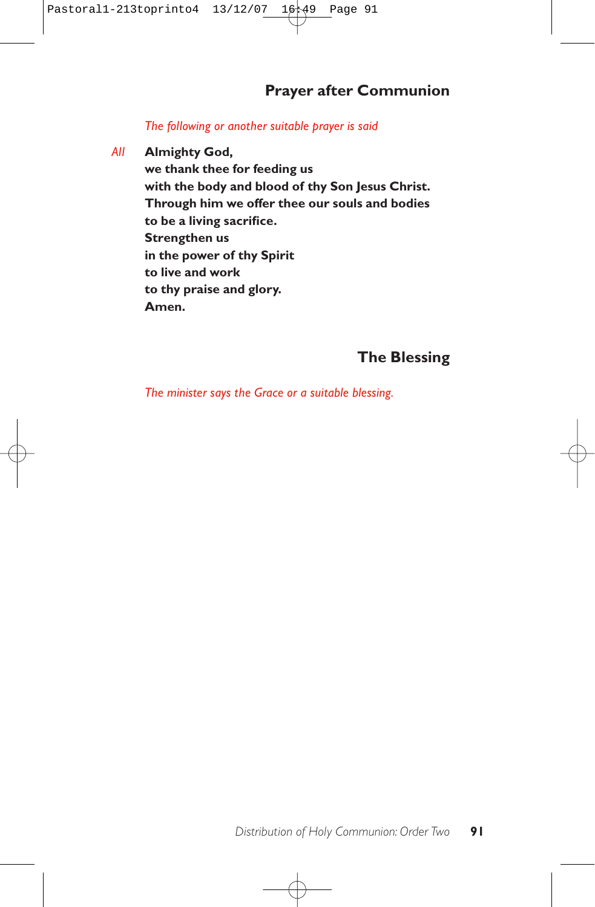# **Prayer after Communion**

## *The following or another suitable prayer is said*

*All* **Almighty God, we thank thee for feeding us with the body and blood of thy Son Jesus Christ. Through him we offer thee our souls and bodies to be a living sacrifice. Strengthen us in the power of thy Spirit**

> **to live and work to thy praise and glory. Amen.**

# **The Blessing**

*The minister says the Grace or a suitable blessing.*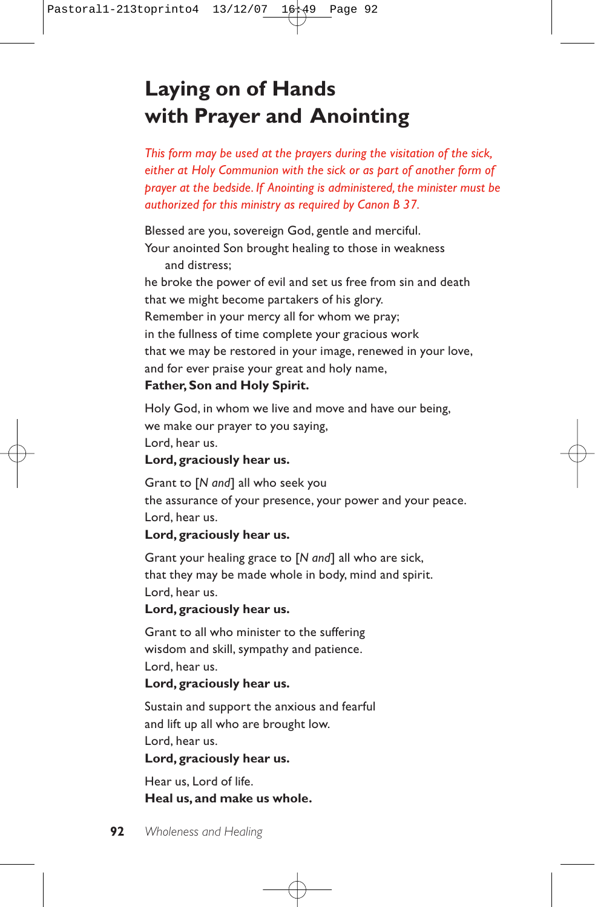# **Laying on of Hands with Prayer and Anointing**

*This form may be used at the prayers during the visitation of the sick, either at Holy Communion with the sick or as part of another form of prayer at the bedside. If Anointing is administered, the minister must be authorized for this ministry as required by Canon B 37.*

Blessed are you, sovereign God, gentle and merciful. Your anointed Son brought healing to those in weakness and distress; he broke the power of evil and set us free from sin and death that we might become partakers of his glory. Remember in your mercy all for whom we pray; in the fullness of time complete your gracious work that we may be restored in your image, renewed in your love, and for ever praise your great and holy name, **Father, Son and Holy Spirit.**

Holy God, in whom we live and move and have our being, we make our prayer to you saying, Lord, hear us.

# **Lord, graciously hear us.**

Grant to [*N and*] all who seek you the assurance of your presence, your power and your peace. Lord, hear us.

## **Lord, graciously hear us.**

Grant your healing grace to [*N and*] all who are sick, that they may be made whole in body, mind and spirit. Lord, hear us.

## **Lord, graciously hear us.**

Grant to all who minister to the suffering wisdom and skill, sympathy and patience. Lord, hear us.

## **Lord, graciously hear us.**

Sustain and support the anxious and fearful and lift up all who are brought low. Lord, hear us.

# **Lord, graciously hear us.**

Hear us, Lord of life. **Heal us, and make us whole.**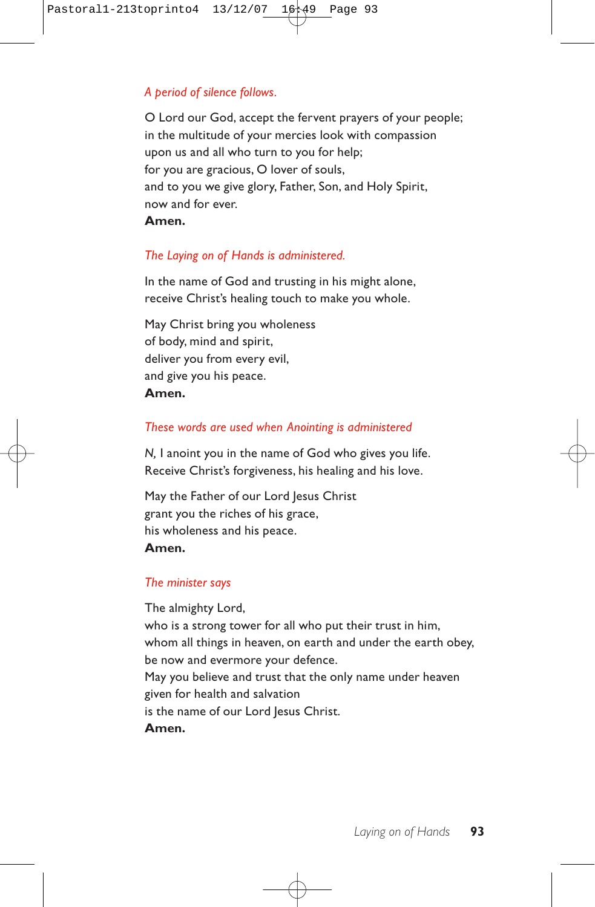# *A period of silence follows.*

O Lord our God, accept the fervent prayers of your people; in the multitude of your mercies look with compassion upon us and all who turn to you for help; for you are gracious, O lover of souls, and to you we give glory, Father, Son, and Holy Spirit, now and for ever.

## **Amen.**

# *The Laying on of Hands is administered.*

In the name of God and trusting in his might alone, receive Christ's healing touch to make you whole.

May Christ bring you wholeness of body, mind and spirit, deliver you from every evil, and give you his peace. **Amen.**

## *These words are used when Anointing is administered*

*N,* I anoint you in the name of God who gives you life. Receive Christ's forgiveness, his healing and his love.

May the Father of our Lord Jesus Christ grant you the riches of his grace, his wholeness and his peace. **Amen.**

## *The minister says*

The almighty Lord, who is a strong tower for all who put their trust in him, whom all things in heaven, on earth and under the earth obey, be now and evermore your defence. May you believe and trust that the only name under heaven given for health and salvation is the name of our Lord Jesus Christ. **Amen.**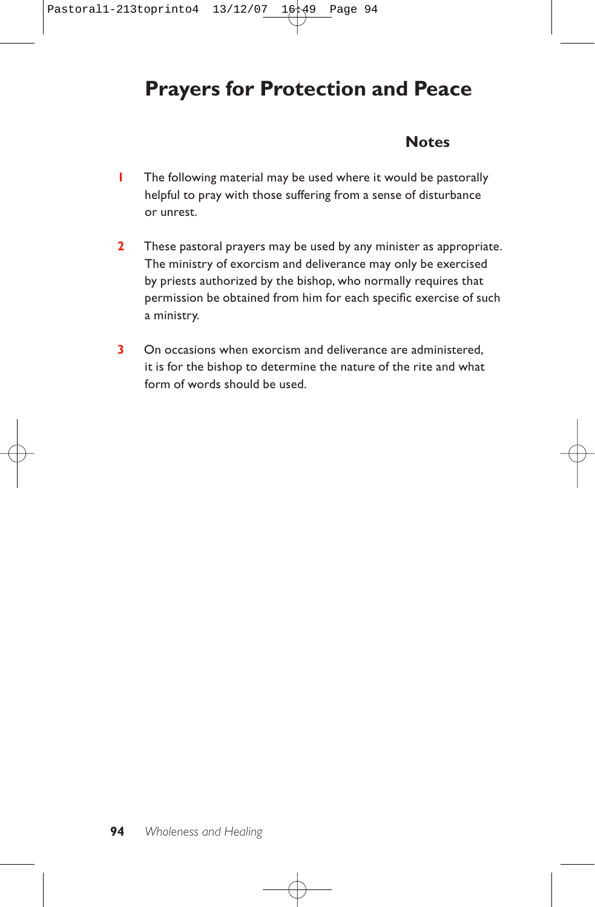# **Prayers for Protection and Peace**

# **Notes**

- **1** The following material may be used where it would be pastorally helpful to pray with those suffering from a sense of disturbance or unrest.
- **2** These pastoral prayers may be used by any minister as appropriate. The ministry of exorcism and deliverance may only be exercised by priests authorized by the bishop, who normally requires that permission be obtained from him for each specific exercise of such a ministry.
- **3** On occasions when exorcism and deliverance are administered, it is for the bishop to determine the nature of the rite and what form of words should be used.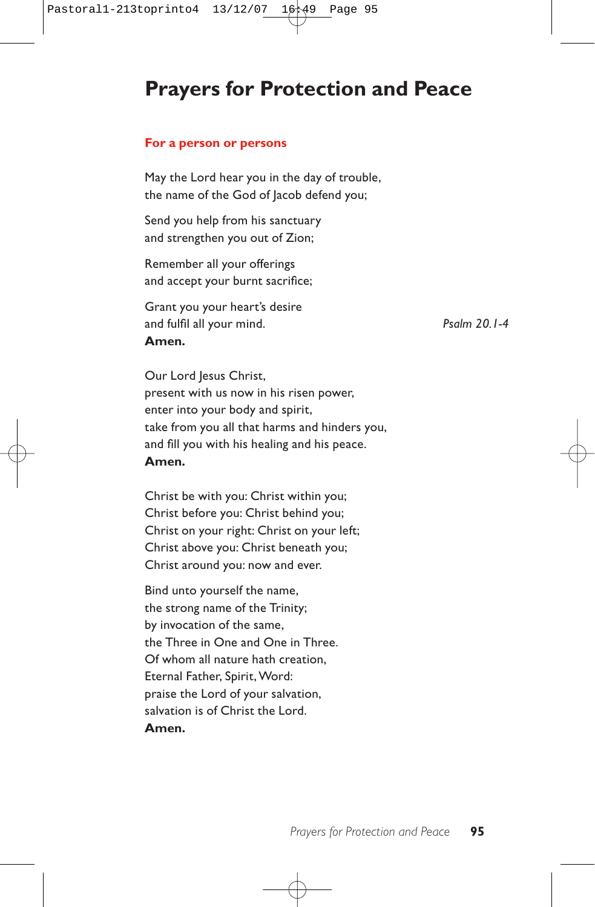# **Prayers for Protection and Peace**

#### **For a person or persons**

May the Lord hear you in the day of trouble, the name of the God of Jacob defend you;

Send you help from his sanctuary and strengthen you out of Zion;

Remember all your offerings and accept your burnt sacrifice;

Grant you your heart's desire and fulfil all your mind. *Psalm 20.1-4* **Amen.**

Our Lord Jesus Christ, present with us now in his risen power, enter into your body and spirit, take from you all that harms and hinders you, and fill you with his healing and his peace. **Amen.**

Christ be with you: Christ within you; Christ before you: Christ behind you; Christ on your right: Christ on your left; Christ above you: Christ beneath you; Christ around you: now and ever.

Bind unto yourself the name, the strong name of the Trinity; by invocation of the same, the Three in One and One in Three. Of whom all nature hath creation, Eternal Father, Spirit, Word: praise the Lord of your salvation, salvation is of Christ the Lord. **Amen.**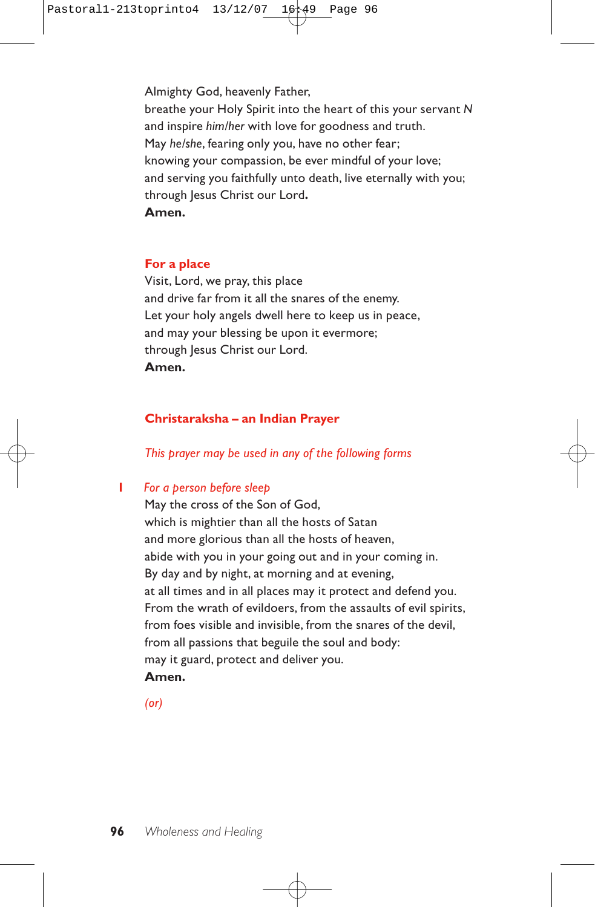Almighty God, heavenly Father, breathe your Holy Spirit into the heart of this your servant *N* and inspire *him/her* with love for goodness and truth. May *he/she*, fearing only you, have no other fear; knowing your compassion, be ever mindful of your love; and serving you faithfully unto death, live eternally with you; through lesus Christ our Lord. **Amen.**

#### **For a place**

Visit, Lord, we pray, this place and drive far from it all the snares of the enemy. Let your holy angels dwell here to keep us in peace, and may your blessing be upon it evermore; through Jesus Christ our Lord. **Amen.**

## **Christaraksha – an Indian Prayer**

*This prayer may be used in any of the following forms*

## **1** *For a person before sleep*

May the cross of the Son of God, which is mightier than all the hosts of Satan and more glorious than all the hosts of heaven, abide with you in your going out and in your coming in. By day and by night, at morning and at evening, at all times and in all places may it protect and defend you. From the wrath of evildoers, from the assaults of evil spirits, from foes visible and invisible, from the snares of the devil, from all passions that beguile the soul and body: may it guard, protect and deliver you. **Amen.**

*(or)*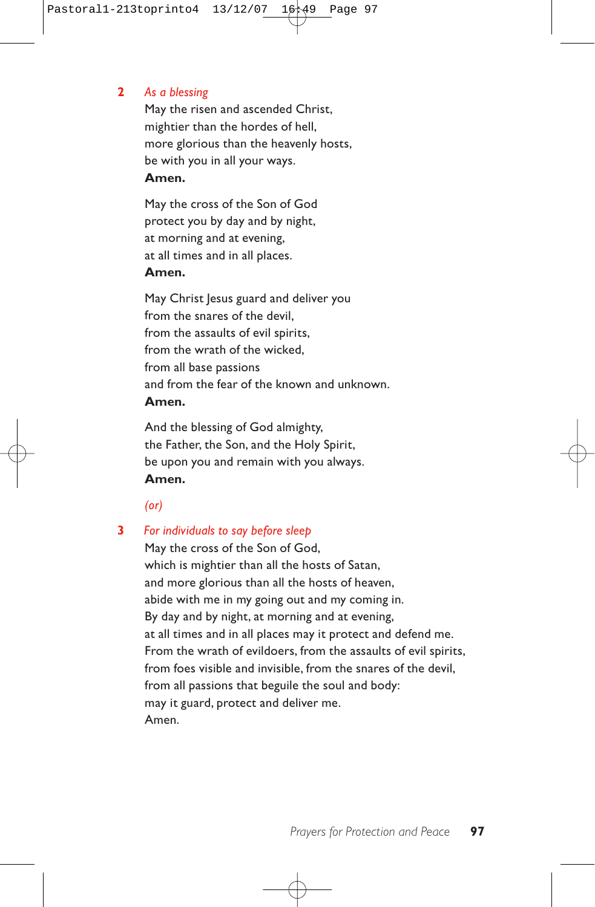## **2** *As a blessing*

May the risen and ascended Christ, mightier than the hordes of hell, more glorious than the heavenly hosts, be with you in all your ways. **Amen.**

May the cross of the Son of God protect you by day and by night, at morning and at evening, at all times and in all places. **Amen.**

May Christ Jesus guard and deliver you from the snares of the devil, from the assaults of evil spirits, from the wrath of the wicked, from all base passions and from the fear of the known and unknown. **Amen.**

And the blessing of God almighty, the Father, the Son, and the Holy Spirit, be upon you and remain with you always. **Amen.**

*(or)*

## **3** *For individuals to say before sleep*

May the cross of the Son of God, which is mightier than all the hosts of Satan, and more glorious than all the hosts of heaven, abide with me in my going out and my coming in. By day and by night, at morning and at evening, at all times and in all places may it protect and defend me. From the wrath of evildoers, from the assaults of evil spirits, from foes visible and invisible, from the snares of the devil, from all passions that beguile the soul and body: may it guard, protect and deliver me. Amen.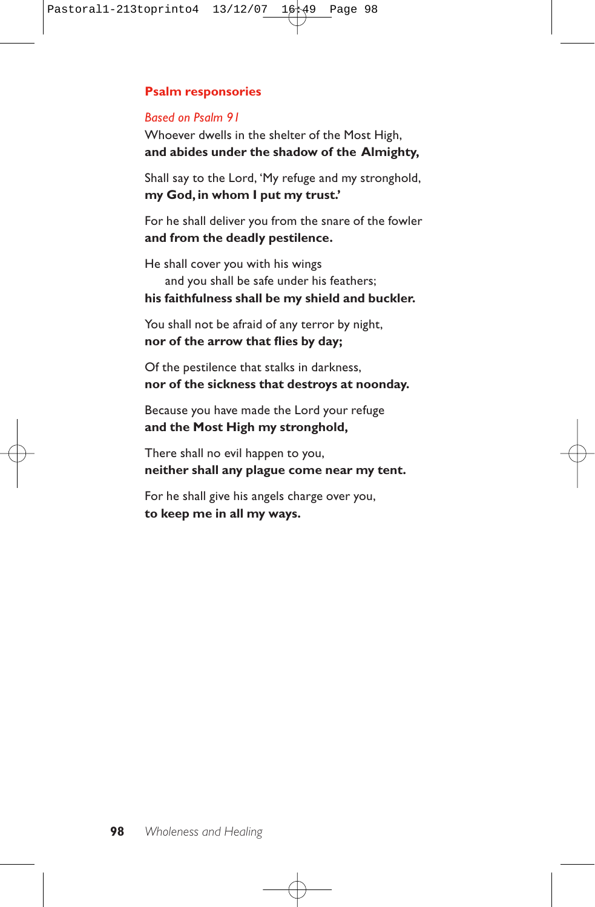# **Psalm responsories**

## *Based on Psalm 91*

Whoever dwells in the shelter of the Most High, **and abides under the shadow of the Almighty,**

Shall say to the Lord, 'My refuge and my stronghold, **my God, in whom I put my trust.'**

For he shall deliver you from the snare of the fowler **and from the deadly pestilence.**

He shall cover you with his wings and you shall be safe under his feathers; **his faithfulness shall be my shield and buckler.**

You shall not be afraid of any terror by night, **nor of the arrow that flies by day;**

Of the pestilence that stalks in darkness, **nor of the sickness that destroys at noonday.**

Because you have made the Lord your refuge **and the Most High my stronghold,**

There shall no evil happen to you, **neither shall any plague come near my tent.**

For he shall give his angels charge over you, **to keep me in all my ways.**